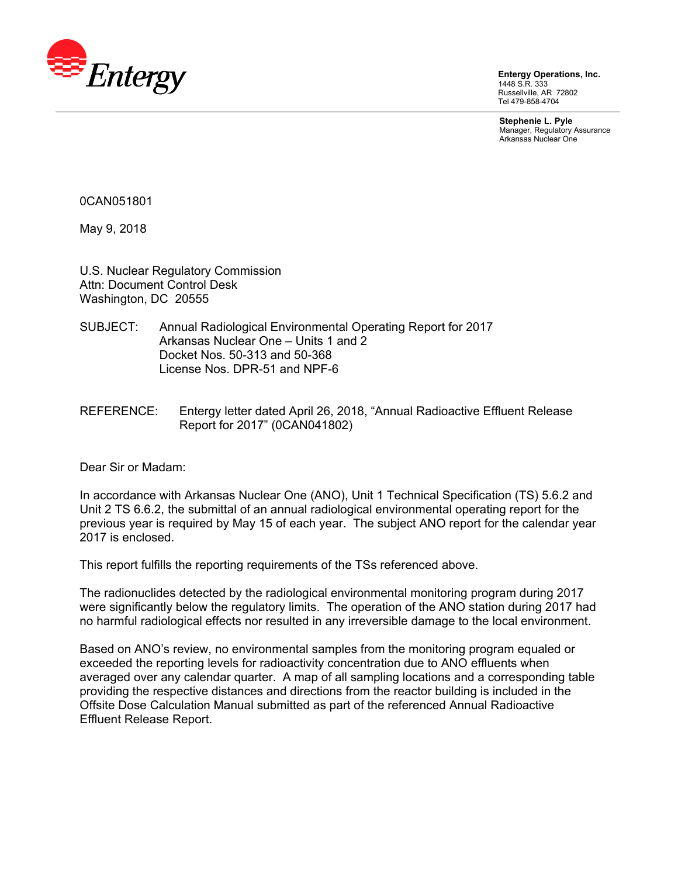

**Entergy Operations, Inc.**  1448 S.R. 333 Russellville, AR 72802 Tel 479-858-4704

**Stephenie L. Pyle**  Manager, Regulatory Assurance Arkansas Nuclear One

0CAN051801

May 9, 2018

U.S. Nuclear Regulatory Commission Attn: Document Control Desk Washington, DC 20555

- SUBJECT: Annual Radiological Environmental Operating Report for 2017 Arkansas Nuclear One – Units 1 and 2 Docket Nos. 50-313 and 50-368 License Nos. DPR-51 and NPF-6
- REFERENCE: Entergy letter dated April 26, 2018, "Annual Radioactive Effluent Release Report for 2017" (0CAN041802)

Dear Sir or Madam:

In accordance with Arkansas Nuclear One (ANO), Unit 1 Technical Specification (TS) 5.6.2 and Unit 2 TS 6.6.2, the submittal of an annual radiological environmental operating report for the previous year is required by May 15 of each year. The subject ANO report for the calendar year 2017 is enclosed.

This report fulfills the reporting requirements of the TSs referenced above.

The radionuclides detected by the radiological environmental monitoring program during 2017 were significantly below the regulatory limits. The operation of the ANO station during 2017 had no harmful radiological effects nor resulted in any irreversible damage to the local environment.

Based on ANO's review, no environmental samples from the monitoring program equaled or exceeded the reporting levels for radioactivity concentration due to ANO effluents when averaged over any calendar quarter. A map of all sampling locations and a corresponding table providing the respective distances and directions from the reactor building is included in the Offsite Dose Calculation Manual submitted as part of the referenced Annual Radioactive Effluent Release Report.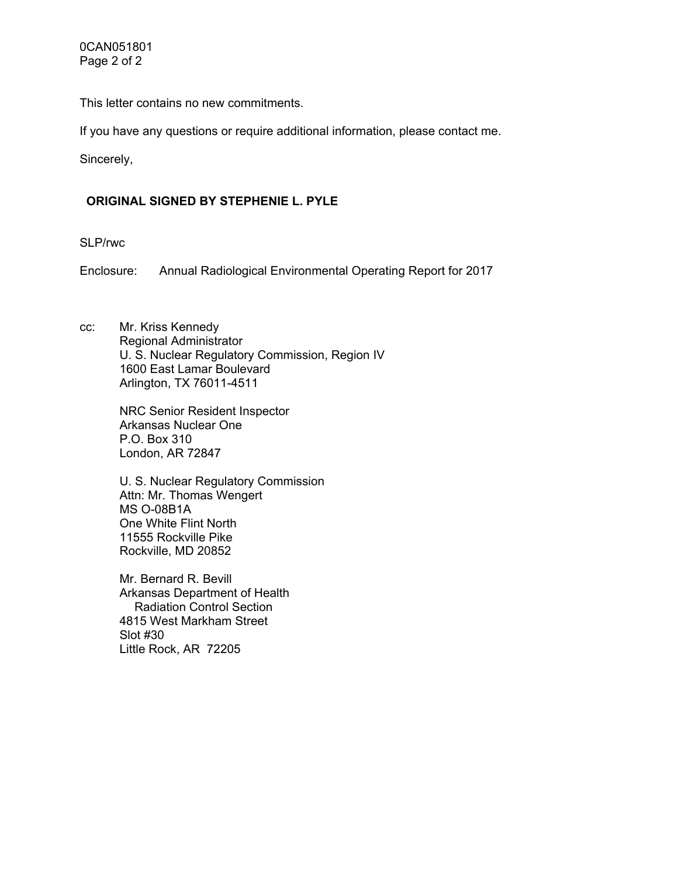This letter contains no new commitments.

If you have any questions or require additional information, please contact me.

Sincerely,

# **ORIGINAL SIGNED BY STEPHENIE L. PYLE**

SLP/rwc

Enclosure: Annual Radiological Environmental Operating Report for 2017

cc: Mr. Kriss Kennedy Regional Administrator U. S. Nuclear Regulatory Commission, Region IV 1600 East Lamar Boulevard Arlington, TX 76011-4511

> NRC Senior Resident Inspector Arkansas Nuclear One P.O. Box 310 London, AR 72847

U. S. Nuclear Regulatory Commission Attn: Mr. Thomas Wengert MS O-08B1A One White Flint North 11555 Rockville Pike Rockville, MD 20852

Mr. Bernard R. Bevill Arkansas Department of Health Radiation Control Section 4815 West Markham Street Slot #30 Little Rock, AR 72205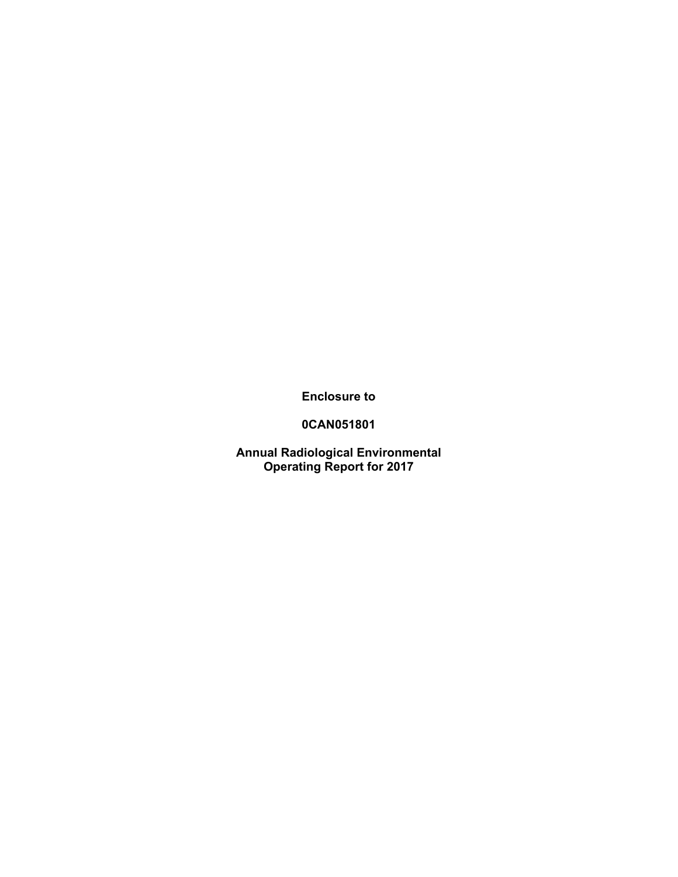**Enclosure to** 

**0CAN051801** 

**Annual Radiological Environmental Operating Report for 2017**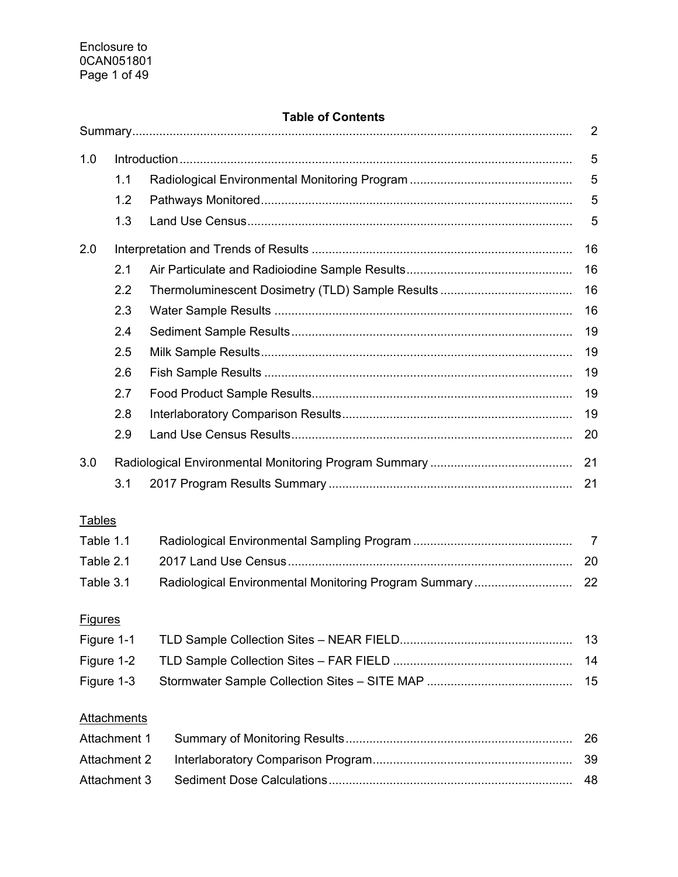# **Table of Contents**

|                     |                    |                                                       | 2              |
|---------------------|--------------------|-------------------------------------------------------|----------------|
| 1.0                 |                    |                                                       | 5              |
|                     | 1.1                |                                                       | 5              |
|                     | 1.2                |                                                       | 5              |
|                     | 1.3                |                                                       | 5              |
| 2.0                 |                    |                                                       | 16             |
|                     | 2.1                |                                                       | 16             |
|                     | 2.2                |                                                       | 16             |
|                     | 2.3                |                                                       | 16             |
|                     | 2.4                |                                                       | 19             |
|                     | 2.5                |                                                       | 19             |
|                     | 2.6                |                                                       | 19             |
|                     | 2.7                |                                                       | 19             |
|                     | 2.8                |                                                       | 19             |
|                     | 2.9                |                                                       | 20             |
| 3.0                 |                    |                                                       | 21             |
|                     | 3.1                |                                                       | 21             |
| <b>Tables</b>       |                    |                                                       |                |
| Table 1.1           |                    |                                                       | $\overline{7}$ |
| Table 2.1           |                    |                                                       | 20             |
| Table 3.1           |                    | Radiological Environmental Monitoring Program Summary | 22             |
| <b>Figures</b>      |                    |                                                       |                |
| Figure 1-1          |                    |                                                       | 13             |
| Figure 1-2          |                    |                                                       | 14             |
| Figure 1-3          |                    |                                                       | 15             |
|                     |                    |                                                       |                |
|                     | <b>Attachments</b> |                                                       |                |
| Attachment 1        |                    |                                                       | 26             |
| <b>Attachment 2</b> |                    |                                                       | 39             |
| Attachment 3        |                    |                                                       | 48             |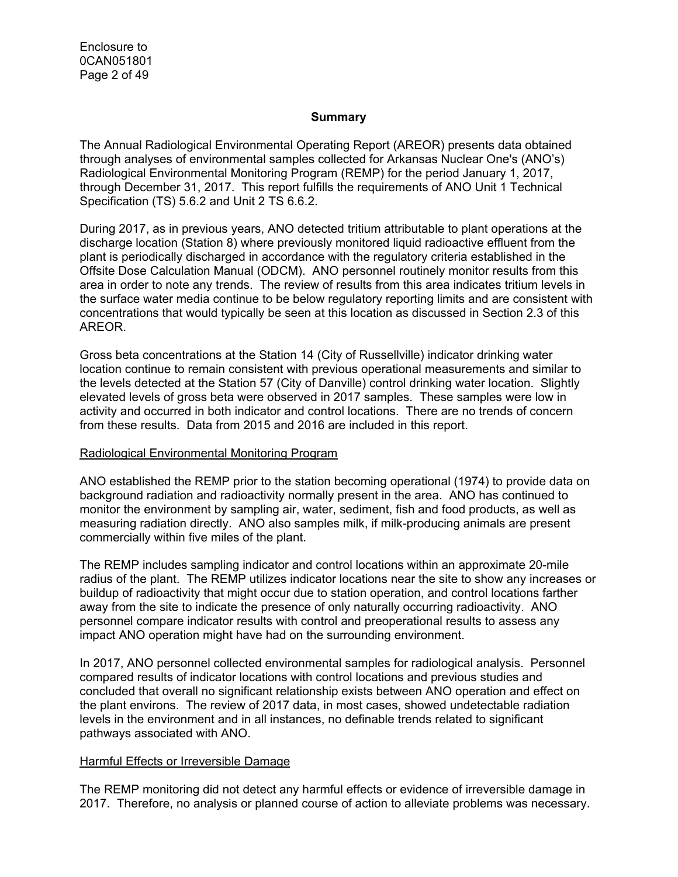Enclosure to 0CAN051801 Page 2 of 49

#### **Summary**

The Annual Radiological Environmental Operating Report (AREOR) presents data obtained through analyses of environmental samples collected for Arkansas Nuclear One's (ANO's) Radiological Environmental Monitoring Program (REMP) for the period January 1, 2017, through December 31, 2017. This report fulfills the requirements of ANO Unit 1 Technical Specification (TS) 5.6.2 and Unit 2 TS 6.6.2.

During 2017, as in previous years, ANO detected tritium attributable to plant operations at the discharge location (Station 8) where previously monitored liquid radioactive effluent from the plant is periodically discharged in accordance with the regulatory criteria established in the Offsite Dose Calculation Manual (ODCM). ANO personnel routinely monitor results from this area in order to note any trends. The review of results from this area indicates tritium levels in the surface water media continue to be below regulatory reporting limits and are consistent with concentrations that would typically be seen at this location as discussed in Section 2.3 of this AREOR.

Gross beta concentrations at the Station 14 (City of Russellville) indicator drinking water location continue to remain consistent with previous operational measurements and similar to the levels detected at the Station 57 (City of Danville) control drinking water location. Slightly elevated levels of gross beta were observed in 2017 samples. These samples were low in activity and occurred in both indicator and control locations. There are no trends of concern from these results. Data from 2015 and 2016 are included in this report.

#### Radiological Environmental Monitoring Program

ANO established the REMP prior to the station becoming operational (1974) to provide data on background radiation and radioactivity normally present in the area. ANO has continued to monitor the environment by sampling air, water, sediment, fish and food products, as well as measuring radiation directly. ANO also samples milk, if milk-producing animals are present commercially within five miles of the plant.

The REMP includes sampling indicator and control locations within an approximate 20-mile radius of the plant. The REMP utilizes indicator locations near the site to show any increases or buildup of radioactivity that might occur due to station operation, and control locations farther away from the site to indicate the presence of only naturally occurring radioactivity. ANO personnel compare indicator results with control and preoperational results to assess any impact ANO operation might have had on the surrounding environment.

In 2017, ANO personnel collected environmental samples for radiological analysis. Personnel compared results of indicator locations with control locations and previous studies and concluded that overall no significant relationship exists between ANO operation and effect on the plant environs. The review of 2017 data, in most cases, showed undetectable radiation levels in the environment and in all instances, no definable trends related to significant pathways associated with ANO.

#### Harmful Effects or Irreversible Damage

The REMP monitoring did not detect any harmful effects or evidence of irreversible damage in 2017. Therefore, no analysis or planned course of action to alleviate problems was necessary.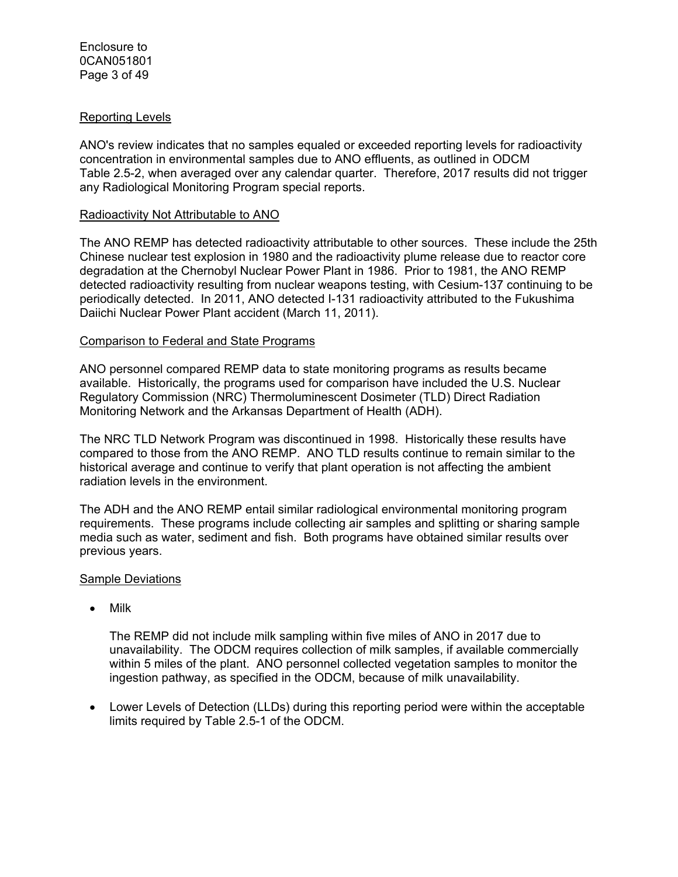#### Reporting Levels

ANO's review indicates that no samples equaled or exceeded reporting levels for radioactivity concentration in environmental samples due to ANO effluents, as outlined in ODCM Table 2.5-2, when averaged over any calendar quarter. Therefore, 2017 results did not trigger any Radiological Monitoring Program special reports.

#### Radioactivity Not Attributable to ANO

The ANO REMP has detected radioactivity attributable to other sources. These include the 25th Chinese nuclear test explosion in 1980 and the radioactivity plume release due to reactor core degradation at the Chernobyl Nuclear Power Plant in 1986. Prior to 1981, the ANO REMP detected radioactivity resulting from nuclear weapons testing, with Cesium-137 continuing to be periodically detected. In 2011, ANO detected I-131 radioactivity attributed to the Fukushima Daiichi Nuclear Power Plant accident (March 11, 2011).

## Comparison to Federal and State Programs

ANO personnel compared REMP data to state monitoring programs as results became available. Historically, the programs used for comparison have included the U.S. Nuclear Regulatory Commission (NRC) Thermoluminescent Dosimeter (TLD) Direct Radiation Monitoring Network and the Arkansas Department of Health (ADH).

The NRC TLD Network Program was discontinued in 1998. Historically these results have compared to those from the ANO REMP. ANO TLD results continue to remain similar to the historical average and continue to verify that plant operation is not affecting the ambient radiation levels in the environment.

The ADH and the ANO REMP entail similar radiological environmental monitoring program requirements. These programs include collecting air samples and splitting or sharing sample media such as water, sediment and fish. Both programs have obtained similar results over previous years.

## Sample Deviations

• Milk

The REMP did not include milk sampling within five miles of ANO in 2017 due to unavailability. The ODCM requires collection of milk samples, if available commercially within 5 miles of the plant. ANO personnel collected vegetation samples to monitor the ingestion pathway, as specified in the ODCM, because of milk unavailability.

 Lower Levels of Detection (LLDs) during this reporting period were within the acceptable limits required by Table 2.5-1 of the ODCM.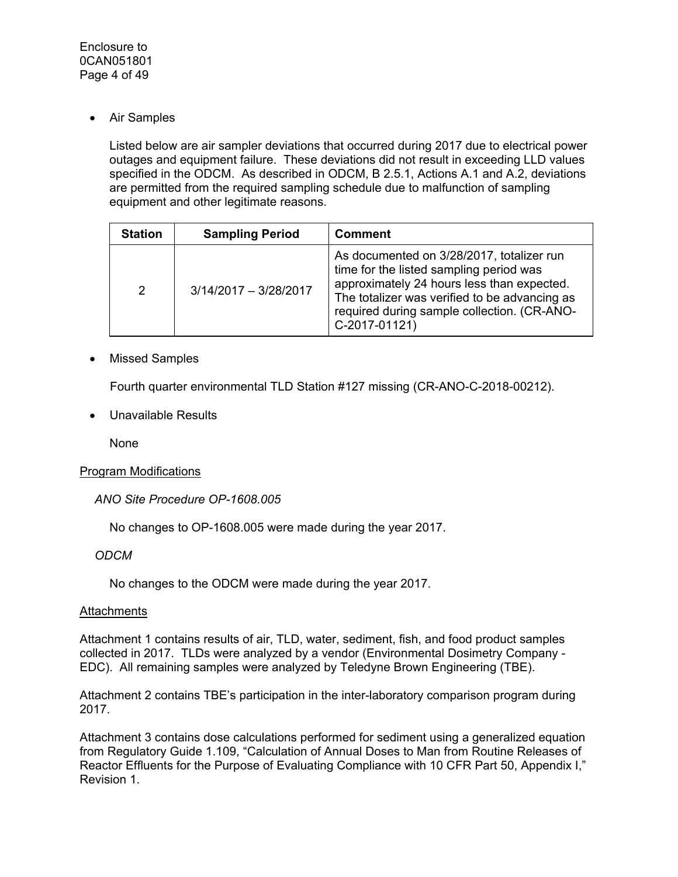Air Samples

Listed below are air sampler deviations that occurred during 2017 due to electrical power outages and equipment failure. These deviations did not result in exceeding LLD values specified in the ODCM. As described in ODCM, B 2.5.1, Actions A.1 and A.2, deviations are permitted from the required sampling schedule due to malfunction of sampling equipment and other legitimate reasons.

| <b>Station</b> | <b>Sampling Period</b>  | <b>Comment</b>                                                                                                                                                                                                                                      |
|----------------|-------------------------|-----------------------------------------------------------------------------------------------------------------------------------------------------------------------------------------------------------------------------------------------------|
| $\overline{2}$ | $3/14/2017 - 3/28/2017$ | As documented on 3/28/2017, totalizer run<br>time for the listed sampling period was<br>approximately 24 hours less than expected.<br>The totalizer was verified to be advancing as<br>required during sample collection. (CR-ANO-<br>C-2017-01121) |

# Missed Samples

Fourth quarter environmental TLD Station #127 missing (CR-ANO-C-2018-00212).

Unavailable Results

None

## Program Modifications

*ANO Site Procedure OP-1608.005* 

No changes to OP-1608.005 were made during the year 2017.

## *ODCM*

No changes to the ODCM were made during the year 2017.

#### **Attachments**

Attachment 1 contains results of air, TLD, water, sediment, fish, and food product samples collected in 2017. TLDs were analyzed by a vendor (Environmental Dosimetry Company - EDC). All remaining samples were analyzed by Teledyne Brown Engineering (TBE).

Attachment 2 contains TBE's participation in the inter-laboratory comparison program during 2017.

Attachment 3 contains dose calculations performed for sediment using a generalized equation from Regulatory Guide 1.109, "Calculation of Annual Doses to Man from Routine Releases of Reactor Effluents for the Purpose of Evaluating Compliance with 10 CFR Part 50, Appendix I," Revision 1.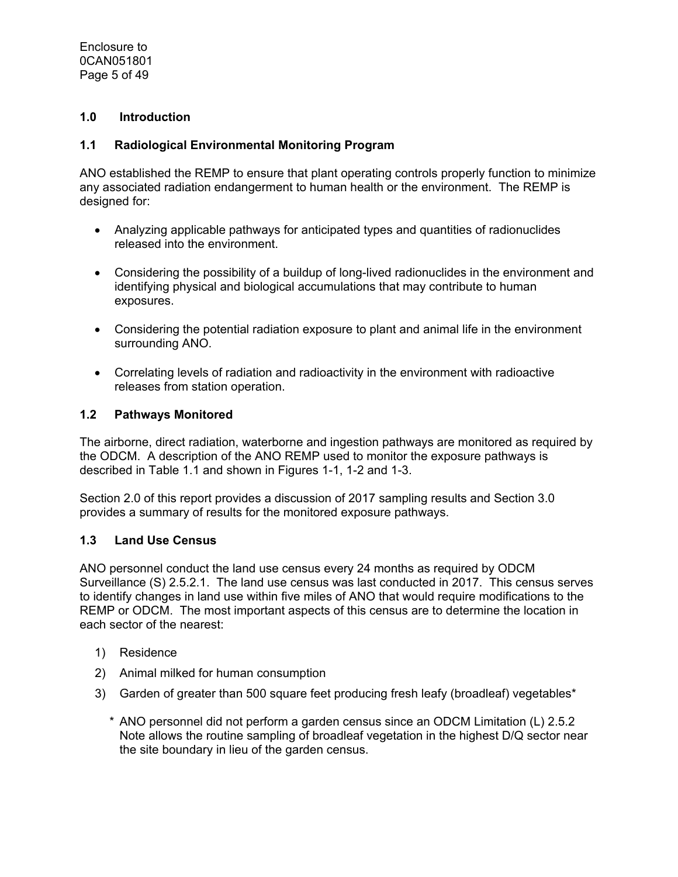# **1.0 Introduction**

## **1.1 Radiological Environmental Monitoring Program**

ANO established the REMP to ensure that plant operating controls properly function to minimize any associated radiation endangerment to human health or the environment. The REMP is designed for:

- Analyzing applicable pathways for anticipated types and quantities of radionuclides released into the environment.
- Considering the possibility of a buildup of long-lived radionuclides in the environment and identifying physical and biological accumulations that may contribute to human exposures.
- Considering the potential radiation exposure to plant and animal life in the environment surrounding ANO.
- Correlating levels of radiation and radioactivity in the environment with radioactive releases from station operation.

## **1.2 Pathways Monitored**

The airborne, direct radiation, waterborne and ingestion pathways are monitored as required by the ODCM. A description of the ANO REMP used to monitor the exposure pathways is described in Table 1.1 and shown in Figures 1-1, 1-2 and 1-3.

Section 2.0 of this report provides a discussion of 2017 sampling results and Section 3.0 provides a summary of results for the monitored exposure pathways.

#### **1.3 Land Use Census**

ANO personnel conduct the land use census every 24 months as required by ODCM Surveillance (S) 2.5.2.1. The land use census was last conducted in 2017. This census serves to identify changes in land use within five miles of ANO that would require modifications to the REMP or ODCM. The most important aspects of this census are to determine the location in each sector of the nearest:

- 1) Residence
- 2) Animal milked for human consumption
- 3) Garden of greater than 500 square feet producing fresh leafy (broadleaf) vegetables\*
	- \* ANO personnel did not perform a garden census since an ODCM Limitation (L) 2.5.2 Note allows the routine sampling of broadleaf vegetation in the highest D/Q sector near the site boundary in lieu of the garden census.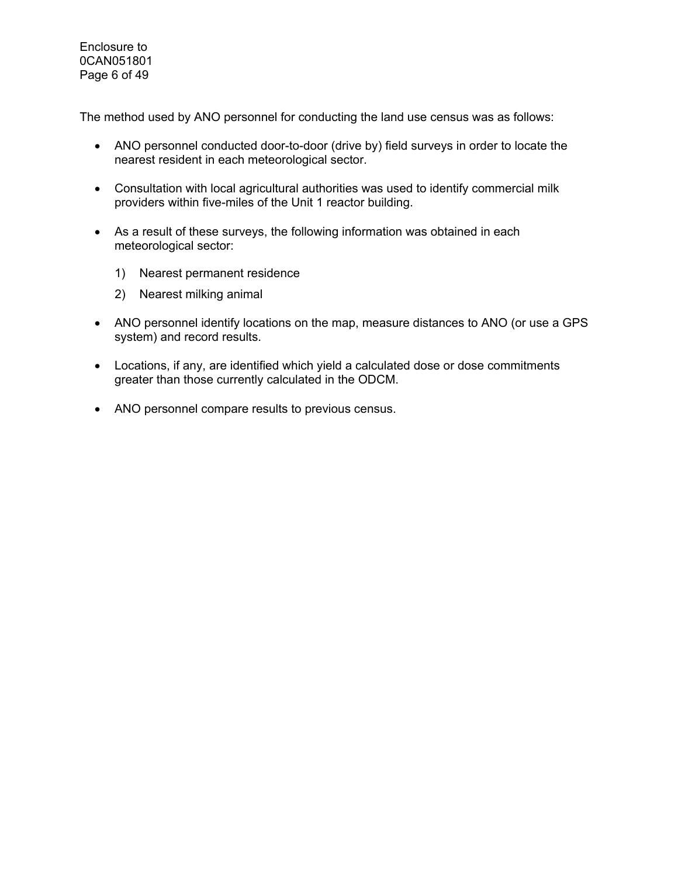Enclosure to 0CAN051801 Page 6 of 49

The method used by ANO personnel for conducting the land use census was as follows:

- ANO personnel conducted door-to-door (drive by) field surveys in order to locate the nearest resident in each meteorological sector.
- Consultation with local agricultural authorities was used to identify commercial milk providers within five-miles of the Unit 1 reactor building.
- As a result of these surveys, the following information was obtained in each meteorological sector:
	- 1) Nearest permanent residence
	- 2) Nearest milking animal
- ANO personnel identify locations on the map, measure distances to ANO (or use a GPS system) and record results.
- Locations, if any, are identified which yield a calculated dose or dose commitments greater than those currently calculated in the ODCM.
- ANO personnel compare results to previous census.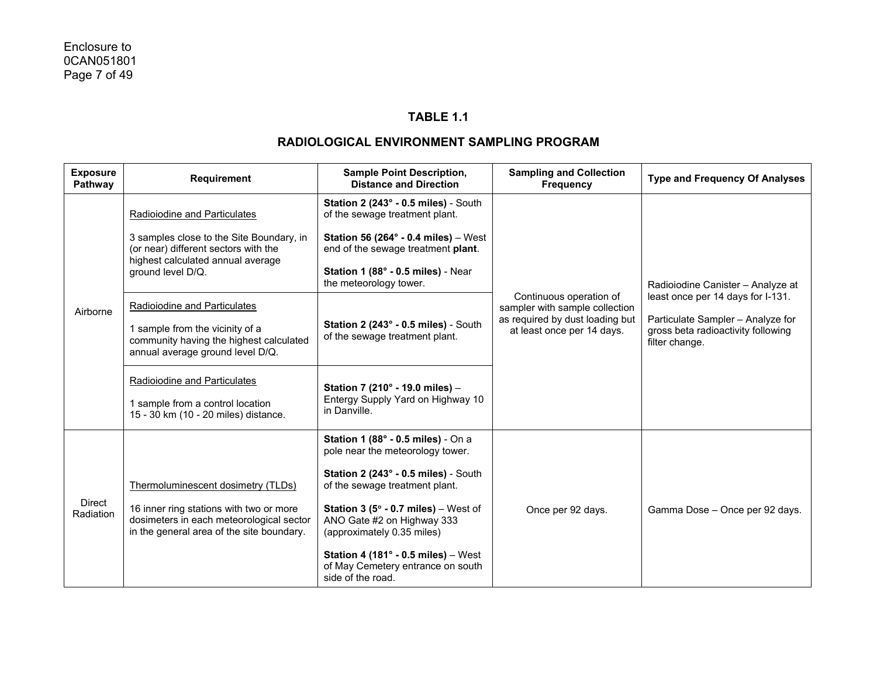## **TABLE 1.1**

| <b>Exposure</b><br>Pathway | Requirement                                                                                                                      | <b>Sample Point Description,</b><br><b>Distance and Direction</b>                                                           | <b>Sampling and Collection</b><br><b>Frequency</b>                                           | <b>Type and Frequency Of Analyses</b>                                                                                          |
|----------------------------|----------------------------------------------------------------------------------------------------------------------------------|-----------------------------------------------------------------------------------------------------------------------------|----------------------------------------------------------------------------------------------|--------------------------------------------------------------------------------------------------------------------------------|
|                            | Radioiodine and Particulates                                                                                                     | Station 2 (243° - 0.5 miles) - South<br>of the sewage treatment plant.                                                      |                                                                                              |                                                                                                                                |
|                            | 3 samples close to the Site Boundary, in<br>(or near) different sectors with the<br>highest calculated annual average            | Station 56 (264 $\degree$ - 0.4 miles) – West<br>end of the sewage treatment plant.                                         |                                                                                              |                                                                                                                                |
|                            | ground level D/Q.                                                                                                                | Station 1 (88° - 0.5 miles) - Near<br>the meteorology tower.                                                                |                                                                                              | Radioiodine Canister - Analyze at                                                                                              |
| Airborne                   | <b>Radioiodine and Particulates</b>                                                                                              |                                                                                                                             | Continuous operation of<br>sampler with sample collection<br>as required by dust loading but | least once per 14 days for I-131.<br>Particulate Sampler - Analyze for<br>gross beta radioactivity following<br>filter change. |
|                            | 1 sample from the vicinity of a<br>community having the highest calculated<br>annual average ground level D/Q.                   | Station 2 (243° - 0.5 miles) - South<br>of the sewage treatment plant.                                                      | at least once per 14 days.                                                                   |                                                                                                                                |
|                            | Radioiodine and Particulates                                                                                                     | Station 7 (210° - 19.0 miles) -                                                                                             |                                                                                              |                                                                                                                                |
|                            | 1 sample from a control location<br>15 - 30 km (10 - 20 miles) distance.                                                         | Entergy Supply Yard on Highway 10<br>in Danville.                                                                           |                                                                                              |                                                                                                                                |
|                            |                                                                                                                                  | <b>Station 1 (88° - 0.5 miles)</b> - On a<br>pole near the meteorology tower.                                               |                                                                                              |                                                                                                                                |
| Direct<br>Radiation        | Thermoluminescent dosimetry (TLDs)                                                                                               | Station 2 (243° - 0.5 miles) - South<br>of the sewage treatment plant.                                                      |                                                                                              |                                                                                                                                |
|                            | 16 inner ring stations with two or more<br>dosimeters in each meteorological sector<br>in the general area of the site boundary. | <b>Station 3 (5<math>^{\circ}</math> - 0.7 miles)</b> – West of<br>ANO Gate #2 on Highway 333<br>(approximately 0.35 miles) | Once per 92 days.                                                                            | Gamma Dose - Once per 92 days.                                                                                                 |
|                            |                                                                                                                                  | Station 4 (181 $^{\circ}$ - 0.5 miles) - West<br>of May Cemetery entrance on south<br>side of the road.                     |                                                                                              |                                                                                                                                |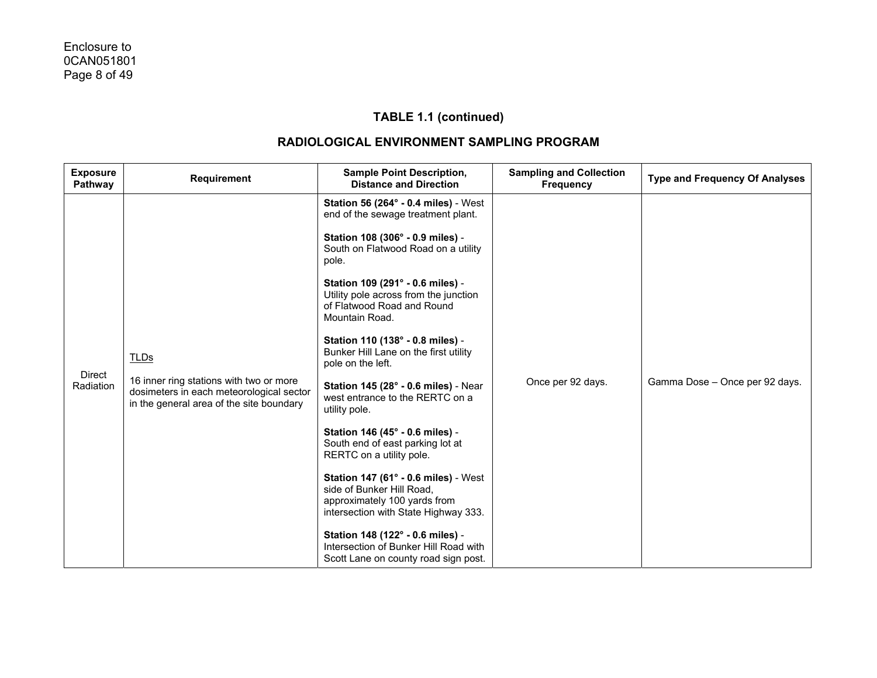| <b>Exposure</b><br>Pathway | <b>Requirement</b>                                                                                                              | <b>Sample Point Description,</b><br><b>Distance and Direction</b>                                                                         | <b>Sampling and Collection</b><br><b>Frequency</b> | <b>Type and Frequency Of Analyses</b> |
|----------------------------|---------------------------------------------------------------------------------------------------------------------------------|-------------------------------------------------------------------------------------------------------------------------------------------|----------------------------------------------------|---------------------------------------|
|                            |                                                                                                                                 | <b>Station 56 (264° - 0.4 miles)</b> - West<br>end of the sewage treatment plant.                                                         |                                                    |                                       |
|                            |                                                                                                                                 | Station 108 (306° - 0.9 miles) -<br>South on Flatwood Road on a utility<br>pole.                                                          |                                                    |                                       |
|                            |                                                                                                                                 | Station 109 (291° - 0.6 miles) -<br>Utility pole across from the junction<br>of Flatwood Road and Round<br>Mountain Road.                 |                                                    |                                       |
|                            | <b>TLDs</b>                                                                                                                     | Station 110 (138° - 0.8 miles) -<br>Bunker Hill Lane on the first utility<br>pole on the left.                                            |                                                    |                                       |
| <b>Direct</b><br>Radiation | 16 inner ring stations with two or more<br>dosimeters in each meteorological sector<br>in the general area of the site boundary | Station 145 (28° - 0.6 miles) - Near<br>west entrance to the RERTC on a<br>utility pole.                                                  | Once per 92 days.                                  | Gamma Dose - Once per 92 days.        |
|                            |                                                                                                                                 | Station 146 (45° - 0.6 miles) -<br>South end of east parking lot at<br>RERTC on a utility pole.                                           |                                                    |                                       |
|                            |                                                                                                                                 | Station 147 (61° - 0.6 miles) - West<br>side of Bunker Hill Road,<br>approximately 100 yards from<br>intersection with State Highway 333. |                                                    |                                       |
|                            |                                                                                                                                 | Station 148 (122° - 0.6 miles) -<br>Intersection of Bunker Hill Road with<br>Scott Lane on county road sign post.                         |                                                    |                                       |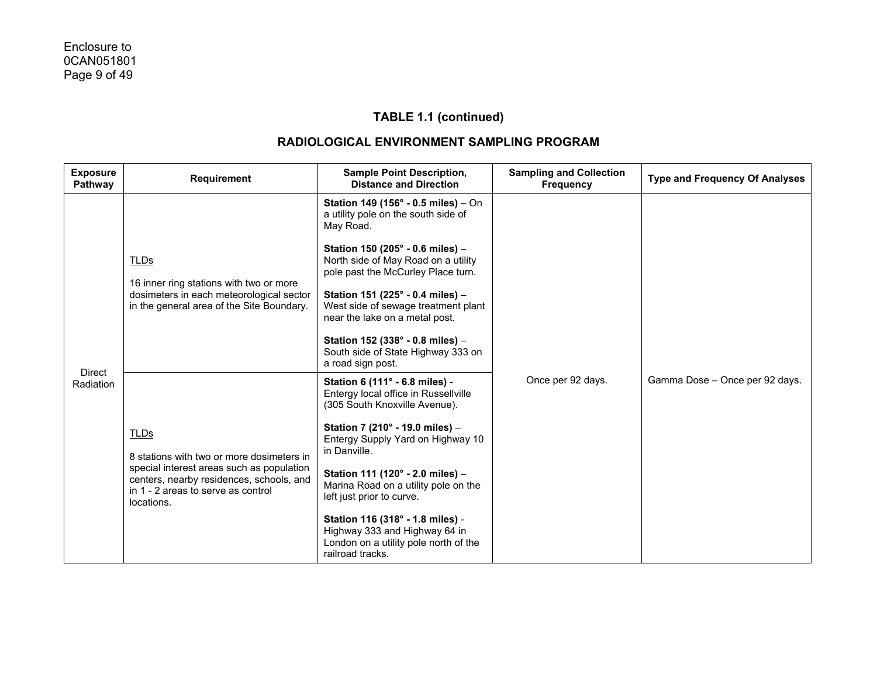| <b>Exposure</b><br>Pathway | <b>Requirement</b>                                                                                                                                                                                    | <b>Sample Point Description,</b><br><b>Distance and Direction</b>                                                                                                                                                                                                                                                                                                                                                                          | <b>Sampling and Collection</b><br><b>Frequency</b> | <b>Type and Frequency Of Analyses</b> |
|----------------------------|-------------------------------------------------------------------------------------------------------------------------------------------------------------------------------------------------------|--------------------------------------------------------------------------------------------------------------------------------------------------------------------------------------------------------------------------------------------------------------------------------------------------------------------------------------------------------------------------------------------------------------------------------------------|----------------------------------------------------|---------------------------------------|
|                            | <b>TLDs</b><br>16 inner ring stations with two or more<br>dosimeters in each meteorological sector<br>in the general area of the Site Boundary.                                                       | Station 149 (156° - 0.5 miles) - On<br>a utility pole on the south side of<br>May Road.<br>Station 150 (205° - 0.6 miles) -<br>North side of May Road on a utility<br>pole past the McCurley Place turn.<br>Station 151 (225° - 0.4 miles) -<br>West side of sewage treatment plant<br>near the lake on a metal post.<br>Station 152 (338° - 0.8 miles) -<br>South side of State Highway 333 on<br>a road sign post.                       |                                                    |                                       |
| <b>Direct</b><br>Radiation | <b>TLDs</b><br>8 stations with two or more dosimeters in<br>special interest areas such as population<br>centers, nearby residences, schools, and<br>in 1 - 2 areas to serve as control<br>locations. | Station 6 (111° - 6.8 miles) -<br>Entergy local office in Russellville<br>(305 South Knoxville Avenue).<br>Station 7 (210° - 19.0 miles) -<br>Entergy Supply Yard on Highway 10<br>in Danville.<br>Station 111 (120° - 2.0 miles) -<br>Marina Road on a utility pole on the<br>left just prior to curve.<br>Station 116 (318° - 1.8 miles) -<br>Highway 333 and Highway 64 in<br>London on a utility pole north of the<br>railroad tracks. | Once per 92 days.                                  | Gamma Dose - Once per 92 days.        |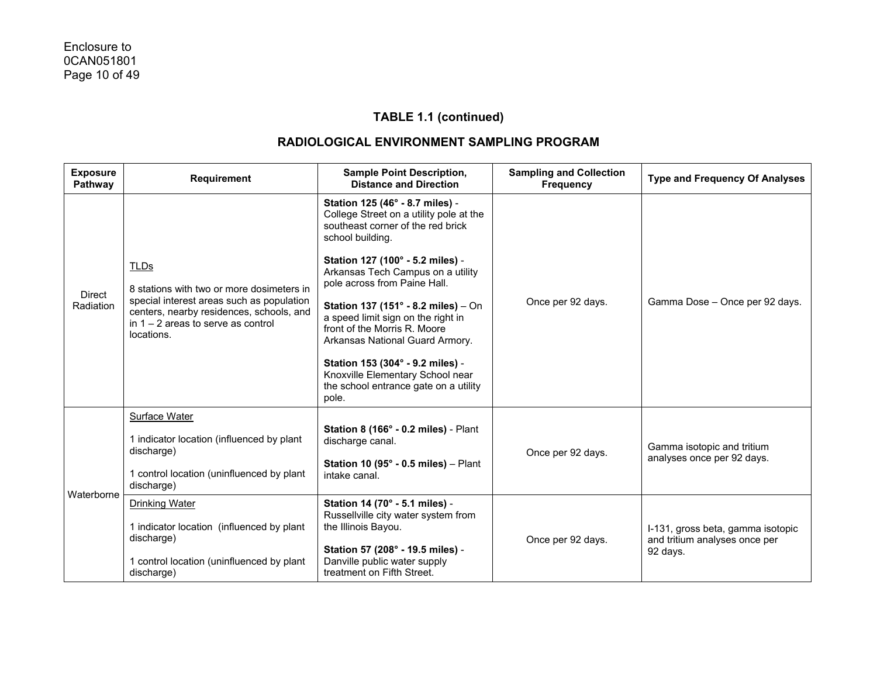| <b>Exposure</b><br>Pathway | Requirement                                                                                                                                                                                      | <b>Sample Point Description,</b><br><b>Distance and Direction</b>                                                                                   | <b>Sampling and Collection</b><br><b>Frequency</b> | <b>Type and Frequency Of Analyses</b>                              |
|----------------------------|--------------------------------------------------------------------------------------------------------------------------------------------------------------------------------------------------|-----------------------------------------------------------------------------------------------------------------------------------------------------|----------------------------------------------------|--------------------------------------------------------------------|
|                            |                                                                                                                                                                                                  | Station 125 (46° - 8.7 miles) -<br>College Street on a utility pole at the<br>southeast corner of the red brick<br>school building.                 |                                                    | Gamma Dose - Once per 92 days.                                     |
|                            | TLDs<br>8 stations with two or more dosimeters in<br>special interest areas such as population<br>centers, nearby residences, schools, and<br>in $1 - 2$ areas to serve as control<br>locations. | Station 127 (100° - 5.2 miles) -<br>Arkansas Tech Campus on a utility<br>pole across from Paine Hall.                                               | Once per 92 days.                                  |                                                                    |
| <b>Direct</b><br>Radiation |                                                                                                                                                                                                  | <b>Station 137 (151° - 8.2 miles)</b> – On<br>a speed limit sign on the right in<br>front of the Morris R. Moore<br>Arkansas National Guard Armory. |                                                    |                                                                    |
|                            |                                                                                                                                                                                                  | Station 153 (304° - 9.2 miles) -<br>Knoxville Elementary School near<br>the school entrance gate on a utility<br>pole.                              |                                                    |                                                                    |
|                            | <b>Surface Water</b>                                                                                                                                                                             | Station 8 (166° - 0.2 miles) - Plant                                                                                                                |                                                    | Gamma isotopic and tritium                                         |
|                            | 1 indicator location (influenced by plant<br>discharge)                                                                                                                                          | discharge canal.                                                                                                                                    | Once per 92 days.                                  |                                                                    |
| Waterborne                 | 1 control location (uninfluenced by plant<br>discharge)                                                                                                                                          | Station 10 (95 $^{\circ}$ - 0.5 miles) - Plant<br>intake canal.                                                                                     |                                                    | analyses once per 92 days.                                         |
|                            | Drinking Water                                                                                                                                                                                   | Station 14 (70° - 5.1 miles) -<br>Russellville city water system from                                                                               |                                                    | I-131, gross beta, gamma isotopic<br>and tritium analyses once per |
|                            | 1 indicator location (influenced by plant<br>discharge)                                                                                                                                          | the Illinois Bayou.                                                                                                                                 |                                                    |                                                                    |
|                            | 1 control location (uninfluenced by plant<br>discharge)                                                                                                                                          | Once per 92 days.<br>Station 57 (208° - 19.5 miles) -<br>Danville public water supply<br>treatment on Fifth Street.                                 |                                                    | 92 days.                                                           |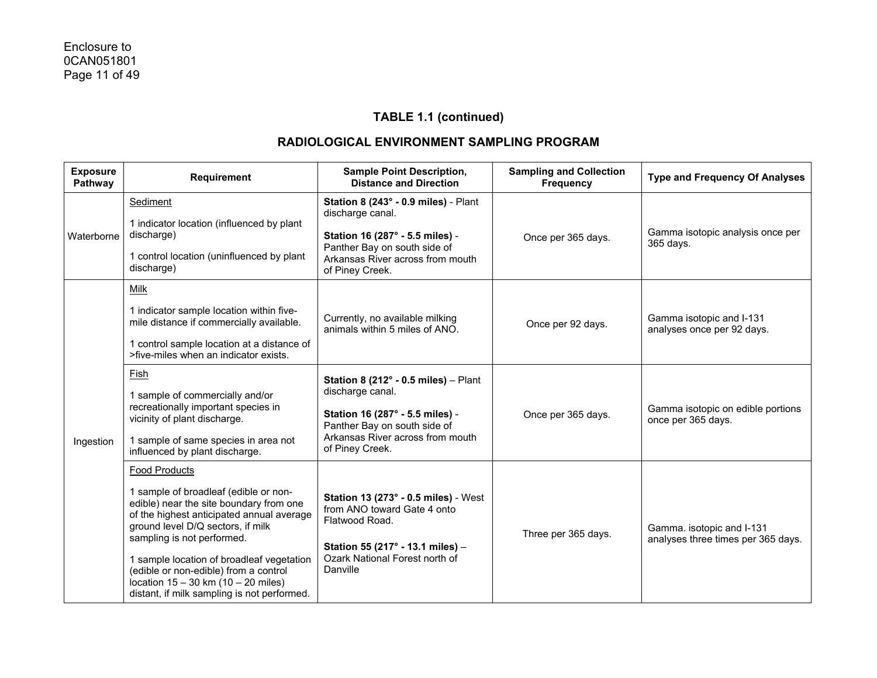| <b>Exposure</b><br>Pathway | <b>Requirement</b>                                                                                                                                                                                                                                                                                                                                                                                | <b>Sample Point Description,</b><br><b>Distance and Direction</b>                                                                                                                            | <b>Sampling and Collection</b><br><b>Frequency</b> | <b>Type and Frequency Of Analyses</b>                           |
|----------------------------|---------------------------------------------------------------------------------------------------------------------------------------------------------------------------------------------------------------------------------------------------------------------------------------------------------------------------------------------------------------------------------------------------|----------------------------------------------------------------------------------------------------------------------------------------------------------------------------------------------|----------------------------------------------------|-----------------------------------------------------------------|
| Waterborne                 | Sediment<br>1 indicator location (influenced by plant<br>discharge)<br>1 control location (uninfluenced by plant<br>discharge)                                                                                                                                                                                                                                                                    | Station 8 (243° - 0.9 miles) - Plant<br>discharge canal.<br>Station 16 (287° - 5.5 miles) -<br>Panther Bay on south side of<br>Arkansas River across from mouth<br>of Piney Creek.           | Once per 365 days.                                 | Gamma isotopic analysis once per<br>365 days.                   |
| Ingestion                  | Milk<br>1 indicator sample location within five-<br>mile distance if commercially available.<br>1 control sample location at a distance of<br>>five-miles when an indicator exists.                                                                                                                                                                                                               | Currently, no available milking<br>animals within 5 miles of ANO.                                                                                                                            | Once per 92 days.                                  | Gamma isotopic and I-131<br>analyses once per 92 days.          |
|                            | Fish<br>1 sample of commercially and/or<br>recreationally important species in<br>vicinity of plant discharge.<br>1 sample of same species in area not<br>influenced by plant discharge.                                                                                                                                                                                                          | Station 8 (212 $^{\circ}$ - 0.5 miles) - Plant<br>discharge canal.<br>Station 16 (287° - 5.5 miles) -<br>Panther Bay on south side of<br>Arkansas River across from mouth<br>of Piney Creek. | Once per 365 days.                                 | Gamma isotopic on edible portions<br>once per 365 days.         |
|                            | Food Products<br>1 sample of broadleaf (edible or non-<br>edible) near the site boundary from one<br>of the highest anticipated annual average<br>ground level D/Q sectors, if milk<br>sampling is not performed.<br>1 sample location of broadleaf vegetation<br>(edible or non-edible) from a control<br>location $15 - 30$ km $(10 - 20$ miles)<br>distant, if milk sampling is not performed. | Station 13 (273° - 0.5 miles) - West<br>from ANO toward Gate 4 onto<br>Flatwood Road.<br>Station 55 (217° - 13.1 miles) -<br>Ozark National Forest north of<br>Danville                      | Three per 365 days.                                | Gamma. isotopic and I-131<br>analyses three times per 365 days. |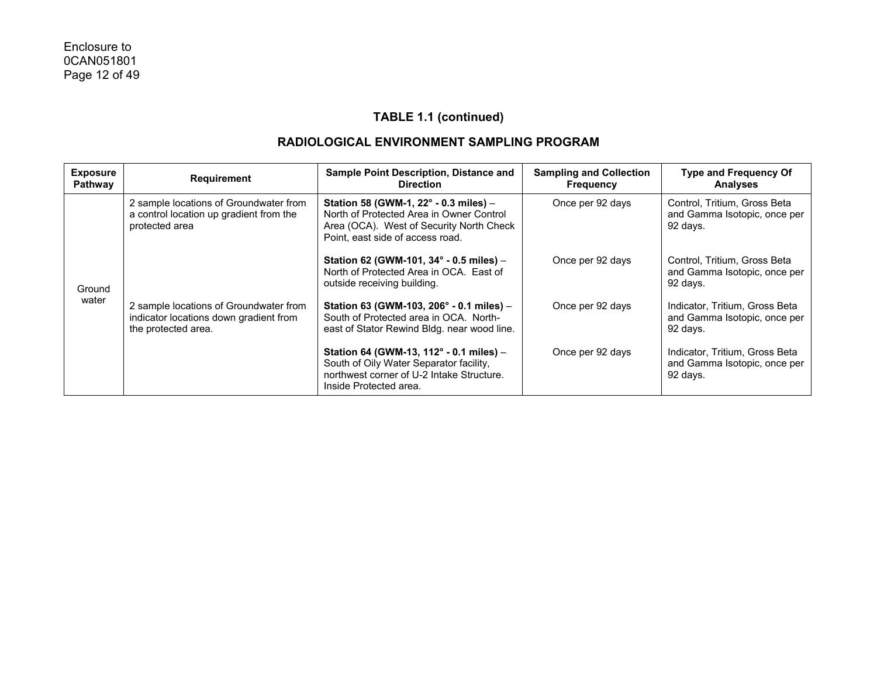| <b>Exposure</b><br>Pathway | <b>Requirement</b>                                                                                      | <b>Sample Point Description, Distance and</b><br><b>Direction</b>                                                                                                 | <b>Sampling and Collection</b><br><b>Frequency</b> | <b>Type and Frequency Of</b><br><b>Analyses</b>                            |
|----------------------------|---------------------------------------------------------------------------------------------------------|-------------------------------------------------------------------------------------------------------------------------------------------------------------------|----------------------------------------------------|----------------------------------------------------------------------------|
|                            | 2 sample locations of Groundwater from<br>a control location up gradient from the<br>protected area     | Station 58 (GWM-1, 22° - 0.3 miles) -<br>North of Protected Area in Owner Control<br>Area (OCA). West of Security North Check<br>Point, east side of access road. | Once per 92 days                                   | Control, Tritium, Gross Beta<br>and Gamma Isotopic, once per<br>92 days.   |
| Ground                     |                                                                                                         | Station 62 (GWM-101, 34° - 0.5 miles) -<br>North of Protected Area in OCA. East of<br>outside receiving building.                                                 | Once per 92 days                                   | Control, Tritium, Gross Beta<br>and Gamma Isotopic, once per<br>92 days.   |
| water                      | 2 sample locations of Groundwater from<br>indicator locations down gradient from<br>the protected area. | Station 63 (GWM-103, 206° - 0.1 miles) -<br>South of Protected area in OCA. North-<br>east of Stator Rewind Bldg. near wood line.                                 | Once per 92 days                                   | Indicator, Tritium, Gross Beta<br>and Gamma Isotopic, once per<br>92 days. |
|                            |                                                                                                         | Station 64 (GWM-13, 112° - 0.1 miles) -<br>South of Oily Water Separator facility,<br>northwest corner of U-2 Intake Structure.<br>Inside Protected area.         | Once per 92 days                                   | Indicator, Tritium, Gross Beta<br>and Gamma Isotopic, once per<br>92 days. |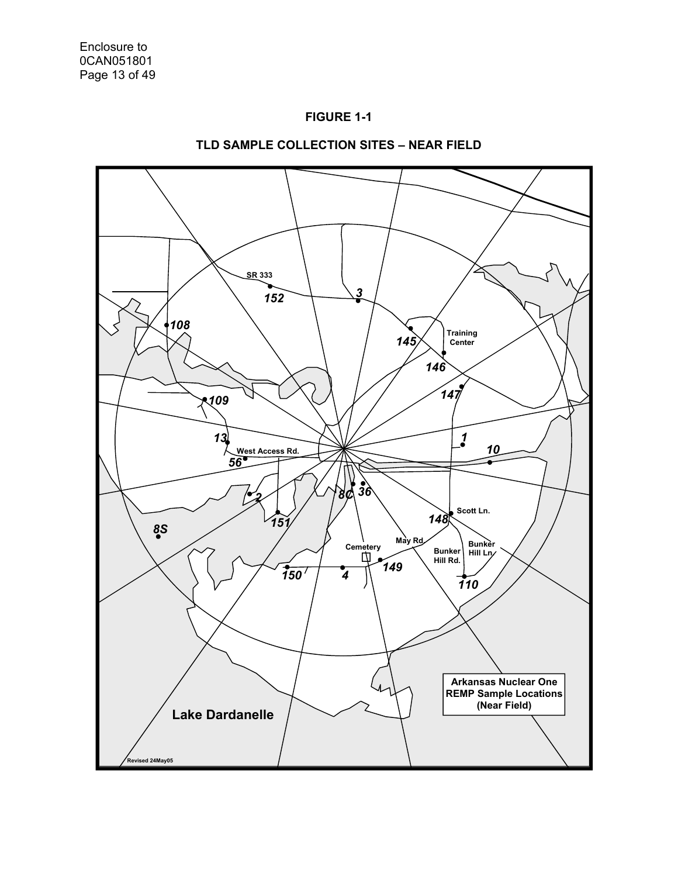



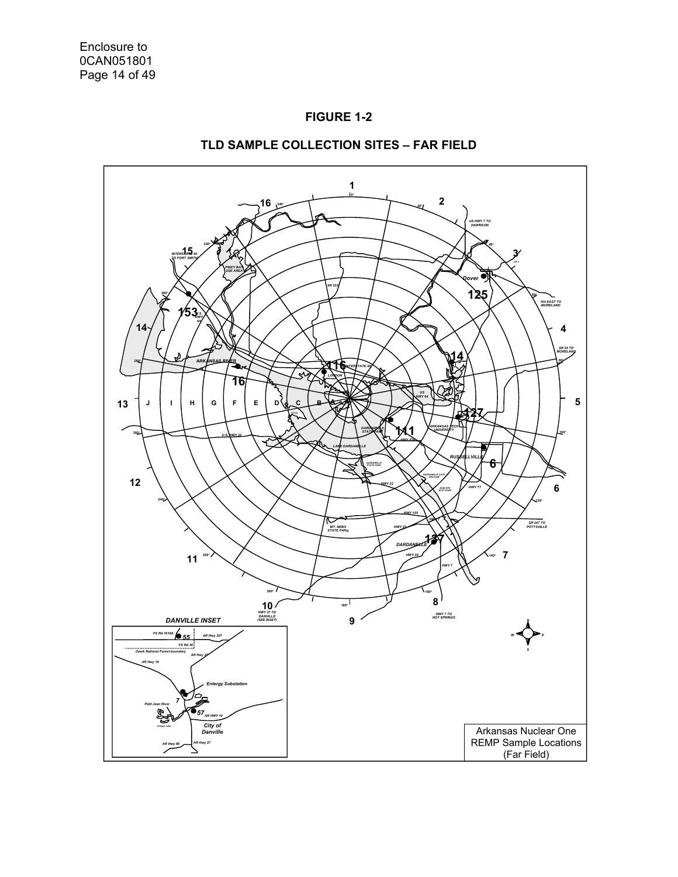



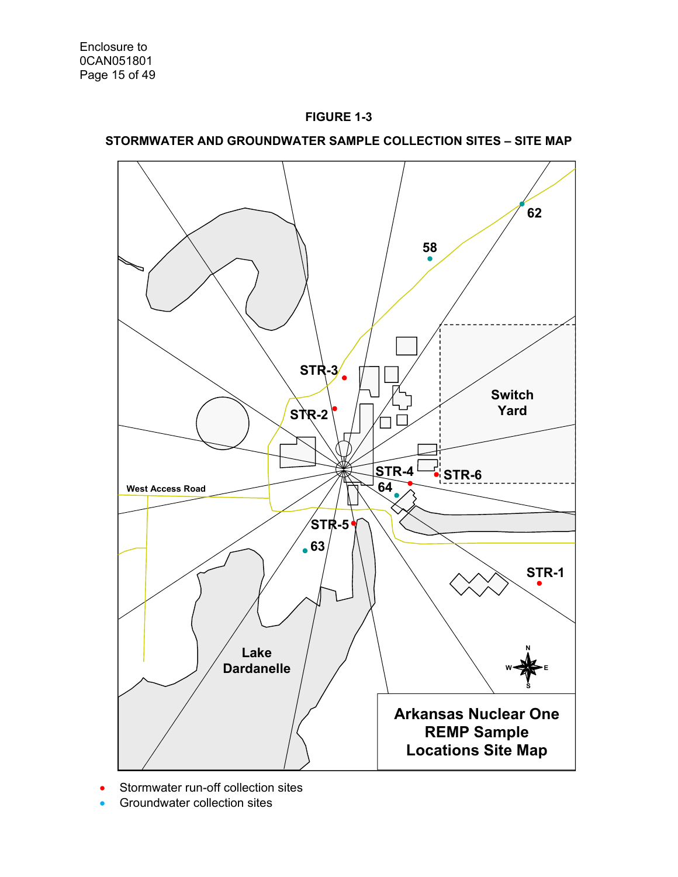

# **STORMWATER AND GROUNDWATER SAMPLE COLLECTION SITES – SITE MAP**



- Stormwater run-off collection sites
- Groundwater collection sites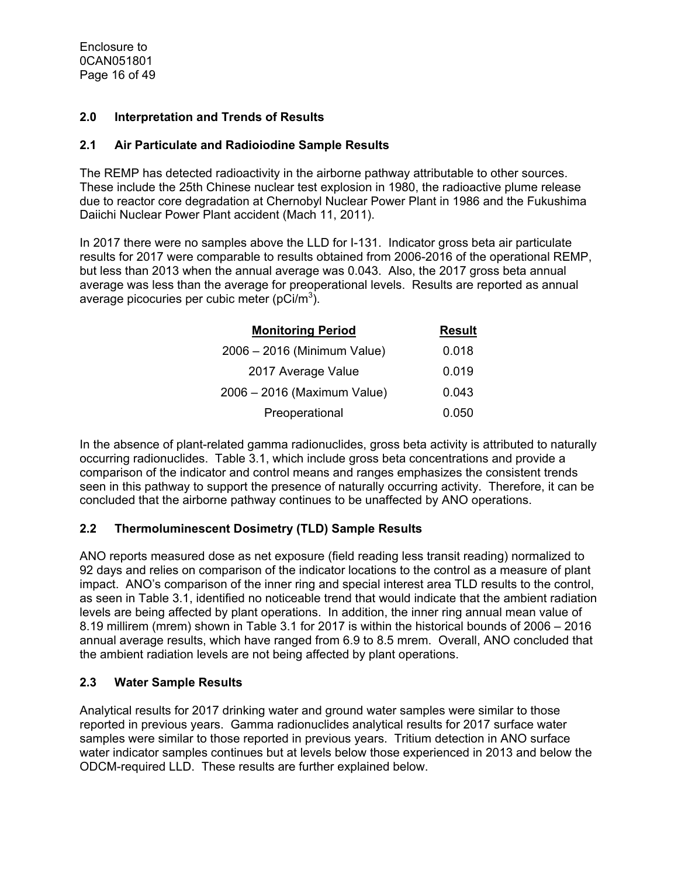Enclosure to 0CAN051801 Page 16 of 49

## **2.0 Interpretation and Trends of Results**

## **2.1 Air Particulate and Radioiodine Sample Results**

The REMP has detected radioactivity in the airborne pathway attributable to other sources. These include the 25th Chinese nuclear test explosion in 1980, the radioactive plume release due to reactor core degradation at Chernobyl Nuclear Power Plant in 1986 and the Fukushima Daiichi Nuclear Power Plant accident (Mach 11, 2011).

In 2017 there were no samples above the LLD for I-131. Indicator gross beta air particulate results for 2017 were comparable to results obtained from 2006-2016 of the operational REMP, but less than 2013 when the annual average was 0.043. Also, the 2017 gross beta annual average was less than the average for preoperational levels. Results are reported as annual average picocuries per cubic meter (pCi/m<sup>3</sup>).

| <b>Monitoring Period</b>    | <b>Result</b> |
|-----------------------------|---------------|
| 2006 - 2016 (Minimum Value) | 0.018         |
| 2017 Average Value          | 0.019         |
| 2006 - 2016 (Maximum Value) | 0.043         |
| Preoperational              | 0.050         |

In the absence of plant-related gamma radionuclides, gross beta activity is attributed to naturally occurring radionuclides. Table 3.1, which include gross beta concentrations and provide a comparison of the indicator and control means and ranges emphasizes the consistent trends seen in this pathway to support the presence of naturally occurring activity. Therefore, it can be concluded that the airborne pathway continues to be unaffected by ANO operations.

## **2.2 Thermoluminescent Dosimetry (TLD) Sample Results**

ANO reports measured dose as net exposure (field reading less transit reading) normalized to 92 days and relies on comparison of the indicator locations to the control as a measure of plant impact. ANO's comparison of the inner ring and special interest area TLD results to the control, as seen in Table 3.1, identified no noticeable trend that would indicate that the ambient radiation levels are being affected by plant operations. In addition, the inner ring annual mean value of 8.19 millirem (mrem) shown in Table 3.1 for 2017 is within the historical bounds of 2006 – 2016 annual average results, which have ranged from 6.9 to 8.5 mrem. Overall, ANO concluded that the ambient radiation levels are not being affected by plant operations.

## **2.3 Water Sample Results**

Analytical results for 2017 drinking water and ground water samples were similar to those reported in previous years. Gamma radionuclides analytical results for 2017 surface water samples were similar to those reported in previous years. Tritium detection in ANO surface water indicator samples continues but at levels below those experienced in 2013 and below the ODCM-required LLD. These results are further explained below.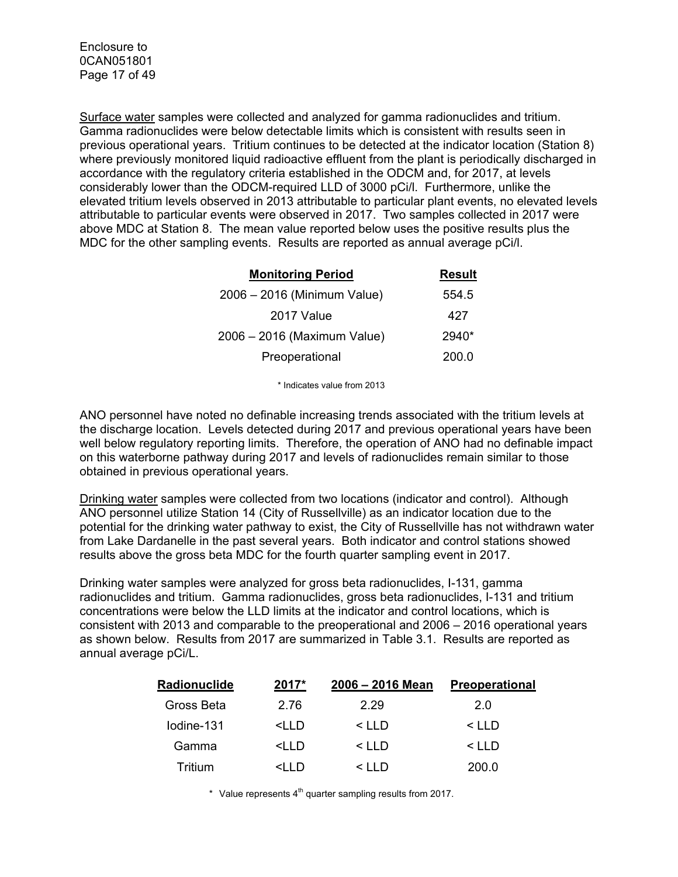Surface water samples were collected and analyzed for gamma radionuclides and tritium. Gamma radionuclides were below detectable limits which is consistent with results seen in previous operational years. Tritium continues to be detected at the indicator location (Station 8) where previously monitored liquid radioactive effluent from the plant is periodically discharged in accordance with the regulatory criteria established in the ODCM and, for 2017, at levels considerably lower than the ODCM-required LLD of 3000 pCi/l. Furthermore, unlike the elevated tritium levels observed in 2013 attributable to particular plant events, no elevated levels attributable to particular events were observed in 2017. Two samples collected in 2017 were above MDC at Station 8. The mean value reported below uses the positive results plus the MDC for the other sampling events. Results are reported as annual average pCi/l.

| <b>Monitoring Period</b>    | <b>Result</b> |
|-----------------------------|---------------|
| 2006 - 2016 (Minimum Value) | 554.5         |
| 2017 Value                  | 427           |
| 2006 - 2016 (Maximum Value) | $2940*$       |
| Preoperational              | 200.0         |

\* Indicates value from 2013

ANO personnel have noted no definable increasing trends associated with the tritium levels at the discharge location. Levels detected during 2017 and previous operational years have been well below regulatory reporting limits. Therefore, the operation of ANO had no definable impact on this waterborne pathway during 2017 and levels of radionuclides remain similar to those obtained in previous operational years.

Drinking water samples were collected from two locations (indicator and control). Although ANO personnel utilize Station 14 (City of Russellville) as an indicator location due to the potential for the drinking water pathway to exist, the City of Russellville has not withdrawn water from Lake Dardanelle in the past several years. Both indicator and control stations showed results above the gross beta MDC for the fourth quarter sampling event in 2017.

Drinking water samples were analyzed for gross beta radionuclides, I-131, gamma radionuclides and tritium. Gamma radionuclides, gross beta radionuclides, I-131 and tritium concentrations were below the LLD limits at the indicator and control locations, which is consistent with 2013 and comparable to the preoperational and 2006 – 2016 operational years as shown below. Results from 2017 are summarized in Table 3.1. Results are reported as annual average pCi/L.

| Radionuclide | 2017*                                                                               | 2006 - 2016 Mean | <b>Preoperational</b> |
|--------------|-------------------------------------------------------------------------------------|------------------|-----------------------|
| Gross Beta   | 2.76                                                                                | 2.29             | 2.0                   |
| lodine-131   | <iid< td=""><td><math>\leq</math> I I D</td><td><math>\leq</math> I I D</td></iid<> | $\leq$ I I D     | $\leq$ I I D          |
| Gamma        | <iid< td=""><td><math>&lt;</math> LLD</td><td><math>&lt;</math> LLD</td></iid<>     | $<$ LLD          | $<$ LLD               |
| Tritium      | $\leq$ $\ln$                                                                        | $\leq$ I I D     | 200.0                 |

\* Value represents  $4<sup>th</sup>$  quarter sampling results from 2017.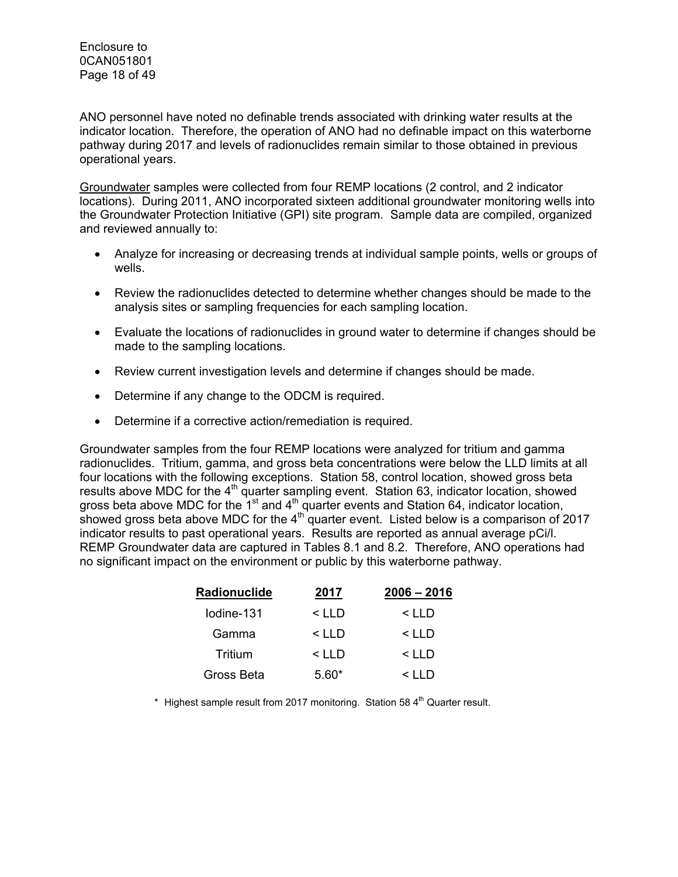Enclosure to 0CAN051801 Page 18 of 49

ANO personnel have noted no definable trends associated with drinking water results at the indicator location. Therefore, the operation of ANO had no definable impact on this waterborne pathway during 2017 and levels of radionuclides remain similar to those obtained in previous operational years.

Groundwater samples were collected from four REMP locations (2 control, and 2 indicator locations). During 2011, ANO incorporated sixteen additional groundwater monitoring wells into the Groundwater Protection Initiative (GPI) site program. Sample data are compiled, organized and reviewed annually to:

- Analyze for increasing or decreasing trends at individual sample points, wells or groups of wells.
- Review the radionuclides detected to determine whether changes should be made to the analysis sites or sampling frequencies for each sampling location.
- Evaluate the locations of radionuclides in ground water to determine if changes should be made to the sampling locations.
- Review current investigation levels and determine if changes should be made.
- Determine if any change to the ODCM is required.
- Determine if a corrective action/remediation is required.

Groundwater samples from the four REMP locations were analyzed for tritium and gamma radionuclides. Tritium, gamma, and gross beta concentrations were below the LLD limits at all four locations with the following exceptions. Station 58, control location, showed gross beta results above MDC for the 4<sup>th</sup> quarter sampling event. Station 63, indicator location, showed gross beta above MDC for the 1<sup>st</sup> and  $4<sup>th</sup>$  quarter events and Station 64, indicator location, showed gross beta above MDC for the  $4<sup>th</sup>$  quarter event. Listed below is a comparison of 2017 indicator results to past operational years. Results are reported as annual average pCi/l. REMP Groundwater data are captured in Tables 8.1 and 8.2. Therefore, ANO operations had no significant impact on the environment or public by this waterborne pathway.

| Radionuclide | 2017    | $2006 - 2016$ |
|--------------|---------|---------------|
| lodine-131   | $<$ LLD | $<$ LLD       |
| Gamma        | < LLD   | $<$ LLD       |
| Tritium      | $<$ LLD | $<$ LLD       |
| Gross Beta   | $5.60*$ | $\leq$ I I D  |

\* Highest sample result from 2017 monitoring. Station 58  $4<sup>th</sup>$  Quarter result.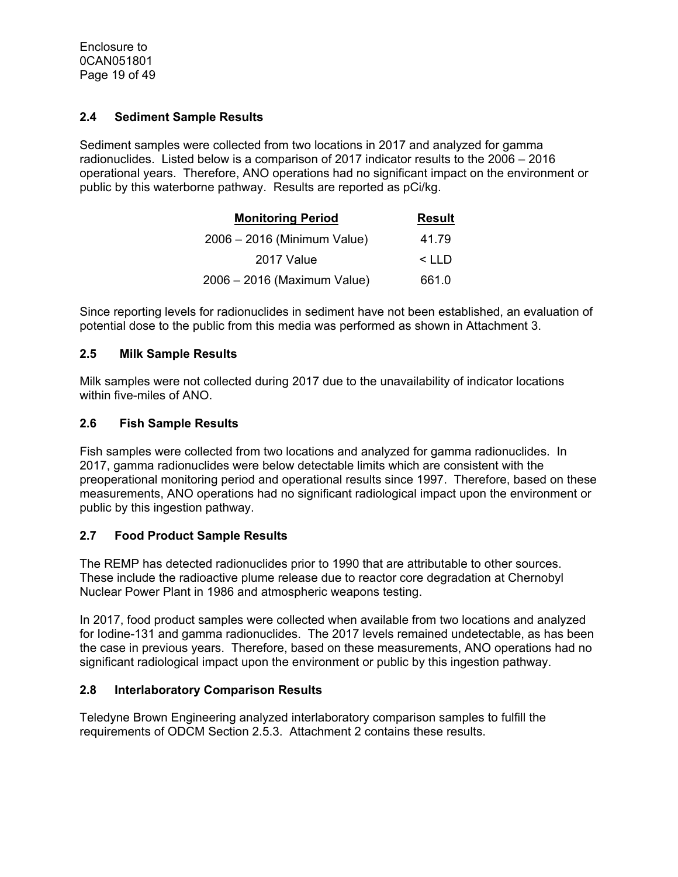## **2.4 Sediment Sample Results**

Sediment samples were collected from two locations in 2017 and analyzed for gamma radionuclides. Listed below is a comparison of 2017 indicator results to the 2006 – 2016 operational years. Therefore, ANO operations had no significant impact on the environment or public by this waterborne pathway. Results are reported as pCi/kg.

| <b>Monitoring Period</b>    | <b>Result</b> |
|-----------------------------|---------------|
| 2006 - 2016 (Minimum Value) | 41.79         |
| 2017 Value                  | $<$ LLD       |
| 2006 - 2016 (Maximum Value) | 661.0         |

Since reporting levels for radionuclides in sediment have not been established, an evaluation of potential dose to the public from this media was performed as shown in Attachment 3.

## **2.5 Milk Sample Results**

Milk samples were not collected during 2017 due to the unavailability of indicator locations within five-miles of ANO.

## **2.6 Fish Sample Results**

Fish samples were collected from two locations and analyzed for gamma radionuclides. In 2017, gamma radionuclides were below detectable limits which are consistent with the preoperational monitoring period and operational results since 1997. Therefore, based on these measurements, ANO operations had no significant radiological impact upon the environment or public by this ingestion pathway.

## **2.7 Food Product Sample Results**

The REMP has detected radionuclides prior to 1990 that are attributable to other sources. These include the radioactive plume release due to reactor core degradation at Chernobyl Nuclear Power Plant in 1986 and atmospheric weapons testing.

In 2017, food product samples were collected when available from two locations and analyzed for Iodine-131 and gamma radionuclides. The 2017 levels remained undetectable, as has been the case in previous years. Therefore, based on these measurements, ANO operations had no significant radiological impact upon the environment or public by this ingestion pathway.

## **2.8 Interlaboratory Comparison Results**

Teledyne Brown Engineering analyzed interlaboratory comparison samples to fulfill the requirements of ODCM Section 2.5.3. Attachment 2 contains these results.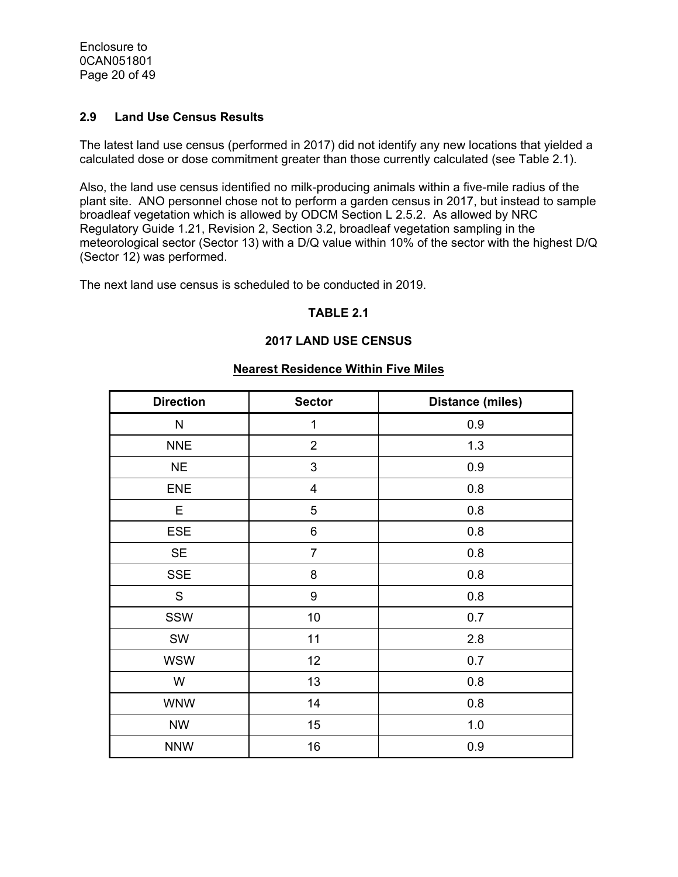Enclosure to 0CAN051801 Page 20 of 49

## **2.9 Land Use Census Results**

The latest land use census (performed in 2017) did not identify any new locations that yielded a calculated dose or dose commitment greater than those currently calculated (see Table 2.1).

Also, the land use census identified no milk-producing animals within a five-mile radius of the plant site. ANO personnel chose not to perform a garden census in 2017, but instead to sample broadleaf vegetation which is allowed by ODCM Section L 2.5.2. As allowed by NRC Regulatory Guide 1.21, Revision 2, Section 3.2, broadleaf vegetation sampling in the meteorological sector (Sector 13) with a D/Q value within 10% of the sector with the highest D/Q (Sector 12) was performed.

The next land use census is scheduled to be conducted in 2019.

## **TABLE 2.1**

## **2017 LAND USE CENSUS**

#### **Nearest Residence Within Five Miles**

| <b>Direction</b> | <b>Sector</b>           | <b>Distance (miles)</b> |
|------------------|-------------------------|-------------------------|
| N                | $\mathbf 1$             | 0.9                     |
| <b>NNE</b>       | $\overline{2}$          | 1.3                     |
| <b>NE</b>        | 3                       | 0.9                     |
| <b>ENE</b>       | $\overline{\mathbf{4}}$ | 0.8                     |
| Е                | 5                       | 0.8                     |
| <b>ESE</b>       | 6                       | 0.8                     |
| <b>SE</b>        | $\overline{7}$          | 0.8                     |
| <b>SSE</b>       | 8                       | 0.8                     |
| ${\mathsf S}$    | $\boldsymbol{9}$        | 0.8                     |
| SSW              | 10                      | 0.7                     |
| SW               | 11                      | 2.8                     |
| <b>WSW</b>       | 12                      | 0.7                     |
| W                | 13                      | 0.8                     |
| <b>WNW</b>       | 14                      | 0.8                     |
| <b>NW</b>        | 15                      | 1.0                     |
| <b>NNW</b>       | 16                      | 0.9                     |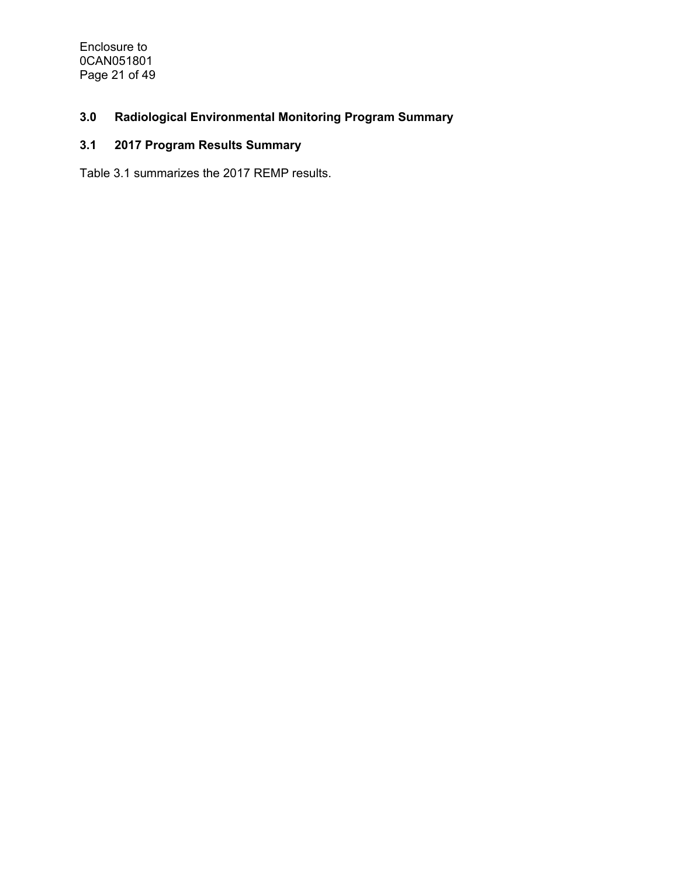Enclosure to 0CAN051801 Page 21 of 49

# **3.0 Radiological Environmental Monitoring Program Summary**

# **3.1 2017 Program Results Summary**

Table 3.1 summarizes the 2017 REMP results.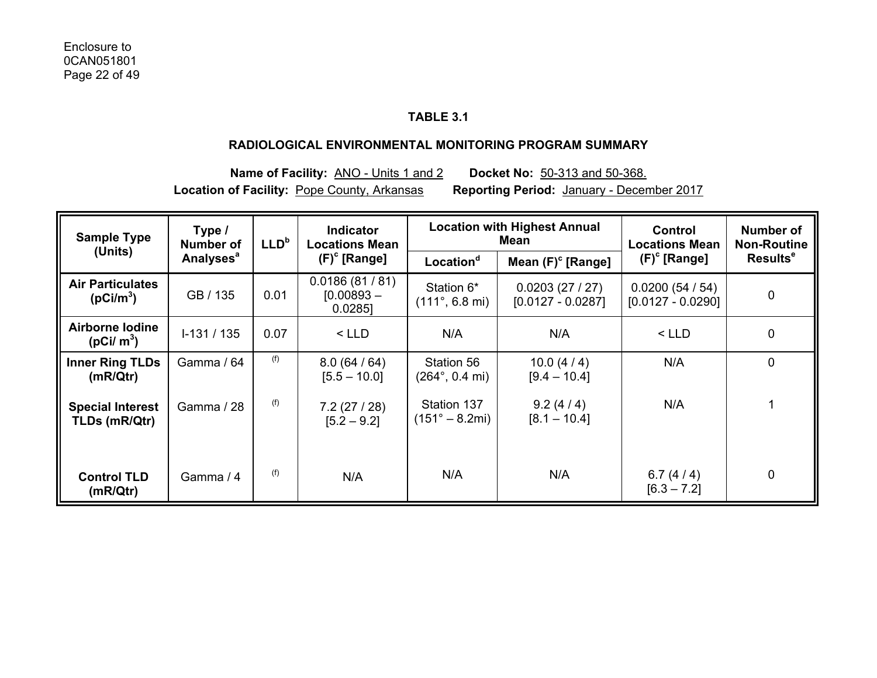# **TABLE 3.1**

#### **RADIOLOGICAL ENVIRONMENTAL MONITORING PROGRAM SUMMARY**

**Name of Facility:** ANO - Units 1 and 2 **Docket No:** 50-313 and 50-368. **Location of Facility:** Pope County, Arkansas **Reporting Period:** January - December 2017

| <b>Sample Type</b><br>(Units)                    | Type /<br><b>Number of</b>  | LLD <sup>b</sup> | <b>Location with Highest Annual</b><br><b>Indicator</b><br>Mean<br><b>Locations Mean</b> |                                                | Control<br><b>Locations Mean</b>     | Number of<br><b>Non-Routine</b>      |                            |
|--------------------------------------------------|-----------------------------|------------------|------------------------------------------------------------------------------------------|------------------------------------------------|--------------------------------------|--------------------------------------|----------------------------|
|                                                  | <b>Analyses<sup>a</sup></b> |                  | $(F)^c$ [Range]                                                                          | Location <sup>d</sup>                          | Mean $(F)^c$ [Range]                 | $(F)^c$ [Range]                      | <b>Results<sup>e</sup></b> |
| <b>Air Particulates</b><br>(pCi/m <sup>3</sup> ) | GB / 135                    | 0.01             | 0.0186(81/81)<br>$[0.00893 -$<br>$0.0285$ ]                                              | Station 6*<br>$(111^{\circ}, 6.8 \text{ mi})$  | 0.0203(27/27)<br>$[0.0127 - 0.0287]$ | 0.0200(54/54)<br>$[0.0127 - 0.0290]$ | $\pmb{0}$                  |
| Airborne Iodine<br>( $pCi/m^3$ )                 | $1-131/135$                 | 0.07             | $<$ LLD                                                                                  | N/A                                            | N/A                                  | $<$ LLD                              | 0                          |
| <b>Inner Ring TLDs</b><br>(mR/Qtr)               | Gamma / 64                  | (f)              | 8.0(64/64)<br>$[5.5 - 10.0]$                                                             | Station 56<br>$(264^{\circ}, 0.4 \text{ mi})$  | 10.0 $(4/4)$<br>$[9.4 - 10.4]$       | N/A                                  | $\mathbf 0$                |
| <b>Special Interest</b><br>TLDs (mR/Qtr)         | Gamma / 28                  | (f)              | 7.2(27/28)<br>$[5.2 - 9.2]$                                                              | Station 137<br>$(151^{\circ} - 8.2 \text{mi})$ | 9.2(4/4)<br>$[8.1 - 10.4]$           | N/A                                  |                            |
| <b>Control TLD</b><br>(mR/Qtr)                   | Gamma / 4                   | (f)              | N/A                                                                                      | N/A                                            | N/A                                  | 6.7 $(4/4)$<br>$[6.3 - 7.2]$         | 0                          |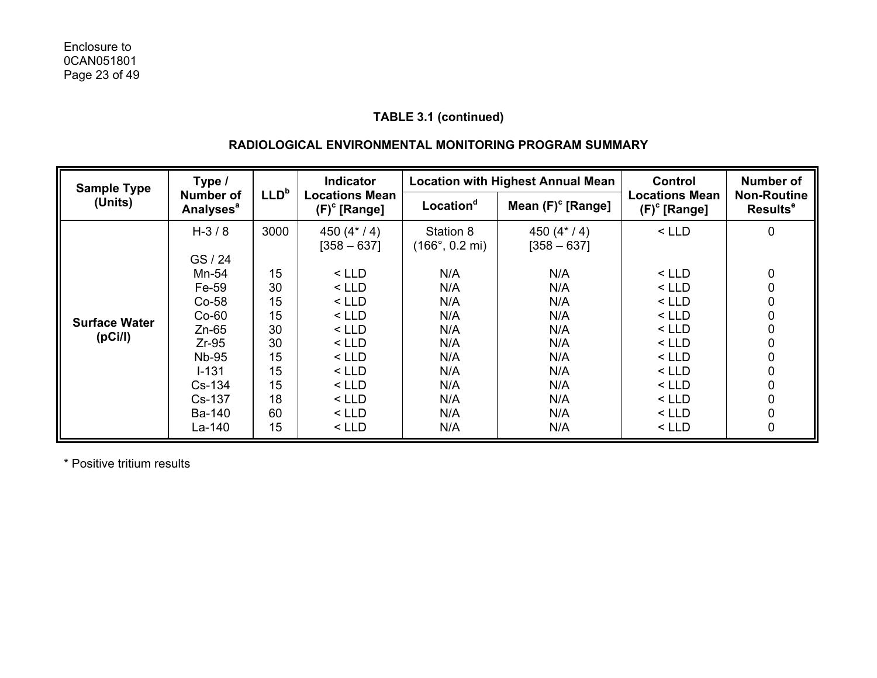# **RADIOLOGICAL ENVIRONMENTAL MONITORING PROGRAM SUMMARY**

| <b>Sample Type</b><br>(Units)   | <b>Number of</b><br><b>Analyses<sup>a</sup></b>                                                              | LLD <sup>b</sup>                                               |                                                                                                                       |                                                                           | <b>Location with Highest Annual Mean</b>                                  |                                                                                                                   | <b>Number of</b>                                    |
|---------------------------------|--------------------------------------------------------------------------------------------------------------|----------------------------------------------------------------|-----------------------------------------------------------------------------------------------------------------------|---------------------------------------------------------------------------|---------------------------------------------------------------------------|-------------------------------------------------------------------------------------------------------------------|-----------------------------------------------------|
|                                 |                                                                                                              |                                                                | <b>Locations Mean</b><br>$(F)^c$ [Range]                                                                              | Location <sup>d</sup>                                                     | Mean $(F)^c$ [Range]                                                      | <b>Locations Mean</b><br>$(F)^c$ [Range]                                                                          | <b>Non-Routine</b><br>Results <sup>e</sup>          |
|                                 | $H - 3/8$<br>GS / 24<br>Mn-54                                                                                | 3000<br>15                                                     | 450 $(4*/4)$<br>$[358 - 637]$<br>$<$ LLD                                                                              | Station 8<br>$(166^{\circ}, 0.2 \text{ mi})$<br>N/A                       | 450 $(4*/4)$<br>$[358 - 637]$<br>N/A                                      | $<$ LLD<br>< LLD                                                                                                  | 0<br>0                                              |
| <b>Surface Water</b><br>(pCi/l) | Fe-59<br>$Co-58$<br>$Co-60$<br>$Zn-65$<br>$Zr-95$<br><b>Nb-95</b><br>$I - 131$<br>Cs-134<br>Cs-137<br>Ba-140 | 30<br>15<br>15<br>30<br>30<br>15<br>15<br>15<br>18<br>60<br>15 | $<$ LLD<br>$<$ LLD<br>$<$ LLD<br>$<$ LLD<br>$<$ LLD<br>$<$ LLD<br>$<$ LLD<br>$<$ LLD<br>$<$ LLD<br>$<$ LLD<br>$<$ LLD | N/A<br>N/A<br>N/A<br>N/A<br>N/A<br>N/A<br>N/A<br>N/A<br>N/A<br>N/A<br>N/A | N/A<br>N/A<br>N/A<br>N/A<br>N/A<br>N/A<br>N/A<br>N/A<br>N/A<br>N/A<br>N/A | < LLD<br>$<$ LLD<br>$<$ LLD<br>$<$ LLD<br>$<$ LLD<br>$<$ LLD<br>$<$ LLD<br>$<$ LLD<br>$<$ LLD<br>< LLD<br>$<$ LLD | 0<br>0<br>0<br>0<br>0<br>0<br>0<br>0<br>0<br>0<br>0 |

\* Positive tritium results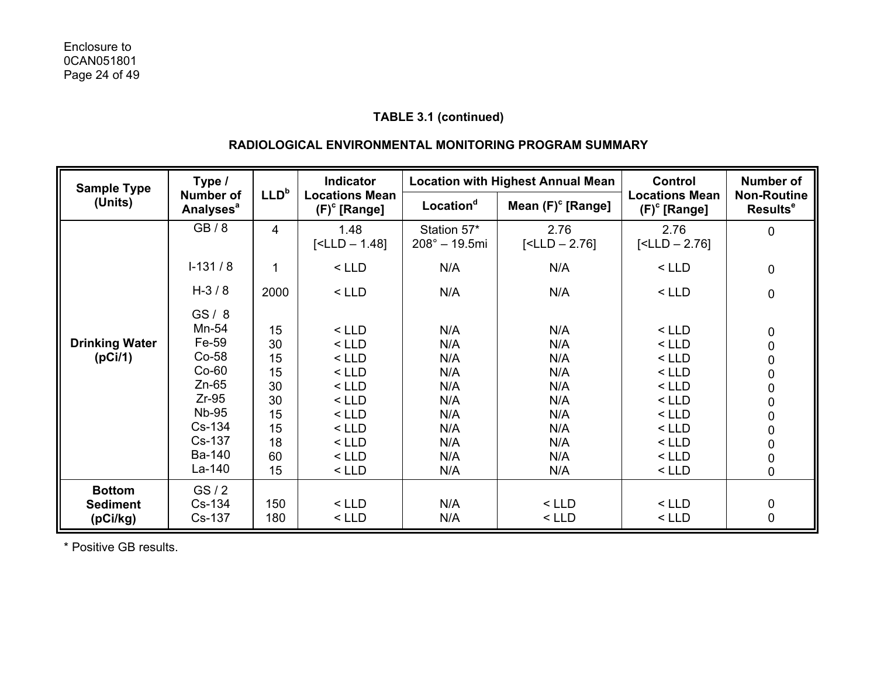# **RADIOLOGICAL ENVIRONMENTAL MONITORING PROGRAM SUMMARY**

| <b>Sample Type</b>    | Type /                                          |                  | <b>Indicator</b>                         |                                        | <b>Location with Highest Annual Mean</b> | <b>Control</b>                           | <b>Number of</b>                                 |
|-----------------------|-------------------------------------------------|------------------|------------------------------------------|----------------------------------------|------------------------------------------|------------------------------------------|--------------------------------------------------|
| (Units)               | <b>Number of</b><br><b>Analyses<sup>a</sup></b> | LLD <sup>b</sup> | <b>Locations Mean</b><br>$(F)^c$ [Range] | Location <sup>d</sup>                  | Mean $(F)^c$ [Range]                     | <b>Locations Mean</b><br>$(F)^c$ [Range] | <b>Non-Routine</b><br><b>Results<sup>e</sup></b> |
|                       | GB/8                                            | $\overline{4}$   | 1.48<br>$[$                              | Station 57*<br>$208^{\circ} - 19.5$ mi | 2.76<br>$[$                              | 2.76<br>$[$                              | 0                                                |
|                       | $I-131/8$                                       | 1                | $<$ LLD                                  | N/A                                    | N/A                                      | $<$ LLD                                  | $\mathbf 0$                                      |
|                       | $H-3/8$                                         | 2000             | $<$ LLD                                  | N/A                                    | N/A                                      | $<$ LLD                                  | $\pmb{0}$                                        |
|                       | GS/8                                            |                  |                                          |                                        |                                          |                                          |                                                  |
|                       | Mn-54                                           | 15               | $<$ LLD                                  | N/A                                    | N/A                                      | $<$ LLD                                  |                                                  |
| <b>Drinking Water</b> | Fe-59                                           | 30               | $<$ LLD                                  | N/A                                    | N/A                                      | $<$ LLD                                  | $\begin{array}{c} 0 \\ 0 \end{array}$            |
| (pCi/1)               | Co-58                                           | 15               | $<$ LLD                                  | N/A                                    | N/A                                      | $<$ LLD                                  |                                                  |
|                       | $Co-60$                                         | 15               | $<$ LLD                                  | N/A                                    | N/A                                      | $<$ LLD                                  | $\begin{matrix}0\\0\end{matrix}$                 |
|                       | $Zn-65$                                         | 30               | $<$ LLD                                  | N/A                                    | N/A                                      | $<$ LLD                                  |                                                  |
|                       | $Zr-95$                                         | 30               | $<$ LLD                                  | N/A                                    | N/A                                      | $<$ LLD                                  | $\begin{matrix}0\\0\end{matrix}$                 |
|                       | <b>Nb-95</b>                                    | 15               | $<$ LLD                                  | N/A                                    | N/A                                      | $<$ LLD                                  |                                                  |
|                       | Cs-134                                          | 15               | $<$ LLD                                  | N/A                                    | N/A                                      | $<$ LLD                                  | $\begin{matrix} 0 \\ 0 \\ 0 \\ 0 \end{matrix}$   |
|                       | Cs-137                                          | 18               | $<$ LLD                                  | N/A                                    | N/A                                      | $<$ LLD                                  |                                                  |
|                       | Ba-140                                          | 60               | $<$ LLD                                  | N/A                                    | N/A                                      | $<$ LLD                                  |                                                  |
|                       | La-140                                          | 15               | $<$ LLD                                  | N/A                                    | N/A                                      | $<$ LLD                                  | $\overline{0}$                                   |
| <b>Bottom</b>         | GS/2                                            |                  |                                          |                                        |                                          |                                          |                                                  |
| <b>Sediment</b>       | Cs-134                                          | 150              | $<$ LLD                                  | N/A                                    | $<$ LLD                                  | $<$ LLD                                  |                                                  |
| (pCi/kg)              | Cs-137                                          | 180              | $<$ LLD                                  | N/A                                    | $<$ LLD                                  | $<$ LLD                                  | $0\atop 0$                                       |

\* Positive GB results.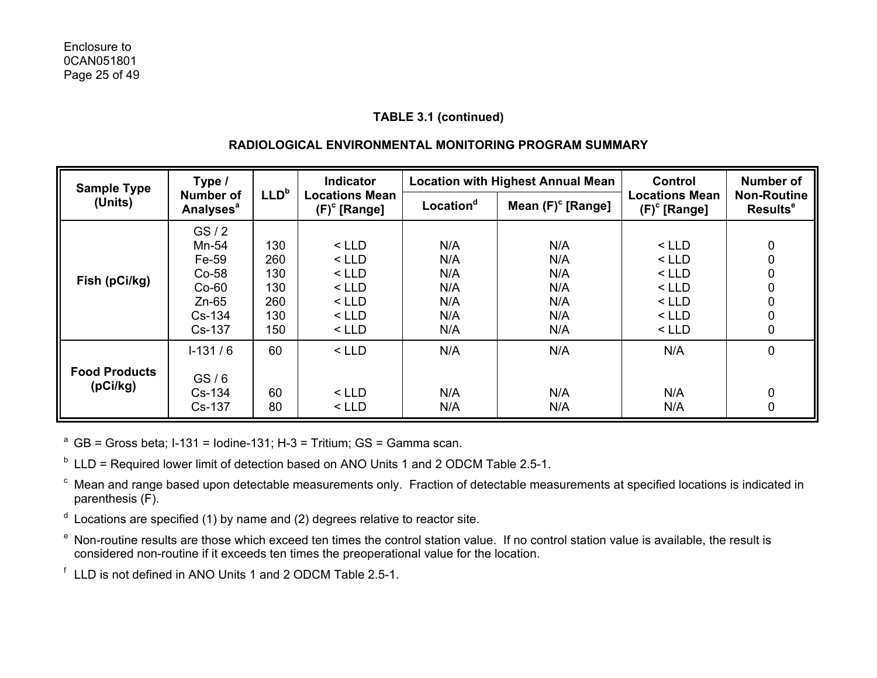# **RADIOLOGICAL ENVIRONMENTAL MONITORING PROGRAM SUMMARY**

| <b>Sample Type</b>   | Type /                                                              |                                        | Indicator                                                      | <b>Location with Highest Annual Mean</b> |                                        | Control                                                        | <b>Number of</b>                           |
|----------------------|---------------------------------------------------------------------|----------------------------------------|----------------------------------------------------------------|------------------------------------------|----------------------------------------|----------------------------------------------------------------|--------------------------------------------|
| (Units)              | LLD <sup>b</sup><br><b>Number of</b><br><b>Analyses<sup>a</sup></b> |                                        | <b>Locations Mean</b><br>$(F)^c$ [Range]                       | Location <sup>d</sup>                    | Mean $(F)^c$ [Range]                   | <b>Locations Mean</b><br>$(F)^c$ [Range]                       | <b>Non-Routine</b><br>Results <sup>e</sup> |
| Fish (pCi/kg)        | GS/2<br>Mn-54<br>Fe-59<br>$Co-58$<br>$Co-60$<br>$Zn-65$<br>$Cs-134$ | 130<br>260<br>130<br>130<br>260<br>130 | $<$ LLD<br>$<$ LLD<br>$<$ LLD<br>$<$ LLD<br>$<$ LLD<br>$<$ LLD | N/A<br>N/A<br>N/A<br>N/A<br>N/A<br>N/A   | N/A<br>N/A<br>N/A<br>N/A<br>N/A<br>N/A | $<$ LLD<br>$<$ LLD<br>$<$ LLD<br>$<$ LLD<br>$<$ LLD<br>$<$ LLD | 0<br>0<br>0<br>0<br>0<br>0                 |
|                      | Cs-137                                                              | 150                                    | $<$ LLD                                                        | N/A                                      | N/A                                    | $<$ LLD                                                        | 0                                          |
| <b>Food Products</b> | $1-131/6$<br>GS/6                                                   | 60                                     | $<$ LLD                                                        | N/A                                      | N/A                                    | N/A                                                            | 0                                          |
| (pCi/kg)             | Cs-134<br>Cs-137                                                    | 60<br>80                               | $<$ LLD<br>$<$ LLD                                             | N/A<br>N/A                               | N/A<br>N/A                             | N/A<br>N/A                                                     | 0<br>0                                     |

<sup>a</sup> GB = Gross beta; I-131 = Iodine-131; H-3 = Tritium; GS = Gamma scan.

 $<sup>b</sup>$  LLD = Required lower limit of detection based on ANO Units 1 and 2 ODCM Table 2.5-1.</sup>

c Mean and range based upon detectable measurements only. Fraction of detectable measurements at specified locations is indicated in parenthesis (F).

- $d$  Locations are specified (1) by name and (2) degrees relative to reactor site.
- e Non-routine results are those which exceed ten times the control station value. If no control station value is available, the result is considered non-routine if it exceeds ten times the preoperational value for the location.

f LLD is not defined in ANO Units 1 and 2 ODCM Table 2.5-1.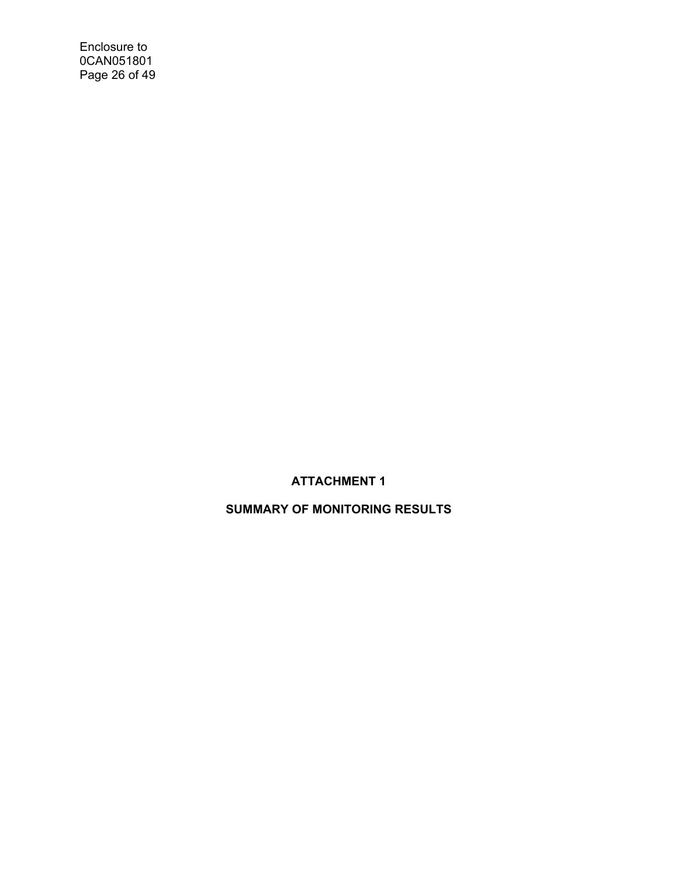Enclosure to 0CAN051801 Page 26 of 49

# **ATTACHMENT 1**

# **SUMMARY OF MONITORING RESULTS**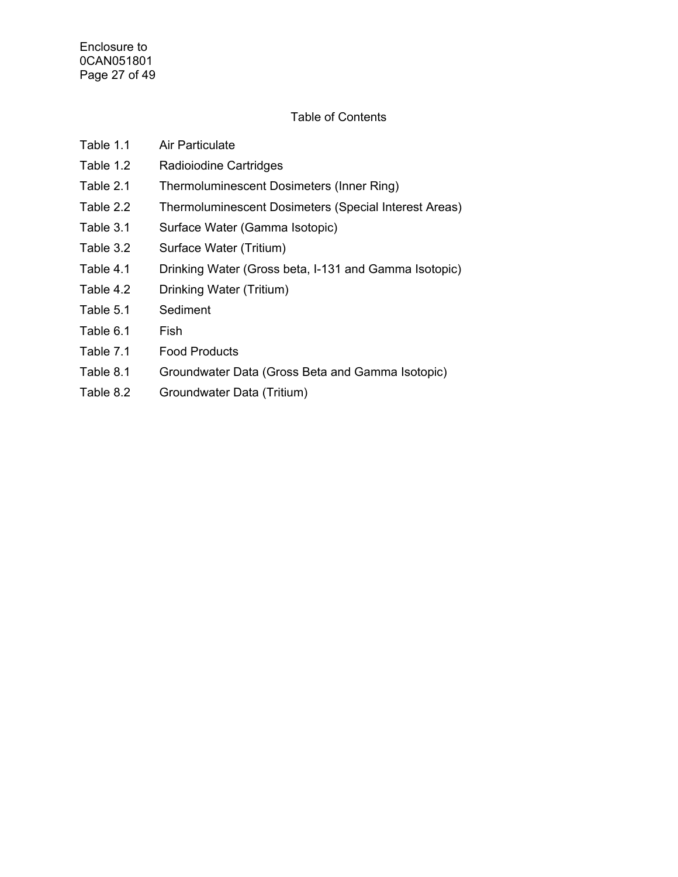# Table of Contents

| Table 1.1 | Air Particulate                                       |
|-----------|-------------------------------------------------------|
| Table 1.2 | Radioiodine Cartridges                                |
| Table 2.1 | Thermoluminescent Dosimeters (Inner Ring)             |
| Table 2.2 | Thermoluminescent Dosimeters (Special Interest Areas) |
| Table 3.1 | Surface Water (Gamma Isotopic)                        |
| Table 3.2 | Surface Water (Tritium)                               |
| Table 4.1 | Drinking Water (Gross beta, I-131 and Gamma Isotopic) |
| Table 4.2 | Drinking Water (Tritium)                              |
| Table 5.1 | Sediment                                              |
| Table 6.1 | Fish                                                  |
|           |                                                       |

- Table 7.1 Food Products
- Table 8.1 Groundwater Data (Gross Beta and Gamma Isotopic)
- Table 8.2 Groundwater Data (Tritium)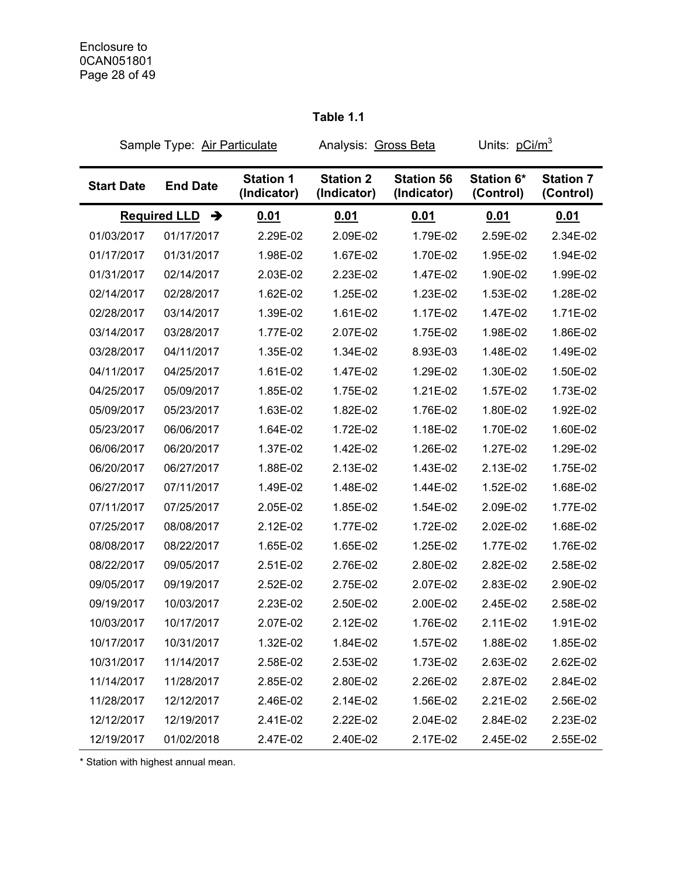# **Table 1.1**

| Sample Type: Air Particulate |                                      | Analysis: Gross Beta            |                                 | Units: pCi/m <sup>3</sup>        |                         |                               |
|------------------------------|--------------------------------------|---------------------------------|---------------------------------|----------------------------------|-------------------------|-------------------------------|
| <b>Start Date</b>            | <b>End Date</b>                      | <b>Station 1</b><br>(Indicator) | <b>Station 2</b><br>(Indicator) | <b>Station 56</b><br>(Indicator) | Station 6*<br>(Control) | <b>Station 7</b><br>(Control) |
|                              | <b>Required LLD</b><br>$\rightarrow$ | 0.01                            | <u>0.01</u>                     | <u>0.01</u>                      | 0.01                    | 0.01                          |
| 01/03/2017                   | 01/17/2017                           | 2.29E-02                        | 2.09E-02                        | 1.79E-02                         | 2.59E-02                | 2.34E-02                      |
| 01/17/2017                   | 01/31/2017                           | 1.98E-02                        | 1.67E-02                        | 1.70E-02                         | 1.95E-02                | 1.94E-02                      |
| 01/31/2017                   | 02/14/2017                           | 2.03E-02                        | 2.23E-02                        | 1.47E-02                         | 1.90E-02                | 1.99E-02                      |
| 02/14/2017                   | 02/28/2017                           | 1.62E-02                        | 1.25E-02                        | 1.23E-02                         | 1.53E-02                | 1.28E-02                      |
| 02/28/2017                   | 03/14/2017                           | 1.39E-02                        | 1.61E-02                        | 1.17E-02                         | 1.47E-02                | 1.71E-02                      |
| 03/14/2017                   | 03/28/2017                           | 1.77E-02                        | 2.07E-02                        | 1.75E-02                         | 1.98E-02                | 1.86E-02                      |
| 03/28/2017                   | 04/11/2017                           | 1.35E-02                        | 1.34E-02                        | 8.93E-03                         | 1.48E-02                | 1.49E-02                      |
| 04/11/2017                   | 04/25/2017                           | 1.61E-02                        | 1.47E-02                        | 1.29E-02                         | 1.30E-02                | 1.50E-02                      |
| 04/25/2017                   | 05/09/2017                           | 1.85E-02                        | 1.75E-02                        | 1.21E-02                         | 1.57E-02                | 1.73E-02                      |
| 05/09/2017                   | 05/23/2017                           | 1.63E-02                        | 1.82E-02                        | 1.76E-02                         | 1.80E-02                | 1.92E-02                      |
| 05/23/2017                   | 06/06/2017                           | 1.64E-02                        | 1.72E-02                        | 1.18E-02                         | 1.70E-02                | 1.60E-02                      |
| 06/06/2017                   | 06/20/2017                           | 1.37E-02                        | 1.42E-02                        | 1.26E-02                         | 1.27E-02                | 1.29E-02                      |
| 06/20/2017                   | 06/27/2017                           | 1.88E-02                        | 2.13E-02                        | 1.43E-02                         | 2.13E-02                | 1.75E-02                      |
| 06/27/2017                   | 07/11/2017                           | 1.49E-02                        | 1.48E-02                        | 1.44E-02                         | 1.52E-02                | 1.68E-02                      |
| 07/11/2017                   | 07/25/2017                           | 2.05E-02                        | 1.85E-02                        | 1.54E-02                         | 2.09E-02                | 1.77E-02                      |
| 07/25/2017                   | 08/08/2017                           | 2.12E-02                        | 1.77E-02                        | 1.72E-02                         | 2.02E-02                | 1.68E-02                      |
| 08/08/2017                   | 08/22/2017                           | 1.65E-02                        | 1.65E-02                        | 1.25E-02                         | 1.77E-02                | 1.76E-02                      |
| 08/22/2017                   | 09/05/2017                           | 2.51E-02                        | 2.76E-02                        | 2.80E-02                         | 2.82E-02                | 2.58E-02                      |
| 09/05/2017                   | 09/19/2017                           | 2.52E-02                        | 2.75E-02                        | 2.07E-02                         | 2.83E-02                | 2.90E-02                      |
| 09/19/2017                   | 10/03/2017                           | 2.23E-02                        | 2.50E-02                        | 2.00E-02                         | 2.45E-02                | 2.58E-02                      |
| 10/03/2017                   | 10/17/2017                           | 2.07E-02                        | 2.12E-02                        | 1.76E-02                         | 2.11E-02                | 1.91E-02                      |
| 10/17/2017                   | 10/31/2017                           | 1.32E-02                        | 1.84E-02                        | 1.57E-02                         | 1.88E-02                | 1.85E-02                      |
| 10/31/2017                   | 11/14/2017                           | 2.58E-02                        | 2.53E-02                        | 1.73E-02                         | 2.63E-02                | 2.62E-02                      |
| 11/14/2017                   | 11/28/2017                           | 2.85E-02                        | 2.80E-02                        | 2.26E-02                         | 2.87E-02                | 2.84E-02                      |
| 11/28/2017                   | 12/12/2017                           | 2.46E-02                        | 2.14E-02                        | 1.56E-02                         | 2.21E-02                | 2.56E-02                      |
| 12/12/2017                   | 12/19/2017                           | 2.41E-02                        | 2.22E-02                        | 2.04E-02                         | 2.84E-02                | 2.23E-02                      |
| 12/19/2017                   | 01/02/2018                           | 2.47E-02                        | 2.40E-02                        | 2.17E-02                         | 2.45E-02                | 2.55E-02                      |

\* Station with highest annual mean.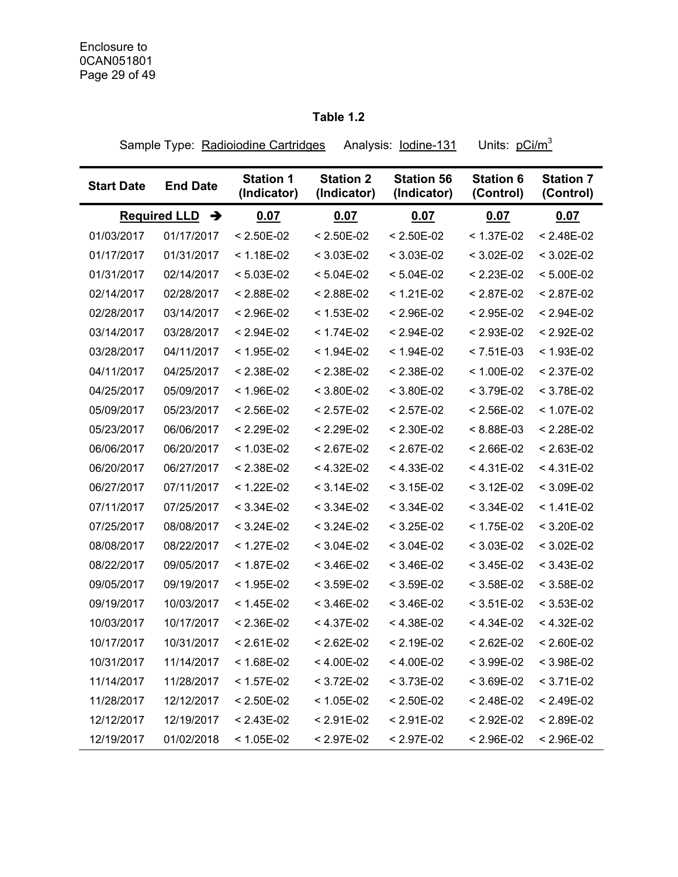# **Table 1.2**

Sample Type: Radioiodine Cartridges Analysis: lodine-131 Units: pCi/m<sup>3</sup>

| <b>Start Date</b> | <b>End Date</b>                      | <b>Station 1</b><br>(Indicator) | <b>Station 2</b><br>(Indicator) | <b>Station 56</b><br>(Indicator) | <b>Station 6</b><br>(Control) | <b>Station 7</b><br>(Control) |
|-------------------|--------------------------------------|---------------------------------|---------------------------------|----------------------------------|-------------------------------|-------------------------------|
|                   | <b>Required LLD</b><br>$\rightarrow$ | 0.07                            | 0.07                            | 0.07                             | 0.07                          | 0.07                          |
| 01/03/2017        | 01/17/2017                           | $< 2.50E-02$                    | $< 2.50E-02$                    | $< 2.50E-02$                     | $< 1.37E-02$                  | $< 2.48E-02$                  |
| 01/17/2017        | 01/31/2017                           | $< 1.18E-02$                    | $< 3.03E-02$                    | $< 3.03E-02$                     | < 3.02E-02                    | $< 3.02E-02$                  |
| 01/31/2017        | 02/14/2017                           | $< 5.03E-02$                    | $< 5.04E-02$                    | $< 5.04E-02$                     | $< 2.23E-02$                  | $< 5.00E-02$                  |
| 02/14/2017        | 02/28/2017                           | $< 2.88E-02$                    | $< 2.88E-02$                    | $< 1.21E-02$                     | $< 2.87E-02$                  | $< 2.87E-02$                  |
| 02/28/2017        | 03/14/2017                           | $< 2.96E-02$                    | $< 1.53E-02$                    | $< 2.96E-02$                     | $< 2.95E-02$                  | $< 2.94E-02$                  |
| 03/14/2017        | 03/28/2017                           | $< 2.94E-02$                    | $< 1.74E-02$                    | $< 2.94E-02$                     | $< 2.93E-02$                  | $< 2.92E-02$                  |
| 03/28/2017        | 04/11/2017                           | $< 1.95E-02$                    | $< 1.94E-02$                    | $< 1.94E-02$                     | $< 7.51E-03$                  | $< 1.93E-02$                  |
| 04/11/2017        | 04/25/2017                           | $< 2.38E-02$                    | $< 2.38E-02$                    | $< 2.38E - 02$                   | $< 1.00E-02$                  | $< 2.37E-02$                  |
| 04/25/2017        | 05/09/2017                           | $< 1.96E-02$                    | $< 3.80E-02$                    | $< 3.80E-02$                     | $< 3.79E-02$                  | $< 3.78E-02$                  |
| 05/09/2017        | 05/23/2017                           | < 2.56E-02                      | $< 2.57E-02$                    | $< 2.57E-02$                     | < 2.56E-02                    | $< 1.07E-02$                  |
| 05/23/2017        | 06/06/2017                           | $< 2.29E-02$                    | $< 2.29E-02$                    | $< 2.30E-02$                     | $< 8.88E-03$                  | $< 2.28E-02$                  |
| 06/06/2017        | 06/20/2017                           | $< 1.03E-02$                    | $< 2.67E-02$                    | $< 2.67E-02$                     | $< 2.66E-02$                  | $< 2.63E-02$                  |
| 06/20/2017        | 06/27/2017                           | $< 2.38E-02$                    | < 4.32E-02                      | $< 4.33E-02$                     | $< 4.31E-02$                  | $< 4.31E-02$                  |
| 06/27/2017        | 07/11/2017                           | < 1.22E-02                      | $< 3.14E-02$                    | $< 3.15E-02$                     | < 3.12E-02                    | $< 3.09E-02$                  |
| 07/11/2017        | 07/25/2017                           | $< 3.34E-02$                    | $< 3.34E-02$                    | $< 3.34E-02$                     | $< 3.34E-02$                  | $< 1.41E-02$                  |
| 07/25/2017        | 08/08/2017                           | $< 3.24E-02$                    | $< 3.24E-02$                    | $< 3.25E-02$                     | $< 1.75E-02$                  | $< 3.20E-02$                  |
| 08/08/2017        | 08/22/2017                           | $< 1.27E-02$                    | $< 3.04E-02$                    | $< 3.04E-02$                     | $< 3.03E-02$                  | $< 3.02E-02$                  |
| 08/22/2017        | 09/05/2017                           | $< 1.87E-02$                    | $< 3.46E-02$                    | $< 3.46E-02$                     | $< 3.45E-02$                  | $< 3.43E-02$                  |
| 09/05/2017        | 09/19/2017                           | $< 1.95E-02$                    | $< 3.59E-02$                    | $< 3.59E-02$                     | $< 3.58E-02$                  | $< 3.58E-02$                  |
| 09/19/2017        | 10/03/2017                           | $< 1.45E-02$                    | $< 3.46E-02$                    | $< 3.46E-02$                     | $< 3.51E-02$                  | $< 3.53E-02$                  |
| 10/03/2017        | 10/17/2017                           | $< 2.36E-02$                    | $< 4.37E-02$                    | $< 4.38E-02$                     | $< 4.34E-02$                  | $< 4.32E-02$                  |
| 10/17/2017        | 10/31/2017                           | $< 2.61E-02$                    | $< 2.62E-02$                    | $< 2.19E-02$                     | $< 2.62E-02$                  | $< 2.60E-02$                  |
| 10/31/2017        | 11/14/2017                           | $< 1.68E-02$                    | $< 4.00E-02$                    | $< 4.00E-02$                     | $< 3.99E-02$                  | $< 3.98E-02$                  |
| 11/14/2017        | 11/28/2017                           | $< 1.57E-02$                    | $< 3.72E-02$                    | $< 3.73E-02$                     | $< 3.69E-02$                  | $< 3.71E-02$                  |
| 11/28/2017        | 12/12/2017                           | $< 2.50E-02$                    | < 1.05E-02                      | $< 2.50E-02$                     | $< 2.48E-02$                  | $< 2.49E-02$                  |
| 12/12/2017        | 12/19/2017                           | $< 2.43E-02$                    | $< 2.91E-02$                    | $< 2.91E-02$                     | $< 2.92E-02$                  | < 2.89E-02                    |
| 12/19/2017        | 01/02/2018                           | < 1.05E-02                      | $< 2.97E-02$                    | $< 2.97E - 02$                   | < 2.96E-02                    | $< 2.96E-02$                  |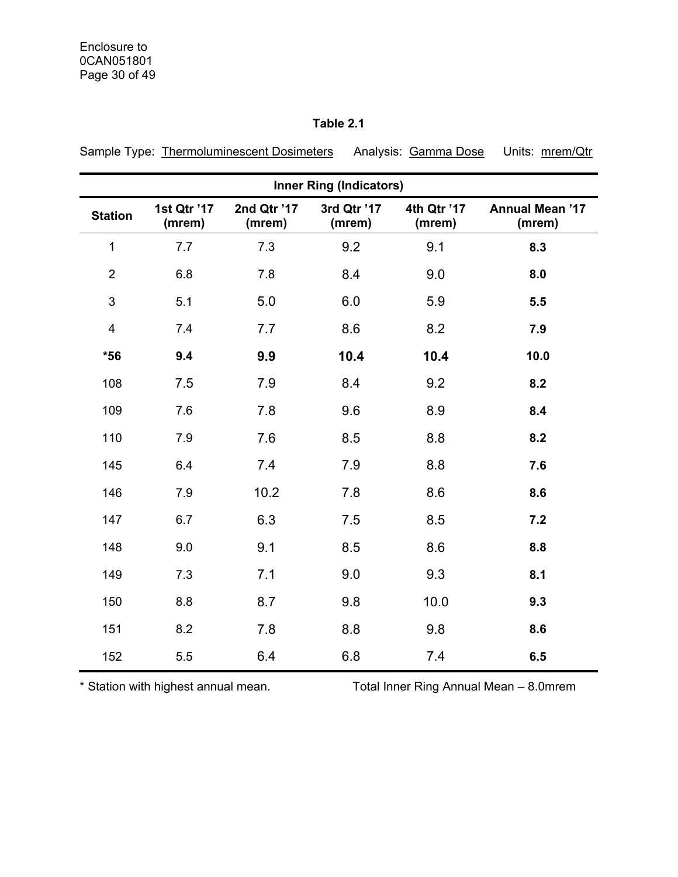|                         | <b>Inner Ring (Indicators)</b> |                       |                       |                       |                                  |  |  |  |  |  |
|-------------------------|--------------------------------|-----------------------|-----------------------|-----------------------|----------------------------------|--|--|--|--|--|
| <b>Station</b>          | 1st Qtr '17<br>(mrem)          | 2nd Qtr '17<br>(mrem) | 3rd Qtr '17<br>(mrem) | 4th Qtr '17<br>(mrem) | <b>Annual Mean '17</b><br>(mrem) |  |  |  |  |  |
| $\mathbf 1$             | 7.7                            | 7.3                   | 9.2                   | 9.1                   | 8.3                              |  |  |  |  |  |
| $\overline{2}$          | 6.8                            | 7.8                   | 8.4                   | 9.0                   | 8.0                              |  |  |  |  |  |
| $\mathfrak{S}$          | 5.1                            | 5.0                   | 6.0                   | 5.9                   | 5.5                              |  |  |  |  |  |
| $\overline{\mathbf{4}}$ | 7.4                            | 7.7                   | 8.6                   | 8.2                   | 7.9                              |  |  |  |  |  |
| $*56$                   | 9.4                            | 9.9                   | 10.4                  | 10.4                  | 10.0                             |  |  |  |  |  |
| 108                     | 7.5                            | 7.9                   | 8.4                   | 9.2                   | 8.2                              |  |  |  |  |  |
| 109                     | 7.6                            | 7.8                   | 9.6                   | 8.9                   | 8.4                              |  |  |  |  |  |
| 110                     | 7.9                            | 7.6                   | 8.5                   | 8.8                   | 8.2                              |  |  |  |  |  |
| 145                     | 6.4                            | 7.4                   | 7.9                   | 8.8                   | 7.6                              |  |  |  |  |  |
| 146                     | 7.9                            | 10.2                  | 7.8                   | 8.6                   | 8.6                              |  |  |  |  |  |
| 147                     | 6.7                            | 6.3                   | 7.5                   | 8.5                   | 7.2                              |  |  |  |  |  |
| 148                     | 9.0                            | 9.1                   | 8.5                   | 8.6                   | 8.8                              |  |  |  |  |  |
| 149                     | 7.3                            | 7.1                   | 9.0                   | 9.3                   | 8.1                              |  |  |  |  |  |
| 150                     | 8.8                            | 8.7                   | 9.8                   | 10.0                  | 9.3                              |  |  |  |  |  |
| 151                     | 8.2                            | 7.8                   | 8.8                   | 9.8                   | 8.6                              |  |  |  |  |  |
| 152                     | 5.5                            | 6.4                   | 6.8                   | 7.4                   | 6.5                              |  |  |  |  |  |

# **Table 2.1**

Sample Type: Thermoluminescent Dosimeters Analysis: Gamma Dose Units: mrem/Qtr

\* Station with highest annual mean. Total Inner Ring Annual Mean – 8.0mrem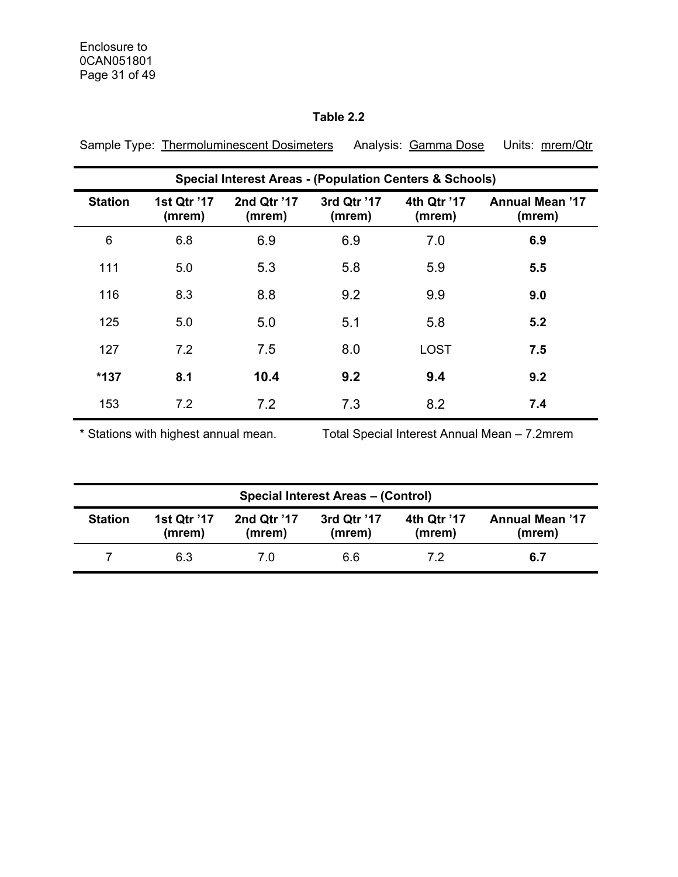# **Table 2.2**

|                | <b>Special Interest Areas - (Population Centers &amp; Schools)</b> |                       |                       |                       |                                  |  |  |  |  |  |
|----------------|--------------------------------------------------------------------|-----------------------|-----------------------|-----------------------|----------------------------------|--|--|--|--|--|
| <b>Station</b> | 1st Qtr '17<br>(mrem)                                              | 2nd Qtr '17<br>(mrem) | 3rd Qtr '17<br>(mrem) | 4th Qtr '17<br>(mrem) | <b>Annual Mean '17</b><br>(mrem) |  |  |  |  |  |
| 6              | 6.8                                                                | 6.9                   | 6.9                   | 7.0                   | 6.9                              |  |  |  |  |  |
| 111            | 5.0                                                                | 5.3                   | 5.8                   | 5.9                   | 5.5                              |  |  |  |  |  |
| 116            | 8.3                                                                | 8.8                   | 9.2                   | 9.9                   | 9.0                              |  |  |  |  |  |
| 125            | 5.0                                                                | 5.0                   | 5.1                   | 5.8                   | 5.2                              |  |  |  |  |  |
| 127            | 7.2                                                                | 7.5                   | 8.0                   | <b>LOST</b>           | 7.5                              |  |  |  |  |  |
| $*137$         | 8.1                                                                | 10.4                  | 9.2                   | 9.4                   | 9.2                              |  |  |  |  |  |
| 153            | 7.2                                                                | 7.2                   | 7.3                   | 8.2                   | 7.4                              |  |  |  |  |  |

Sample Type: Thermoluminescent Dosimeters Analysis: Gamma Dose Units: mrem/Qtr

\* Stations with highest annual mean. Total Special Interest Annual Mean – 7.2mrem

|                | <b>Special Interest Areas - (Control)</b> |                       |                       |                       |                                  |  |  |  |
|----------------|-------------------------------------------|-----------------------|-----------------------|-----------------------|----------------------------------|--|--|--|
| <b>Station</b> | 1st Qtr '17<br>(mrem)                     | 2nd Qtr '17<br>(mrem) | 3rd Qtr '17<br>(mrem) | 4th Qtr '17<br>(mrem) | <b>Annual Mean '17</b><br>(mrem) |  |  |  |
|                | 6.3                                       | 7.0                   | 6.6                   | 7.2                   | 6.7                              |  |  |  |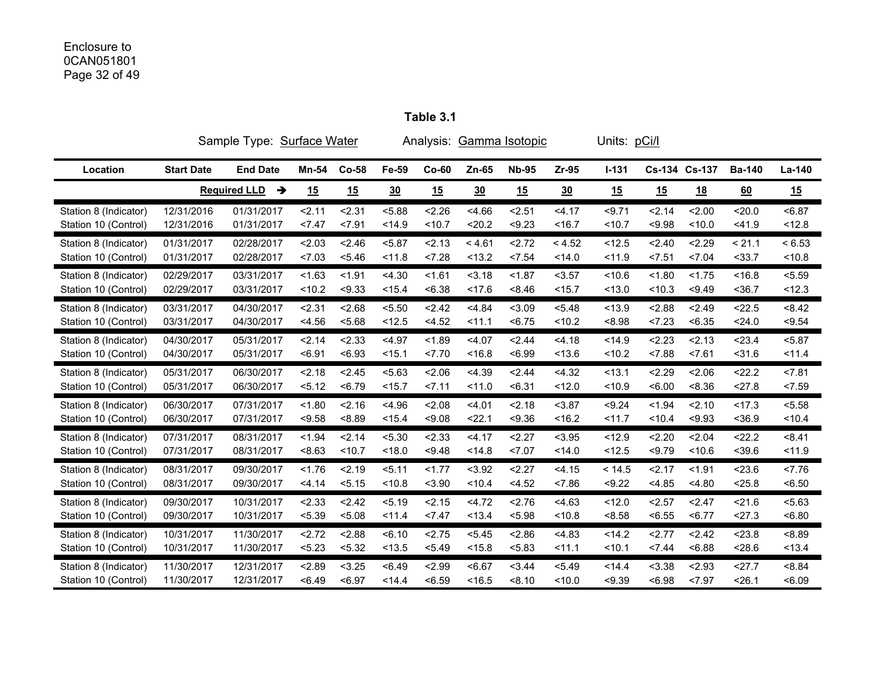# Enclosure to 0CAN051801 Page 32 of 49

|                       | Sample Type: Surface Water |                          | Analysis: Gamma Isotopic |         |        |         |        | Units: pCi/l |         |         |        |               |               |        |
|-----------------------|----------------------------|--------------------------|--------------------------|---------|--------|---------|--------|--------------|---------|---------|--------|---------------|---------------|--------|
| Location              | <b>Start Date</b>          | <b>End Date</b>          | Mn-54                    | $Co-58$ | Fe-59  | $Co-60$ | Zn-65  | <b>Nb-95</b> | $Zr-95$ | $I-131$ |        | Cs-134 Cs-137 | <b>Ba-140</b> | La-140 |
|                       |                            | <b>Required LLD</b><br>→ | 15                       | 15      | 30     | 15      | 30     | 15           | 30      | 15      | 15     | <u>18</u>     | 60            | 15     |
| Station 8 (Indicator) | 12/31/2016                 | 01/31/2017               | 2.11                     | 2.31    | < 5.88 | 2.26    | < 4.66 | 2.51         | 34.17   | < 9.71  | 2.14   | 2.00          | 20.0          | < 6.87 |
| Station 10 (Control)  | 12/31/2016                 | 01/31/2017               | 27.47                    | 27.91   | < 14.9 | < 10.7  | $20.2$ | < 9.23       | < 16.7  | < 10.7  | < 9.98 | < 10.0        | < 41.9        | < 12.8 |
| Station 8 (Indicator) | 01/31/2017                 | 02/28/2017               | 2.03                     | < 2.46  | < 5.87 | 2.13    | < 4.61 | 2.72         | < 4.52  | < 12.5  | 2.40   | 2.29          | < 21.1        | < 6.53 |
| Station 10 (Control)  | 01/31/2017                 | 02/28/2017               | 27.03                    | < 5.46  | < 11.8 | 28      | < 13.2 | < 7.54       | < 14.0  | < 11.9  | < 7.51 | < 7.04        | $33.7$        | < 10.8 |
| Station 8 (Indicator) | 02/29/2017                 | 03/31/2017               | < 1.63                   | < 1.91  | 4.30   | 1.61    | 3.18   | < 1.87       | < 3.57  | < 10.6  | < 1.80 | < 1.75        | < 16.8        | < 5.59 |
| Station 10 (Control)  | 02/29/2017                 | 03/31/2017               | < 10.2                   | < 9.33  | < 15.4 | <6.38   | < 17.6 | < 8.46       | < 15.7  | < 13.0  | < 10.3 | < 9.49        | $36.7$        | < 12.3 |
| Station 8 (Indicator) | 03/31/2017                 | 04/30/2017               | 2.31                     | 2.68    | < 5.50 | 2.42    | < 4.84 | < 3.09       | < 5.48  | < 13.9  | < 2.88 | 2.49          | < 22.5        | < 8.42 |
| Station 10 (Control)  | 03/31/2017                 | 04/30/2017               | < 4.56                   | 5.68    | < 12.5 | < 4.52  | 11.1   | < 6.75       | < 10.2  | < 8.98  | 23     | < 6.35        | 24.0          | < 9.54 |
| Station 8 (Indicator) | 04/30/2017                 | 05/31/2017               | 2.14                     | < 2.33  | < 4.97 | < 1.89  | < 4.07 | 2.44         | 4.18    | < 14.9  | 2.23   | 2.13          | 23.4          | < 5.87 |
| Station 10 (Control)  | 04/30/2017                 | 05/31/2017               | < 6.91                   | < 6.93  | < 15.1 | 27.70   | < 16.8 | < 6.99       | < 13.6  | < 10.2  | < 7.88 | < 7.61        | $<$ 31.6      | < 11.4 |
| Station 8 (Indicator) | 05/31/2017                 | 06/30/2017               | < 2.18                   | < 2.45  | 5.63   | 2.06    | < 4.39 | 2.44         | < 4.32  | < 13.1  | 2.29   | < 2.06        | 22.2          | < 7.81 |
| Station 10 (Control)  | 05/31/2017                 | 06/30/2017               | 5.12                     | < 6.79  | < 15.7 | 27.11   | < 11.0 | < 6.31       | < 12.0  | < 10.9  | < 6.00 | < 8.36        | 27.8          | 27.59  |
| Station 8 (Indicator) | 06/30/2017                 | 07/31/2017               | < 1.80                   | 2.16    | < 4.96 | 2.08    | < 4.01 | 2.18         | < 3.87  | < 9.24  | < 1.94 | 2.10          | < 17.3        | < 5.58 |
| Station 10 (Control)  | 06/30/2017                 | 07/31/2017               | < 9.58                   | < 8.89  | < 15.4 | < 9.08  | 22.1   | < 9.36       | < 16.2  | < 11.7  | < 10.4 | < 9.93        | < 36.9        | < 10.4 |
| Station 8 (Indicator) | 07/31/2017                 | 08/31/2017               | < 1.94                   | 2.14    | < 5.30 | 2.33    | < 4.17 | 2.27         | < 3.95  | < 12.9  | 2.20   | 2.04          | 22.2          | < 8.41 |
| Station 10 (Control)  | 07/31/2017                 | 08/31/2017               | < 8.63                   | < 10.7  | < 18.0 | < 9.48  | < 14.8 | 27.07        | < 14.0  | < 12.5  | < 9.79 | < 10.6        | < 39.6        | < 11.9 |
| Station 8 (Indicator) | 08/31/2017                 | 09/30/2017               | < 1.76                   | 2.19    | 5.11   | 1.77    | < 3.92 | 2.27         | < 4.15  | < 14.5  | 2.17   | < 1.91        | < 23.6        | 27.76  |
| Station 10 (Control)  | 08/31/2017                 | 09/30/2017               | < 4.14                   | 5.15    | < 10.8 | < 3.90  | < 10.4 | < 4.52       | < 7.86  | < 9.22  | < 4.85 | < 4.80        | < 25.8        | < 6.50 |
| Station 8 (Indicator) | 09/30/2017                 | 10/31/2017               | < 2.33                   | 2.42    | 5.19   | < 2.15  | 4.72   | 2.76         | < 4.63  | < 12.0  | < 2.57 | < 2.47        | 21.6          | 5.63   |
| Station 10 (Control)  | 09/30/2017                 | 10/31/2017               | < 5.39                   | < 5.08  | 11.4   | 27.47   | < 13.4 | < 5.98       | < 10.8  | < 8.58  | < 6.55 | < 6.77        | 27.3          | <6.80  |
| Station 8 (Indicator) | 10/31/2017                 | 11/30/2017               | 2.72                     | < 2.88  | 56.10  | 2.75    | < 5.45 | 2.86         | < 4.83  | < 14.2  | 2.77   | 2.42          | < 23.8        | < 8.89 |
| Station 10 (Control)  | 10/31/2017                 | 11/30/2017               | < 5.23                   | < 5.32  | < 13.5 | < 5.49  | < 15.8 | < 5.83       | 11.1    | < 10.1  | < 7.44 | < 6.88        | 28.6          | < 13.4 |
| Station 8 (Indicator) | 11/30/2017                 | 12/31/2017               | 2.89                     | < 3.25  | < 6.49 | 2.99    | < 6.67 | 3.44         | < 5.49  | < 14.4  | < 3.38 | 2.93          | 27.7          | < 8.84 |
| Station 10 (Control)  | 11/30/2017                 | 12/31/2017               | < 6.49                   | < 6.97  | < 14.4 | < 6.59  | < 16.5 | < 8.10       | < 10.0  | < 9.39  | < 6.98 | 27.97         | 26.1          | <6.09  |

**Table 3.1**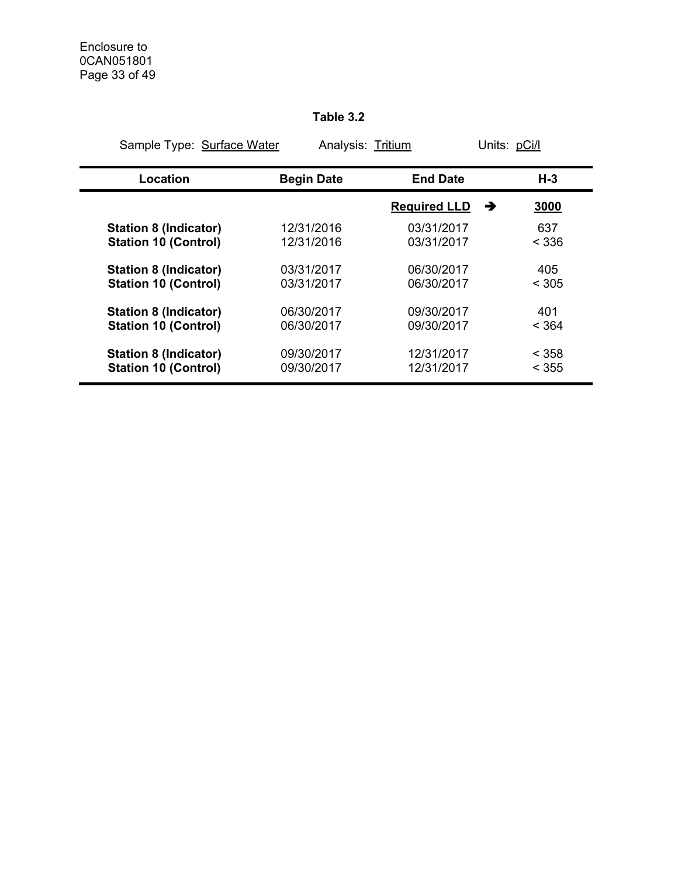# **Table 3.2**

| Sample Type: Surface Water   | Analysis: Tritium |                          | Units: pCi/l |
|------------------------------|-------------------|--------------------------|--------------|
| Location                     | <b>Begin Date</b> | <b>End Date</b>          | $H-3$        |
|                              |                   | <b>Required LLD</b><br>→ | 3000         |
| <b>Station 8 (Indicator)</b> | 12/31/2016        | 03/31/2017               | 637          |
| <b>Station 10 (Control)</b>  | 12/31/2016        | 03/31/2017               | < 336        |
| <b>Station 8 (Indicator)</b> | 03/31/2017        | 06/30/2017               | 405          |
| <b>Station 10 (Control)</b>  | 03/31/2017        | 06/30/2017               | < 305        |
| <b>Station 8 (Indicator)</b> | 06/30/2017        | 09/30/2017               | 401          |
| <b>Station 10 (Control)</b>  | 06/30/2017        | 09/30/2017               | < 364        |
| <b>Station 8 (Indicator)</b> | 09/30/2017        | 12/31/2017               | < 358        |
| <b>Station 10 (Control)</b>  | 09/30/2017        | 12/31/2017               | < 355        |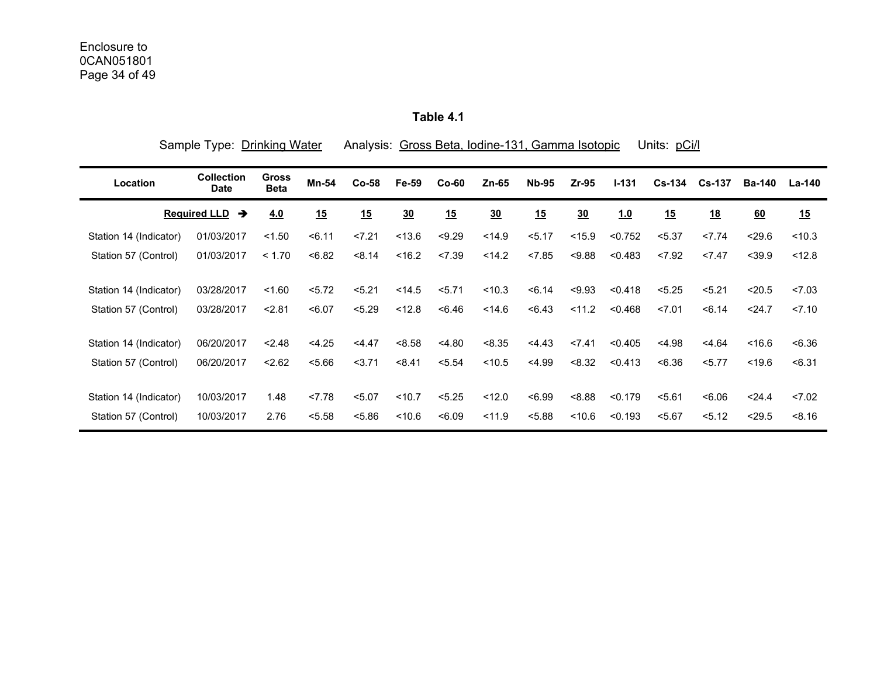**Table 4.1** 

|                        | Sample Type: Drinking Water      |                             |              |         | Analysis: Gross Beta, Iodine-131, Gamma Isotopic<br>Units: pCi/l |         |                |              |                  |           |               |               |               |        |
|------------------------|----------------------------------|-----------------------------|--------------|---------|------------------------------------------------------------------|---------|----------------|--------------|------------------|-----------|---------------|---------------|---------------|--------|
| Location               | <b>Collection</b><br><b>Date</b> | <b>Gross</b><br><b>Beta</b> | <b>Mn-54</b> | $Co-58$ | Fe-59                                                            | $Co-60$ | $Zn-65$        | <b>Nb-95</b> | $Zr-95$          | $I - 131$ | <b>Cs-134</b> | <b>Cs-137</b> | <b>Ba-140</b> | La-140 |
|                        | <b>Required LLD</b><br>→         | 4.0                         | 15           | 15      | $\frac{30}{2}$                                                   | 15      | $\frac{30}{2}$ | 15           | $\underline{30}$ | 1.0       | 15            | 18            | 60            | 15     |
| Station 14 (Indicator) | 01/03/2017                       | < 1.50                      | 56.11        | 27.21   | < 13.6                                                           | < 9.29  | < 14.9         | 5.17         | < 15.9           | < 0.752   | < 5.37        | 27.74         | < 29.6        | < 10.3 |
| Station 57 (Control)   | 01/03/2017                       | < 1.70                      | < 6.82       | < 8.14  | < 16.2                                                           | < 7.39  | < 14.2         | < 7.85       | < 9.88           | < 0.483   | < 7.92        | 27.47         | $<$ 39.9      | < 12.8 |
| Station 14 (Indicator) | 03/28/2017                       | < 1.60                      | 5.72         | 5.21    | < 14.5                                                           | 5.71    | < 10.3         | < 6.14       | < 9.93           | < 0.418   | < 5.25        | 5.21          | < 20.5        | 27.03  |
| Station 57 (Control)   | 03/28/2017                       | 2.81                        | < 6.07       | < 5.29  | < 12.8                                                           | < 6.46  | < 14.6         | < 6.43       | < 11.2           | < 0.468   | 27.01         | 56.14         | 24.7          | 27.10  |
| Station 14 (Indicator) | 06/20/2017                       | < 2.48                      | < 4.25       | < 4.47  | < 8.58                                                           | < 4.80  | < 8.35         | 4.43         | < 7.41           | < 0.405   | < 4.98        | < 4.64        | < 16.6        | < 6.36 |
| Station 57 (Control)   | 06/20/2017                       | < 2.62                      | 5.66         | 3.71    | < 8.41                                                           | < 5.54  | < 10.5         | < 4.99       | < 8.32           | < 0.413   | < 6.36        | 5.77          | < 19.6        | < 6.31 |
| Station 14 (Indicator) | 10/03/2017                       | 1.48                        | 27.78        | < 5.07  | < 10.7                                                           | < 5.25  | < 12.0         | <6.99        | < 8.88           | < 0.179   | 5.61          | < 6.06        | < 24.4        | 27.02  |
| Station 57 (Control)   | 10/03/2017                       | 2.76                        | < 5.58       | < 5.86  | < 10.6                                                           | <6.09   | < 11.9         | < 5.88       | < 10.6           | < 0.193   | 5.67          | 5.12          | < 29.5        | < 8.16 |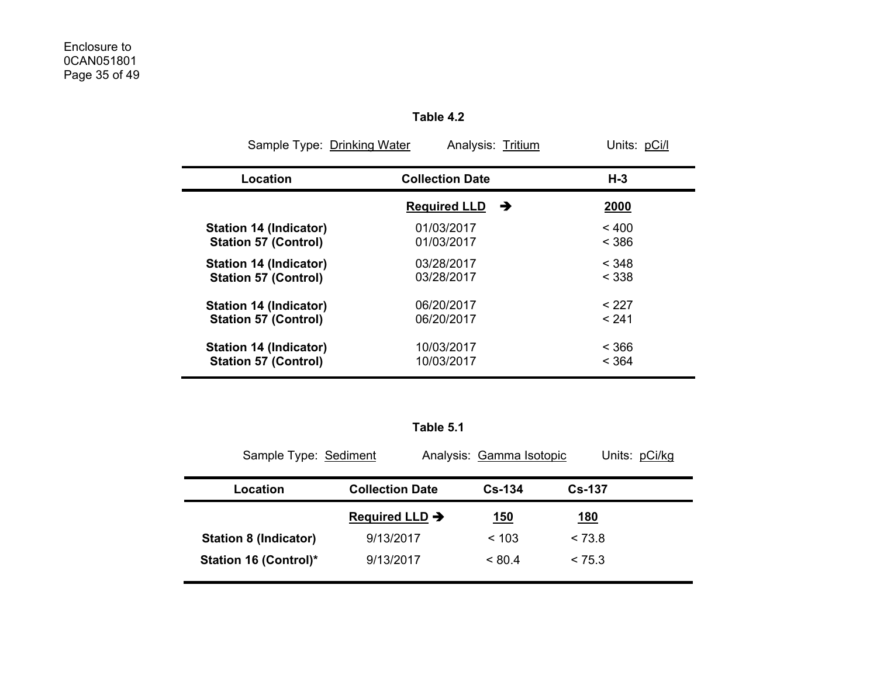| Sample Type: Drinking Water<br>Analysis: Tritium<br>Units: pCi/l |                          |       |  |  |  |  |  |  |  |  |  |
|------------------------------------------------------------------|--------------------------|-------|--|--|--|--|--|--|--|--|--|
| Location                                                         | <b>Collection Date</b>   | $H-3$ |  |  |  |  |  |  |  |  |  |
|                                                                  | <b>Required LLD</b><br>→ | 2000  |  |  |  |  |  |  |  |  |  |
| Station 14 (Indicator)                                           | 01/03/2017               | < 400 |  |  |  |  |  |  |  |  |  |
| <b>Station 57 (Control)</b>                                      | 01/03/2017               | < 386 |  |  |  |  |  |  |  |  |  |
| <b>Station 14 (Indicator)</b>                                    | 03/28/2017               | < 348 |  |  |  |  |  |  |  |  |  |
| <b>Station 57 (Control)</b>                                      | 03/28/2017               | < 338 |  |  |  |  |  |  |  |  |  |
| <b>Station 14 (Indicator)</b>                                    | 06/20/2017               | < 227 |  |  |  |  |  |  |  |  |  |
| <b>Station 57 (Control)</b>                                      | 06/20/2017               | < 241 |  |  |  |  |  |  |  |  |  |
| <b>Station 14 (Indicator)</b>                                    | 10/03/2017               | < 366 |  |  |  |  |  |  |  |  |  |
| <b>Station 57 (Control)</b>                                      | 10/03/2017               | < 364 |  |  |  |  |  |  |  |  |  |

**Table 4.2** 

**Table 5.1** 

| Sample Type: Sediment        |                            | Analysis: Gamma Isotopic | Units: pCi/kg |
|------------------------------|----------------------------|--------------------------|---------------|
| Location                     | <b>Collection Date</b>     | $Cs - 134$               | <b>Cs-137</b> |
|                              | Required LLD $\rightarrow$ | <u>150</u>               | <u> 180</u>   |
| <b>Station 8 (Indicator)</b> | 9/13/2017                  | ~103                     | < 73.8        |
| <b>Station 16 (Control)*</b> | 9/13/2017                  | < 80.4                   | < 75.3        |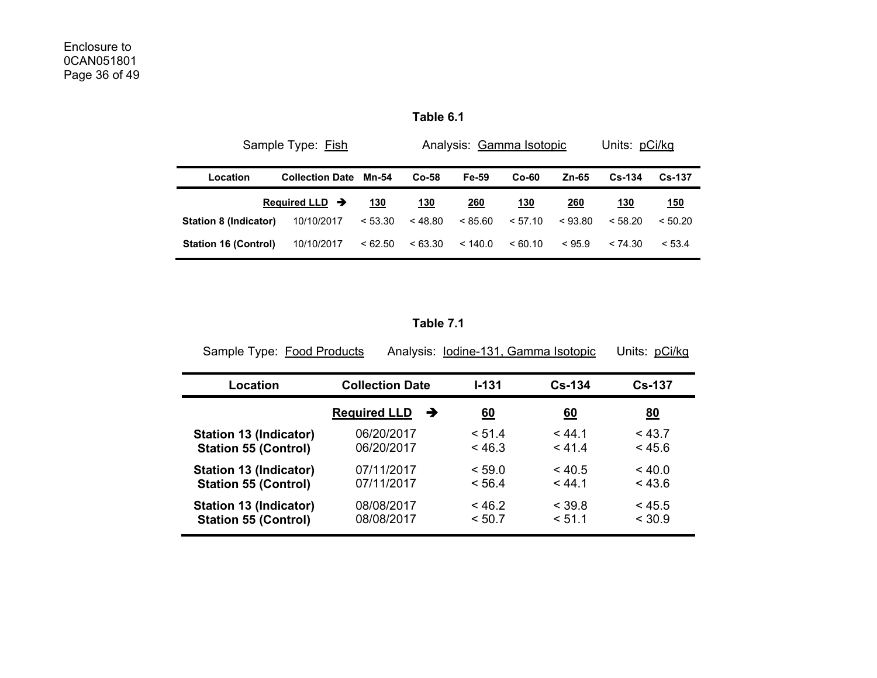| Table 6. |  |
|----------|--|
|----------|--|

|                             | Sample Type: Fish          |         |            | Analysis: Gamma Isotopic | Units: pCi/kg |         |               |               |
|-----------------------------|----------------------------|---------|------------|--------------------------|---------------|---------|---------------|---------------|
| Location                    | <b>Collection Date</b>     | Mn-54   | $Co-58$    | Fe-59                    | $Co-60$       | Zn-65   | <b>Cs-134</b> | <b>Cs-137</b> |
|                             | Required LLD $\rightarrow$ | 130     | <u>130</u> | 260                      | <u> 130</u>   | 260     | 130           | <u>150</u>    |
| Station 8 (Indicator)       | 10/10/2017                 | < 53.30 | < 48.80    | < 85.60                  | < 57.10       | < 93.80 | < 58.20       | < 50.20       |
| <b>Station 16 (Control)</b> | 10/10/2017                 | <62.50  | < 63.30    | < 140.0                  | <60.10        | < 95.9  | < 74.30       | < 53.4        |

**Table 7.1** 

| Sample Type: Food Products  |                          | Analysis: lodine-131, Gamma Isotopic |                  | Units: pCi/kg |
|-----------------------------|--------------------------|--------------------------------------|------------------|---------------|
| Location                    | <b>Collection Date</b>   | $1 - 131$                            | $Cs-134$         | <b>Cs-137</b> |
|                             | <b>Required LLD</b><br>→ | <u>60</u>                            | $\underline{60}$ | 80            |
| Station 13 (Indicator)      | 06/20/2017               | < 51.4                               | < 44.1           | < 43.7        |
| <b>Station 55 (Control)</b> | 06/20/2017               | < 46.3                               | < 41.4           | < 45.6        |
| Station 13 (Indicator)      | 07/11/2017               | < 59.0                               | < 40.5           | < 40.0        |
| <b>Station 55 (Control)</b> | 07/11/2017               | < 56.4                               | < 44.1           | < 43.6        |
| Station 13 (Indicator)      | 08/08/2017               | < 46.2                               | $<$ 39.8         | < 45.5        |
| <b>Station 55 (Control)</b> | 08/08/2017               | < 50.7                               | < 51.1           | < 30.9        |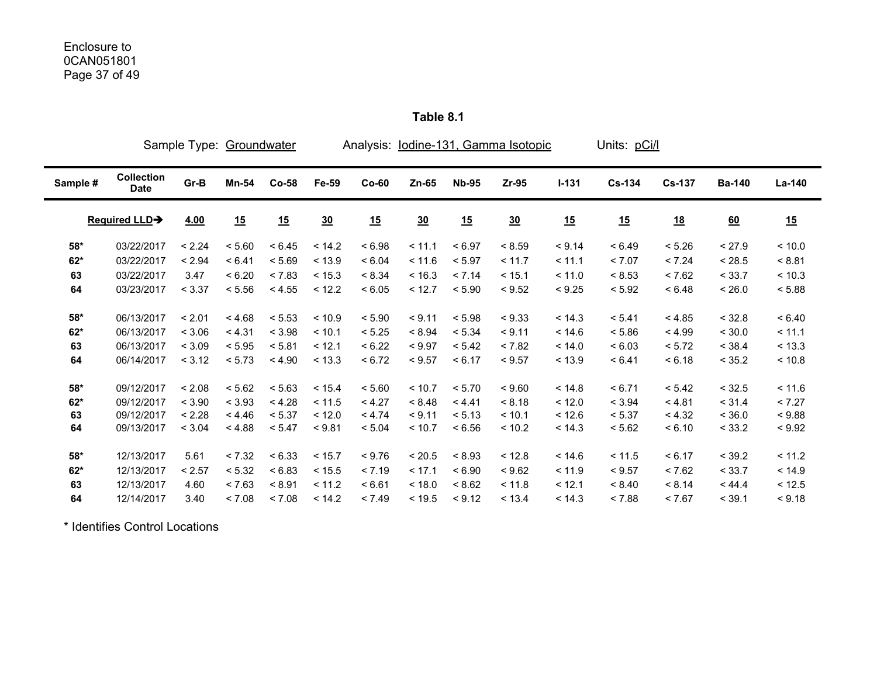|                |                                  |                  | Sample Type: Groundwater |                  |                  | Analysis: lodine-131, Gamma Isotopic |                  | Units: pCi/l     |                  |                  |                  |                  |                  |                  |
|----------------|----------------------------------|------------------|--------------------------|------------------|------------------|--------------------------------------|------------------|------------------|------------------|------------------|------------------|------------------|------------------|------------------|
| Sample #       | <b>Collection</b><br><b>Date</b> | Gr-B             | Mn-54                    | $Co-58$          | Fe-59            | $Co-60$                              | $Zn-65$          | <b>Nb-95</b>     | $Zr-95$          | $I - 131$        | <b>Cs-134</b>    | <b>Cs-137</b>    | <b>Ba-140</b>    | La-140           |
|                | <b>Required LLD→</b>             | 4.00             | 15                       | 15               | 30               | 15                                   | 30               | 15               | $\underline{30}$ | 15               | 15               | <u>18</u>        | 60               | 15               |
| $58*$          | 03/22/2017                       | < 2.24           | < 5.60                   | < 6.45           | < 14.2           | < 6.98                               | < 11.1           | < 6.97           | < 8.59           | < 9.14           | < 6.49           | < 5.26           | < 27.9           | < 10.0           |
| $62*$          | 03/22/2017                       | < 2.94           | < 6.41                   | < 5.69           | < 13.9           | < 6.04                               | < 11.6           | < 5.97           | < 11.7           | < 11.1           | < 7.07           | < 7.24           | < 28.5           | < 8.81           |
| 63             | 03/22/2017                       | 3.47             | < 6.20                   | < 7.83           | < 15.3           | < 8.34                               | < 16.3           | < 7.14           | < 15.1           | < 11.0           | < 8.53           | < 7.62           | < 33.7           | < 10.3           |
| 64             | 03/23/2017                       | < 3.37           | < 5.56                   | < 4.55           | < 12.2           | < 6.05                               | < 12.7           | < 5.90           | < 9.52           | < 9.25           | < 5.92           | < 6.48           | < 26.0           | < 5.88           |
| $58*$<br>$62*$ | 06/13/2017<br>06/13/2017         | < 2.01<br>< 3.06 | < 4.68<br>< 4.31         | < 5.53<br>< 3.98 | < 10.9<br>< 10.1 | < 5.90<br>< 5.25                     | < 9.11<br>< 8.94 | < 5.98<br>< 5.34 | < 9.33<br>< 9.11 | < 14.3<br>< 14.6 | < 5.41<br>< 5.86 | < 4.85<br>< 4.99 | < 32.8<br>< 30.0 | < 6.40<br>< 11.1 |
| 63             | 06/13/2017                       | < 3.09           | < 5.95                   | < 5.81           | < 12.1           | < 6.22                               | < 9.97           | < 5.42           | < 7.82           | < 14.0           | < 6.03           | < 5.72           | < 38.4           | < 13.3           |
| 64             | 06/14/2017                       | < 3.12           | < 5.73                   | < 4.90           | < 13.3           | < 6.72                               | < 9.57           | < 6.17           | < 9.57           | < 13.9           | < 6.41           | < 6.18           | < 35.2           | < 10.8           |
| $58*$          | 09/12/2017                       | < 2.08           | < 5.62                   | < 5.63           | < 15.4           | < 5.60                               | < 10.7           | < 5.70           | < 9.60           | < 14.8           | < 6.71           | < 5.42           | < 32.5           | < 11.6           |
| $62*$          | 09/12/2017                       | < 3.90           | < 3.93                   | < 4.28           | < 11.5           | < 4.27                               | < 8.48           | < 4.41           | < 8.18           | < 12.0           | < 3.94           | < 4.81           | < 31.4           | < 7.27           |
| 63             | 09/12/2017                       | < 2.28           | < 4.46                   | < 5.37           | < 12.0           | < 4.74                               | < 9.11           | < 5.13           | < 10.1           | < 12.6           | < 5.37           | < 4.32           | < 36.0           | < 9.88           |
| 64             | 09/13/2017                       | < 3.04           | < 4.88                   | < 5.47           | < 9.81           | < 5.04                               | < 10.7           | < 6.56           | < 10.2           | < 14.3           | < 5.62           | < 6.10           | < 33.2           | < 9.92           |
| 58*            | 12/13/2017                       | 5.61             | < 7.32                   | < 6.33           | < 15.7           | < 9.76                               | < 20.5           | < 8.93           | < 12.8           | < 14.6           | < 11.5           | < 6.17           | < 39.2           | < 11.2           |
| $62*$          | 12/13/2017                       | < 2.57           | < 5.32                   | < 6.83           | < 15.5           | < 7.19                               | < 17.1           | < 6.90           | < 9.62           | < 11.9           | < 9.57           | < 7.62           | < 33.7           | < 14.9           |
| 63             | 12/13/2017                       | 4.60             | < 7.63                   | < 8.91           | < 11.2           | < 6.61                               | < 18.0           | < 8.62           | < 11.8           | < 12.1           | < 8.40           | < 8.14           | < 44.4           | < 12.5           |
| 64             | 12/14/2017                       | 3.40             | < 7.08                   | < 7.08           | < 14.2           | < 7.49                               | < 19.5           | < 9.12           | < 13.4           | < 14.3           | < 7.88           | < 7.67           | < 39.1           | < 9.18           |

**Table 8.1** 

\* Identifies Control Locations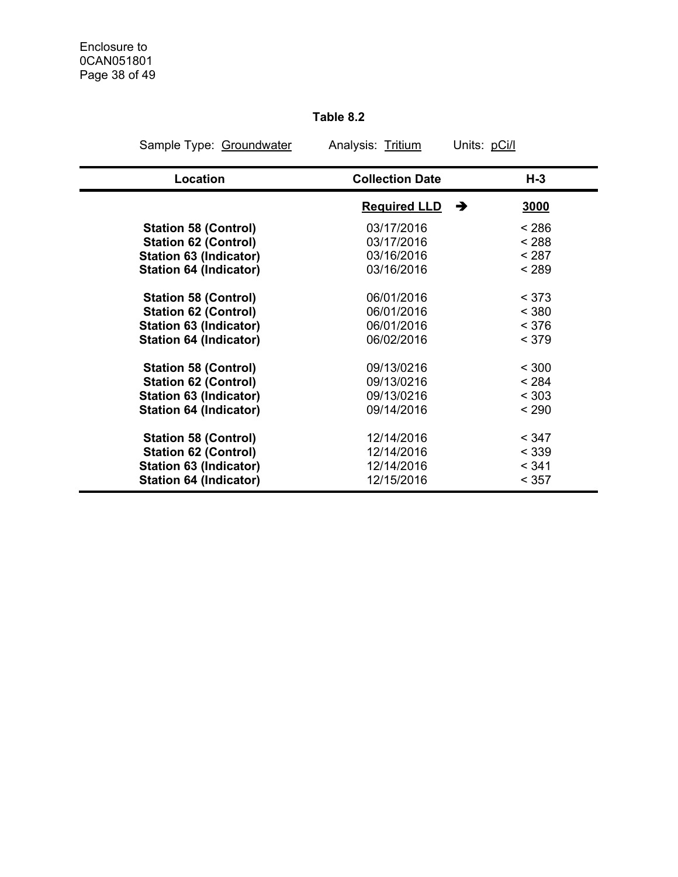# **Table 8.2**

| Sample Type: Groundwater      | Analysis: Tritium      | Units: pCi/l |
|-------------------------------|------------------------|--------------|
| Location                      | <b>Collection Date</b> | $H-3$        |
|                               | <b>Required LLD</b>    | →<br>3000    |
| <b>Station 58 (Control)</b>   | 03/17/2016             | < 286        |
| <b>Station 62 (Control)</b>   | 03/17/2016             | < 288        |
| <b>Station 63 (Indicator)</b> | 03/16/2016             | < 287        |
| <b>Station 64 (Indicator)</b> | 03/16/2016             | < 289        |
| <b>Station 58 (Control)</b>   | 06/01/2016             | < 373        |
| <b>Station 62 (Control)</b>   | 06/01/2016             | < 380        |
| <b>Station 63 (Indicator)</b> | 06/01/2016             | < 376        |
| <b>Station 64 (Indicator)</b> | 06/02/2016             | < 379        |
| <b>Station 58 (Control)</b>   | 09/13/0216             | < 300        |
| <b>Station 62 (Control)</b>   | 09/13/0216             | < 284        |
| Station 63 (Indicator)        | 09/13/0216             | < 303        |
| <b>Station 64 (Indicator)</b> | 09/14/2016             | < 290        |
| <b>Station 58 (Control)</b>   | 12/14/2016             | < 347        |
| <b>Station 62 (Control)</b>   | 12/14/2016             | < 339        |
| <b>Station 63 (Indicator)</b> | 12/14/2016             | < 341        |
| <b>Station 64 (Indicator)</b> | 12/15/2016             | < 357        |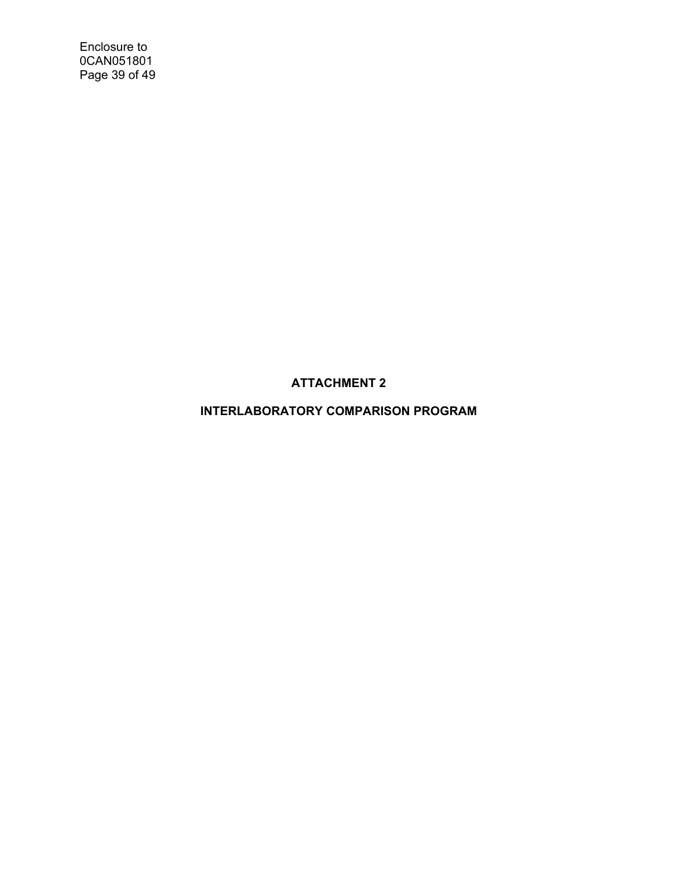Enclosure to 0CAN051801 Page 39 of 49

**ATTACHMENT 2** 

**INTERLABORATORY COMPARISON PROGRAM**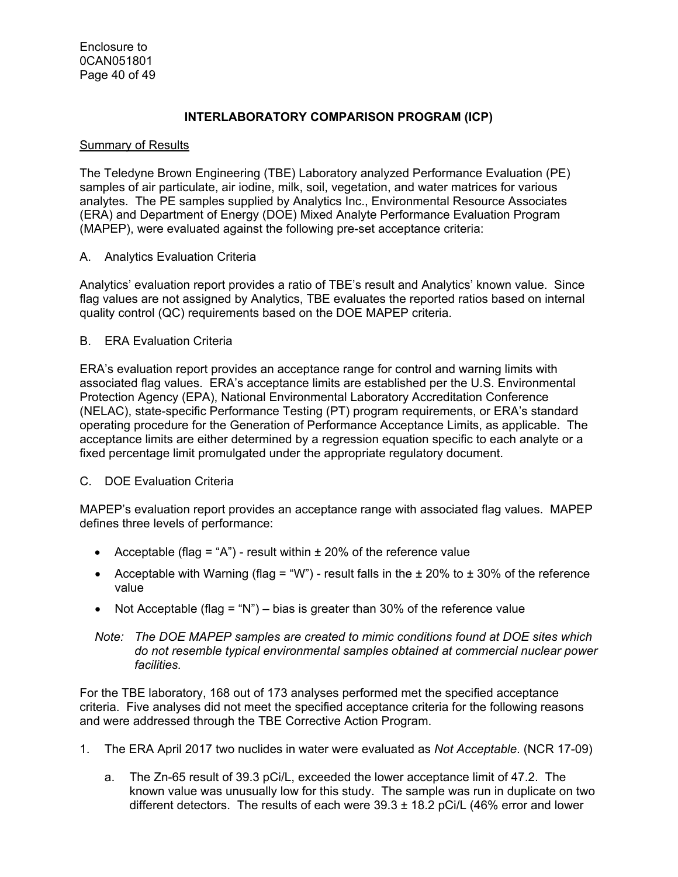# **INTERLABORATORY COMPARISON PROGRAM (ICP)**

## Summary of Results

The Teledyne Brown Engineering (TBE) Laboratory analyzed Performance Evaluation (PE) samples of air particulate, air iodine, milk, soil, vegetation, and water matrices for various analytes. The PE samples supplied by Analytics Inc., Environmental Resource Associates (ERA) and Department of Energy (DOE) Mixed Analyte Performance Evaluation Program (MAPEP), were evaluated against the following pre-set acceptance criteria:

## A. Analytics Evaluation Criteria

Analytics' evaluation report provides a ratio of TBE's result and Analytics' known value. Since flag values are not assigned by Analytics, TBE evaluates the reported ratios based on internal quality control (QC) requirements based on the DOE MAPEP criteria.

## B. ERA Evaluation Criteria

ERA's evaluation report provides an acceptance range for control and warning limits with associated flag values. ERA's acceptance limits are established per the U.S. Environmental Protection Agency (EPA), National Environmental Laboratory Accreditation Conference (NELAC), state-specific Performance Testing (PT) program requirements, or ERA's standard operating procedure for the Generation of Performance Acceptance Limits, as applicable. The acceptance limits are either determined by a regression equation specific to each analyte or a fixed percentage limit promulgated under the appropriate regulatory document.

# C. DOE Evaluation Criteria

MAPEP's evaluation report provides an acceptance range with associated flag values. MAPEP defines three levels of performance:

- Acceptable (flag = "A") result within  $\pm$  20% of the reference value
- Acceptable with Warning (flag = "W") result falls in the  $\pm$  20% to  $\pm$  30% of the reference value
- Not Acceptable (flag = "N") bias is greater than 30% of the reference value

#### *Note: The DOE MAPEP samples are created to mimic conditions found at DOE sites which do not resemble typical environmental samples obtained at commercial nuclear power facilities.*

For the TBE laboratory, 168 out of 173 analyses performed met the specified acceptance criteria. Five analyses did not meet the specified acceptance criteria for the following reasons and were addressed through the TBE Corrective Action Program.

- 1. The ERA April 2017 two nuclides in water were evaluated as *Not Acceptable*. (NCR 17-09)
	- a. The Zn-65 result of 39.3 pCi/L, exceeded the lower acceptance limit of 47.2. The known value was unusually low for this study. The sample was run in duplicate on two different detectors. The results of each were  $39.3 \pm 18.2$  pCi/L (46% error and lower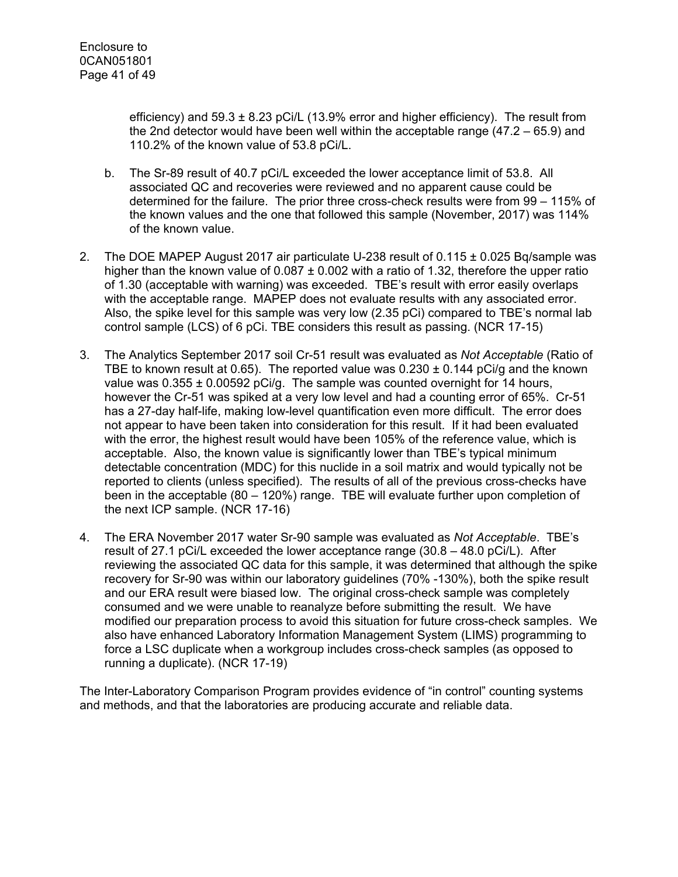efficiency) and  $59.3 \pm 8.23$  pCi/L (13.9% error and higher efficiency). The result from the 2nd detector would have been well within the acceptable range (47.2 – 65.9) and 110.2% of the known value of 53.8 pCi/L.

- b. The Sr-89 result of 40.7 pCi/L exceeded the lower acceptance limit of 53.8. All associated QC and recoveries were reviewed and no apparent cause could be determined for the failure. The prior three cross-check results were from 99 – 115% of the known values and the one that followed this sample (November, 2017) was 114% of the known value.
- 2. The DOE MAPEP August 2017 air particulate U-238 result of 0.115 ± 0.025 Bq/sample was higher than the known value of  $0.087 \pm 0.002$  with a ratio of 1.32, therefore the upper ratio of 1.30 (acceptable with warning) was exceeded. TBE's result with error easily overlaps with the acceptable range. MAPEP does not evaluate results with any associated error. Also, the spike level for this sample was very low (2.35 pCi) compared to TBE's normal lab control sample (LCS) of 6 pCi. TBE considers this result as passing. (NCR 17-15)
- 3. The Analytics September 2017 soil Cr-51 result was evaluated as *Not Acceptable* (Ratio of TBE to known result at 0.65). The reported value was  $0.230 \pm 0.144$  pCi/g and the known value was  $0.355 \pm 0.00592$  pCi/g. The sample was counted overnight for 14 hours, however the Cr-51 was spiked at a very low level and had a counting error of 65%. Cr-51 has a 27-day half-life, making low-level quantification even more difficult. The error does not appear to have been taken into consideration for this result. If it had been evaluated with the error, the highest result would have been 105% of the reference value, which is acceptable. Also, the known value is significantly lower than TBE's typical minimum detectable concentration (MDC) for this nuclide in a soil matrix and would typically not be reported to clients (unless specified). The results of all of the previous cross-checks have been in the acceptable (80 – 120%) range. TBE will evaluate further upon completion of the next ICP sample. (NCR 17-16)
- 4. The ERA November 2017 water Sr-90 sample was evaluated as *Not Acceptable*. TBE's result of 27.1 pCi/L exceeded the lower acceptance range (30.8 – 48.0 pCi/L). After reviewing the associated QC data for this sample, it was determined that although the spike recovery for Sr-90 was within our laboratory guidelines (70% -130%), both the spike result and our ERA result were biased low. The original cross-check sample was completely consumed and we were unable to reanalyze before submitting the result. We have modified our preparation process to avoid this situation for future cross-check samples. We also have enhanced Laboratory Information Management System (LIMS) programming to force a LSC duplicate when a workgroup includes cross-check samples (as opposed to running a duplicate). (NCR 17-19)

The Inter-Laboratory Comparison Program provides evidence of "in control" counting systems and methods, and that the laboratories are producing accurate and reliable data.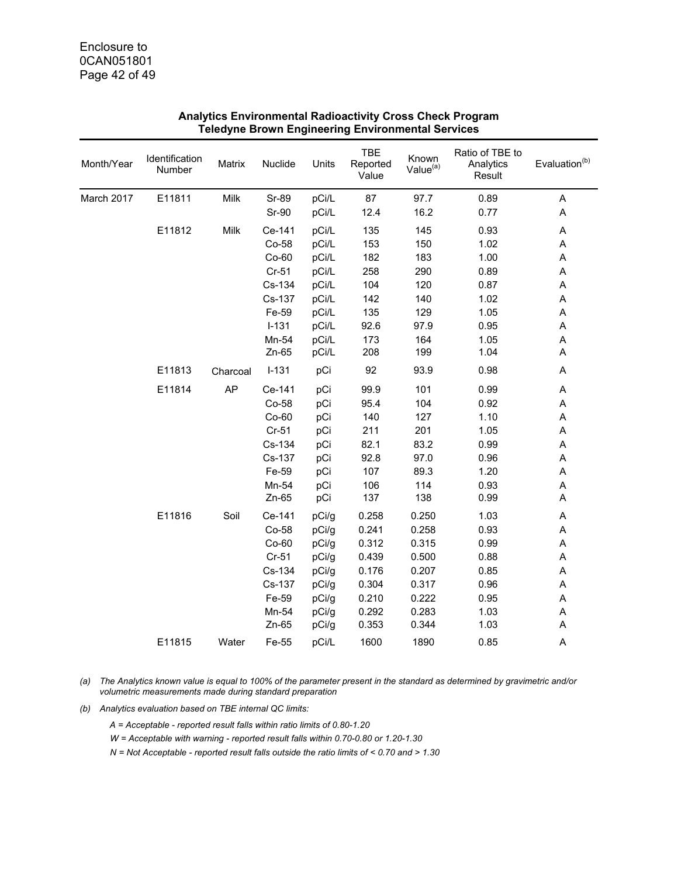| Month/Year | Identification<br>Number | Matrix   | Nuclide | Units | <b>TBE</b><br>Reported<br>Value | Known<br>Value <sup>(a)</sup> | Ratio of TBE to<br>Analytics<br>Result | Evaluation <sup>(b)</sup> |
|------------|--------------------------|----------|---------|-------|---------------------------------|-------------------------------|----------------------------------------|---------------------------|
| March 2017 | E11811                   | Milk     | Sr-89   | pCi/L | 87                              | 97.7                          | 0.89                                   | A                         |
|            |                          |          | Sr-90   | pCi/L | 12.4                            | 16.2                          | 0.77                                   | A                         |
|            | E11812                   | Milk     | Ce-141  | pCi/L | 135                             | 145                           | 0.93                                   | $\boldsymbol{\mathsf{A}}$ |
|            |                          |          | Co-58   | pCi/L | 153                             | 150                           | 1.02                                   | A                         |
|            |                          |          | $Co-60$ | pCi/L | 182                             | 183                           | 1.00                                   | A                         |
|            |                          |          | Cr-51   | pCi/L | 258                             | 290                           | 0.89                                   | A                         |
|            |                          |          | Cs-134  | pCi/L | 104                             | 120                           | 0.87                                   | A                         |
|            |                          |          | Cs-137  | pCi/L | 142                             | 140                           | 1.02                                   | A                         |
|            |                          |          | Fe-59   | pCi/L | 135                             | 129                           | 1.05                                   | A                         |
|            |                          |          | $I-131$ | pCi/L | 92.6                            | 97.9                          | 0.95                                   | Α                         |
|            |                          |          | Mn-54   | pCi/L | 173                             | 164                           | 1.05                                   | A                         |
|            |                          |          | Zn-65   | pCi/L | 208                             | 199                           | 1.04                                   | Α                         |
|            | E11813                   | Charcoal | $I-131$ | pCi   | 92                              | 93.9                          | 0.98                                   | A                         |
|            | E11814                   | AP       | Ce-141  | pCi   | 99.9                            | 101                           | 0.99                                   | A                         |
|            |                          |          | Co-58   | pCi   | 95.4                            | 104                           | 0.92                                   | A                         |
|            |                          |          | $Co-60$ | pCi   | 140                             | 127                           | 1.10                                   | $\sf A$                   |
|            |                          |          | $Cr-51$ | pCi   | 211                             | 201                           | 1.05                                   | $\boldsymbol{\mathsf{A}}$ |
|            |                          |          | Cs-134  | pCi   | 82.1                            | 83.2                          | 0.99                                   | A                         |
|            |                          |          | Cs-137  | pCi   | 92.8                            | 97.0                          | 0.96                                   | A                         |
|            |                          |          | Fe-59   | pCi   | 107                             | 89.3                          | 1.20                                   | A                         |
|            |                          |          | Mn-54   | pCi   | 106                             | 114                           | 0.93                                   | A                         |
|            |                          |          | Zn-65   | pCi   | 137                             | 138                           | 0.99                                   | A                         |
|            | E11816                   | Soil     | Ce-141  | pCi/g | 0.258                           | 0.250                         | 1.03                                   | A                         |
|            |                          |          | Co-58   | pCi/g | 0.241                           | 0.258                         | 0.93                                   | A                         |
|            |                          |          | $Co-60$ | pCi/g | 0.312                           | 0.315                         | 0.99                                   | A                         |
|            |                          |          | $Cr-51$ | pCi/g | 0.439                           | 0.500                         | 0.88                                   | A                         |
|            |                          |          | Cs-134  | pCi/g | 0.176                           | 0.207                         | 0.85                                   | A                         |
|            |                          |          | Cs-137  | pCi/g | 0.304                           | 0.317                         | 0.96                                   | Α                         |
|            |                          |          | Fe-59   | pCi/g | 0.210                           | 0.222                         | 0.95                                   | A                         |
|            |                          |          | Mn-54   | pCi/g | 0.292                           | 0.283                         | 1.03                                   | Α                         |
|            |                          |          | Zn-65   | pCi/g | 0.353                           | 0.344                         | 1.03                                   | A                         |
|            | E11815                   | Water    | Fe-55   | pCi/L | 1600                            | 1890                          | 0.85                                   | A                         |

*(a) The Analytics known value is equal to 100% of the parameter present in the standard as determined by gravimetric and/or volumetric measurements made during standard preparation* 

*(b) Analytics evaluation based on TBE internal QC limits:* 

*A = Acceptable - reported result falls within ratio limits of 0.80-1.20* 

*W = Acceptable with warning - reported result falls within 0.70-0.80 or 1.20-1.30* 

*N = Not Acceptable - reported result falls outside the ratio limits of < 0.70 and > 1.30*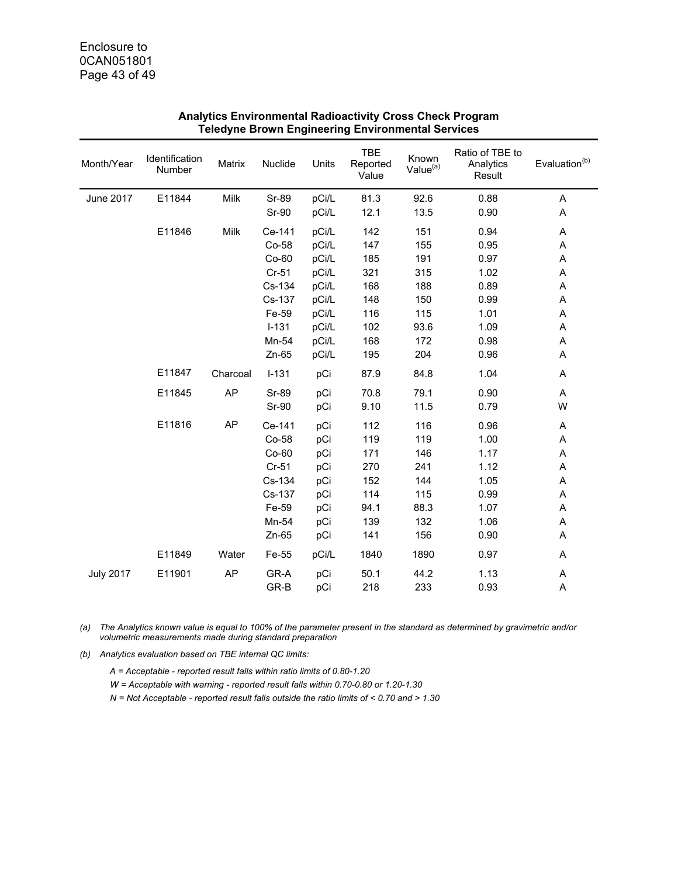| Month/Year       | Identification<br>Number | Matrix    | Nuclide                                                            | Units                                         | TBE<br>Reported<br>Value                       | Known<br>Value <sup>(a)</sup>                  | Ratio of TBE to<br>Analytics<br>Result               | Evaluation <sup>(b)</sup>       |
|------------------|--------------------------|-----------|--------------------------------------------------------------------|-----------------------------------------------|------------------------------------------------|------------------------------------------------|------------------------------------------------------|---------------------------------|
| June 2017        | E11844                   | Milk      | Sr-89<br>Sr-90                                                     | pCi/L<br>pCi/L                                | 81.3<br>12.1                                   | 92.6<br>13.5                                   | 0.88<br>0.90                                         | A<br>A                          |
|                  | E11846                   | Milk      | Ce-141<br>Co-58                                                    | pCi/L<br>pCi/L                                | 142<br>147                                     | 151<br>155                                     | 0.94<br>0.95                                         | A<br>A                          |
|                  |                          |           | $Co-60$<br>$Cr-51$                                                 | pCi/L<br>pCi/L                                | 185<br>321                                     | 191<br>315                                     | 0.97<br>1.02                                         | Α<br>A                          |
|                  |                          |           | Cs-134<br>Cs-137                                                   | pCi/L<br>pCi/L                                | 168<br>148                                     | 188<br>150                                     | 0.89<br>0.99                                         | A<br>A                          |
|                  |                          |           | Fe-59<br>$I-131$                                                   | pCi/L<br>pCi/L                                | 116<br>102                                     | 115<br>93.6                                    | 1.01<br>1.09                                         | A<br>A                          |
|                  |                          |           | Mn-54<br>$Zn-65$                                                   | pCi/L<br>pCi/L                                | 168<br>195                                     | 172<br>204                                     | 0.98<br>0.96                                         | A<br>A                          |
|                  | E11847                   | Charcoal  | $I - 131$                                                          | pCi                                           | 87.9                                           | 84.8                                           | 1.04                                                 | Α                               |
|                  | E11845                   | <b>AP</b> | Sr-89<br>Sr-90                                                     | pCi<br>pCi                                    | 70.8<br>9.10                                   | 79.1<br>11.5                                   | 0.90<br>0.79                                         | Α<br>W                          |
|                  | E11816                   | AP        | Ce-141<br>Co-58<br>$Co-60$<br>$Cr-51$<br>Cs-134<br>Cs-137<br>Fe-59 | pCi<br>pCi<br>pCi<br>pCi<br>pCi<br>pCi<br>pCi | 112<br>119<br>171<br>270<br>152<br>114<br>94.1 | 116<br>119<br>146<br>241<br>144<br>115<br>88.3 | 0.96<br>1.00<br>1.17<br>1.12<br>1.05<br>0.99<br>1.07 | A<br>Α<br>Α<br>Α<br>Α<br>A<br>Α |
|                  |                          |           | Mn-54<br>$Zn-65$                                                   | pCi<br>pCi                                    | 139<br>141                                     | 132<br>156                                     | 1.06<br>0.90                                         | Α<br>Α                          |
|                  | E11849                   | Water     | Fe-55                                                              | pCi/L                                         | 1840                                           | 1890                                           | 0.97                                                 | Α                               |
| <b>July 2017</b> | E11901                   | AP        | GR-A<br>GR-B                                                       | pCi<br>pCi                                    | 50.1<br>218                                    | 44.2<br>233                                    | 1.13<br>0.93                                         | A<br>Α                          |

*(a) The Analytics known value is equal to 100% of the parameter present in the standard as determined by gravimetric and/or volumetric measurements made during standard preparation* 

*(b) Analytics evaluation based on TBE internal QC limits:* 

*A = Acceptable - reported result falls within ratio limits of 0.80-1.20* 

- *W = Acceptable with warning reported result falls within 0.70-0.80 or 1.20-1.30*
- *N = Not Acceptable reported result falls outside the ratio limits of < 0.70 and > 1.30*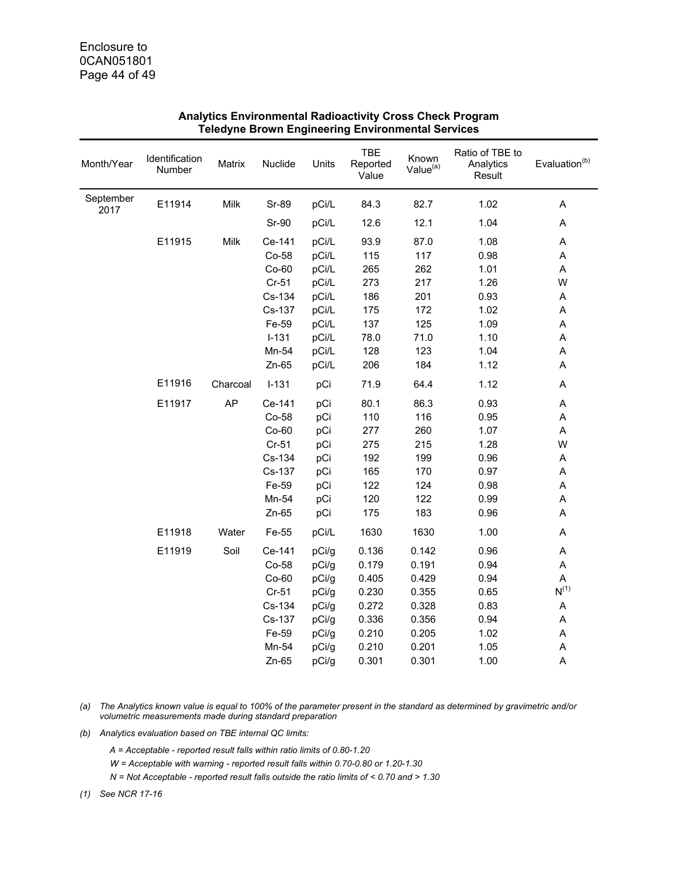| Month/Year        | Identification<br>Number | Matrix    | Nuclide | Units | TBE<br>Reported<br>Value | Known<br>Value <sup>(a)</sup> | Ratio of TBE to<br>Analytics<br>Result | Evaluation <sup>(b)</sup> |
|-------------------|--------------------------|-----------|---------|-------|--------------------------|-------------------------------|----------------------------------------|---------------------------|
| September<br>2017 | E11914                   | Milk      | Sr-89   | pCi/L | 84.3                     | 82.7                          | 1.02                                   | Α                         |
|                   |                          |           | Sr-90   | pCi/L | 12.6                     | 12.1                          | 1.04                                   | A                         |
|                   | E11915                   | Milk      | Ce-141  | pCi/L | 93.9                     | 87.0                          | 1.08                                   | A                         |
|                   |                          |           | Co-58   | pCi/L | 115                      | 117                           | 0.98                                   | A                         |
|                   |                          |           | $Co-60$ | pCi/L | 265                      | 262                           | 1.01                                   | A                         |
|                   |                          |           | $Cr-51$ | pCi/L | 273                      | 217                           | 1.26                                   | W                         |
|                   |                          |           | Cs-134  | pCi/L | 186                      | 201                           | 0.93                                   | A                         |
|                   |                          |           | Cs-137  | pCi/L | 175                      | 172                           | 1.02                                   | $\sf A$                   |
|                   |                          |           | Fe-59   | pCi/L | 137                      | 125                           | 1.09                                   | A                         |
|                   |                          |           | $I-131$ | pCi/L | 78.0                     | 71.0                          | 1.10                                   | A                         |
|                   |                          |           | Mn-54   | pCi/L | 128                      | 123                           | 1.04                                   | A                         |
|                   |                          |           | $Zn-65$ | pCi/L | 206                      | 184                           | 1.12                                   | A                         |
|                   | E11916                   | Charcoal  | $I-131$ | pCi   | 71.9                     | 64.4                          | 1.12                                   | A                         |
|                   | E11917                   | <b>AP</b> | Ce-141  | pCi   | 80.1                     | 86.3                          | 0.93                                   | A                         |
|                   |                          |           | Co-58   | pCi   | 110                      | 116                           | 0.95                                   | Α                         |
|                   |                          |           | $Co-60$ | pCi   | 277                      | 260                           | 1.07                                   | $\sf A$                   |
|                   |                          |           | $Cr-51$ | pCi   | 275                      | 215                           | 1.28                                   | W                         |
|                   |                          |           | Cs-134  | pCi   | 192                      | 199                           | 0.96                                   | $\sf A$                   |
|                   |                          |           | Cs-137  | pCi   | 165                      | 170                           | 0.97                                   | A                         |
|                   |                          |           | Fe-59   | pCi   | 122                      | 124                           | 0.98                                   | A                         |
|                   |                          |           | Mn-54   | pCi   | 120                      | 122                           | 0.99                                   | A                         |
|                   |                          |           | $Zn-65$ | pCi   | 175                      | 183                           | 0.96                                   | A                         |
|                   | E11918                   | Water     | Fe-55   | pCi/L | 1630                     | 1630                          | 1.00                                   | A                         |
|                   | E11919                   | Soil      | Ce-141  | pCi/g | 0.136                    | 0.142                         | 0.96                                   | Α                         |
|                   |                          |           | Co-58   | pCi/g | 0.179                    | 0.191                         | 0.94                                   | A                         |
|                   |                          |           | $Co-60$ | pCi/g | 0.405                    | 0.429                         | 0.94                                   | A                         |
|                   |                          |           | $Cr-51$ | pCi/g | 0.230                    | 0.355                         | 0.65                                   | $\mathsf{N}^{(1)}$        |
|                   |                          |           | Cs-134  | pCi/g | 0.272                    | 0.328                         | 0.83                                   | A                         |
|                   |                          |           | Cs-137  | pCi/g | 0.336                    | 0.356                         | 0.94                                   | A                         |
|                   |                          |           | Fe-59   | pCi/g | 0.210                    | 0.205                         | 1.02                                   | A                         |
|                   |                          |           | Mn-54   | pCi/g | 0.210                    | 0.201                         | 1.05                                   | A                         |
|                   |                          |           | $Zn-65$ | pCi/g | 0.301                    | 0.301                         | 1.00                                   | A                         |

*(a) The Analytics known value is equal to 100% of the parameter present in the standard as determined by gravimetric and/or volumetric measurements made during standard preparation* 

*(b) Analytics evaluation based on TBE internal QC limits:* 

*A = Acceptable - reported result falls within ratio limits of 0.80-1.20* 

*W = Acceptable with warning - reported result falls within 0.70-0.80 or 1.20-1.30* 

*N = Not Acceptable - reported result falls outside the ratio limits of < 0.70 and > 1.30* 

*(1) See NCR 17-16*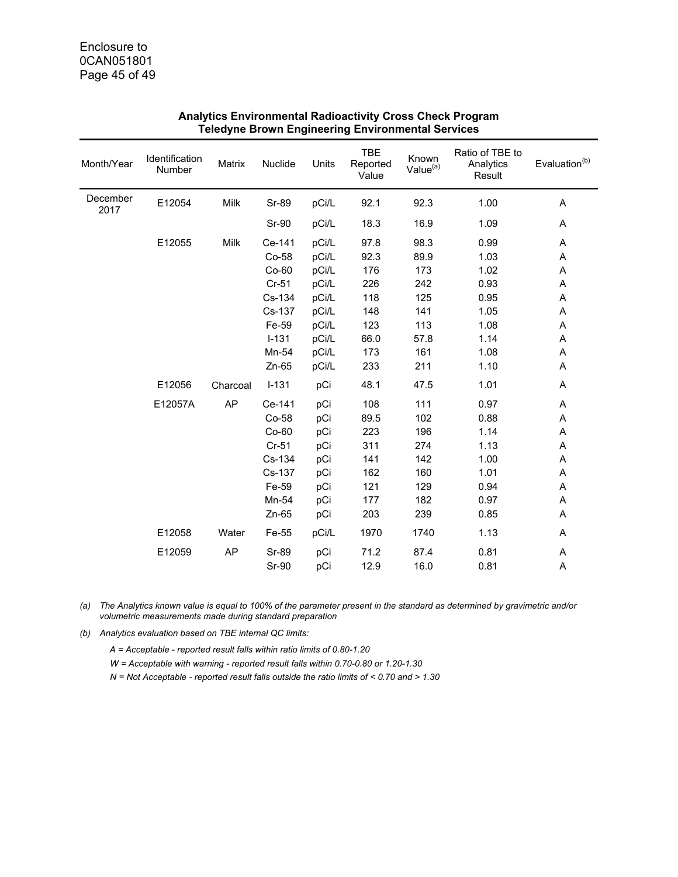| Month/Year       | Identification<br>Number | Matrix    | Nuclide      | Units | <b>TBE</b><br>Reported<br>Value | Known<br>Value <sup>(a)</sup> | Ratio of TBE to<br>Analytics<br>Result | Evaluation <sup>(b)</sup> |
|------------------|--------------------------|-----------|--------------|-------|---------------------------------|-------------------------------|----------------------------------------|---------------------------|
| December<br>2017 | E12054                   | Milk      | Sr-89        | pCi/L | 92.1                            | 92.3                          | 1.00                                   | A                         |
|                  |                          |           | Sr-90        | pCi/L | 18.3                            | 16.9                          | 1.09                                   | Α                         |
|                  | E12055                   | Milk      | Ce-141       | pCi/L | 97.8                            | 98.3                          | 0.99                                   | A                         |
|                  |                          |           | Co-58        | pCi/L | 92.3                            | 89.9                          | 1.03                                   | Α                         |
|                  |                          |           | $Co-60$      | pCi/L | 176                             | 173                           | 1.02                                   | Α                         |
|                  |                          |           | $Cr-51$      | pCi/L | 226                             | 242                           | 0.93                                   | A                         |
|                  |                          |           | Cs-134       | pCi/L | 118                             | 125                           | 0.95                                   | Α                         |
|                  |                          |           | Cs-137       | pCi/L | 148                             | 141                           | 1.05                                   | Α                         |
|                  |                          |           | Fe-59        | pCi/L | 123                             | 113                           | 1.08                                   | A                         |
|                  |                          |           | $I-131$      | pCi/L | 66.0                            | 57.8                          | 1.14                                   | A                         |
|                  |                          |           | Mn-54        | pCi/L | 173                             | 161                           | 1.08                                   | Α                         |
|                  |                          |           | $Zn-65$      | pCi/L | 233                             | 211                           | 1.10                                   | Α                         |
|                  | E12056                   | Charcoal  | $I-131$      | pCi   | 48.1                            | 47.5                          | 1.01                                   | A                         |
|                  | E12057A                  | <b>AP</b> | Ce-141       | pCi   | 108                             | 111                           | 0.97                                   | Α                         |
|                  |                          |           | Co-58        | pCi   | 89.5                            | 102                           | 0.88                                   | Α                         |
|                  |                          |           | $Co-60$      | pCi   | 223                             | 196                           | 1.14                                   | A                         |
|                  |                          |           | $Cr-51$      | pCi   | 311                             | 274                           | 1.13                                   | Α                         |
|                  |                          |           | Cs-134       | pCi   | 141                             | 142                           | 1.00                                   | A                         |
|                  |                          |           | Cs-137       | pCi   | 162                             | 160                           | 1.01                                   | A                         |
|                  |                          |           | Fe-59        | pCi   | 121                             | 129                           | 0.94                                   | Α                         |
|                  |                          |           | Mn-54        | pCi   | 177                             | 182                           | 0.97                                   | Α                         |
|                  |                          |           | $Zn-65$      | pCi   | 203                             | 239                           | 0.85                                   | Α                         |
|                  | E12058                   | Water     | Fe-55        | pCi/L | 1970                            | 1740                          | 1.13                                   | Α                         |
|                  | E12059                   | <b>AP</b> | <b>Sr-89</b> | pCi   | 71.2                            | 87.4                          | 0.81                                   | A                         |
|                  |                          |           | Sr-90        | pCi   | 12.9                            | 16.0                          | 0.81                                   | A                         |

*(a) The Analytics known value is equal to 100% of the parameter present in the standard as determined by gravimetric and/or volumetric measurements made during standard preparation* 

*(b) Analytics evaluation based on TBE internal QC limits:* 

*A = Acceptable - reported result falls within ratio limits of 0.80-1.20* 

*W = Acceptable with warning - reported result falls within 0.70-0.80 or 1.20-1.30* 

*N = Not Acceptable - reported result falls outside the ratio limits of < 0.70 and > 1.30*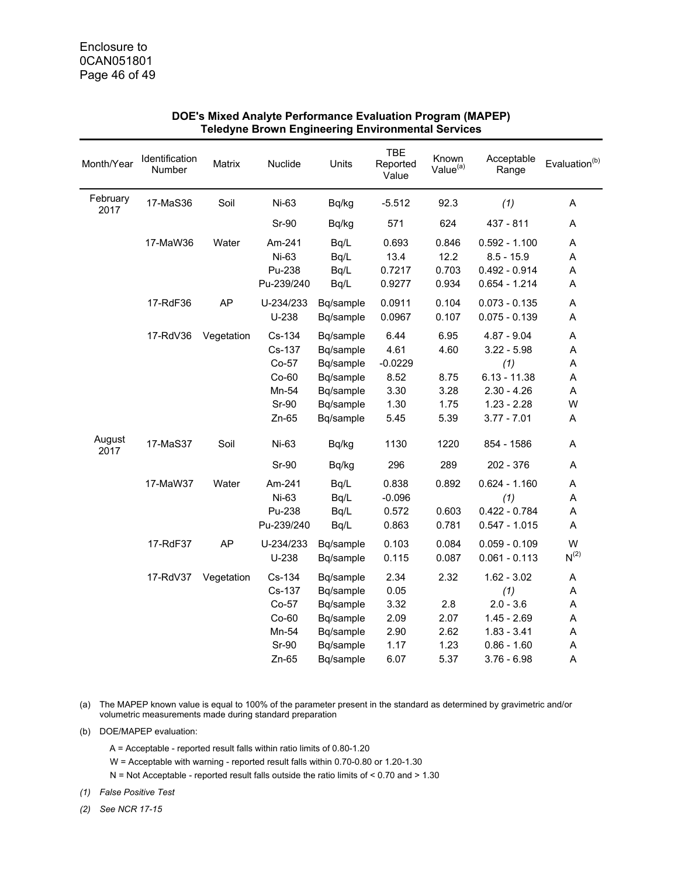| Month/Year       | Identification<br>Number | Matrix     | Nuclide    | Units     | <b>TBE</b><br>Reported<br>Value | Known<br>Value <sup>(a)</sup> | Acceptable<br>Range | Evaluation <sup>(b)</sup> |
|------------------|--------------------------|------------|------------|-----------|---------------------------------|-------------------------------|---------------------|---------------------------|
| February<br>2017 | 17-MaS36                 | Soil       | Ni-63      | Bq/kg     | $-5.512$                        | 92.3                          | (1)                 | A                         |
|                  |                          |            | Sr-90      | Bq/kg     | 571                             | 624                           | 437 - 811           | A                         |
|                  | 17-MaW36                 | Water      | Am-241     | Bq/L      | 0.693                           | 0.846                         | $0.592 - 1.100$     | A                         |
|                  |                          |            | Ni-63      | Bq/L      | 13.4                            | 12.2                          | $8.5 - 15.9$        | A                         |
|                  |                          |            | Pu-238     | Bq/L      | 0.7217                          | 0.703                         | $0.492 - 0.914$     | A                         |
|                  |                          |            | Pu-239/240 | Bq/L      | 0.9277                          | 0.934                         | $0.654 - 1.214$     | A                         |
|                  | 17-RdF36                 | <b>AP</b>  | U-234/233  | Bq/sample | 0.0911                          | 0.104                         | $0.073 - 0.135$     | Α                         |
|                  |                          |            | $U-238$    | Bq/sample | 0.0967                          | 0.107                         | $0.075 - 0.139$     | A                         |
|                  | 17-RdV36                 | Vegetation | Cs-134     | Bq/sample | 6.44                            | 6.95                          | $4.87 - 9.04$       | A                         |
|                  |                          |            | Cs-137     | Bq/sample | 4.61                            | 4.60                          | $3.22 - 5.98$       | A                         |
|                  |                          |            | Co-57      | Bq/sample | $-0.0229$                       |                               | (1)                 | A                         |
|                  |                          |            | $Co-60$    | Bq/sample | 8.52                            | 8.75                          | $6.13 - 11.38$      | A                         |
|                  |                          |            | Mn-54      | Bq/sample | 3.30                            | 3.28                          | $2.30 - 4.26$       | A                         |
|                  |                          |            | Sr-90      | Bq/sample | 1.30                            | 1.75                          | $1.23 - 2.28$       | W                         |
|                  |                          |            | $Zn-65$    | Bq/sample | 5.45                            | 5.39                          | $3.77 - 7.01$       | Α                         |
| August<br>2017   | 17-MaS37                 | Soil       | Ni-63      | Bq/kg     | 1130                            | 1220                          | 854 - 1586          | A                         |
|                  |                          |            | Sr-90      | Bq/kg     | 296                             | 289                           | 202 - 376           | A                         |
|                  | 17-MaW37                 | Water      | Am-241     | Bq/L      | 0.838                           | 0.892                         | $0.624 - 1.160$     | A                         |
|                  |                          |            | Ni-63      | Bq/L      | $-0.096$                        |                               | (1)                 | A                         |
|                  |                          |            | Pu-238     | Bq/L      | 0.572                           | 0.603                         | $0.422 - 0.784$     | A                         |
|                  |                          |            | Pu-239/240 | Bq/L      | 0.863                           | 0.781                         | $0.547 - 1.015$     | A                         |
|                  | 17-RdF37                 | AP         | U-234/233  | Bq/sample | 0.103                           | 0.084                         | $0.059 - 0.109$     | W                         |
|                  |                          |            | $U-238$    | Bq/sample | 0.115                           | 0.087                         | $0.061 - 0.113$     | $N^{(2)}$                 |
|                  | 17-RdV37                 | Vegetation | Cs-134     | Bq/sample | 2.34                            | 2.32                          | $1.62 - 3.02$       | $\sf A$                   |
|                  |                          |            | Cs-137     | Bq/sample | 0.05                            |                               | (1)                 | A                         |
|                  |                          |            | Co-57      | Bq/sample | 3.32                            | 2.8                           | $2.0 - 3.6$         | A                         |
|                  |                          |            | $Co-60$    | Bq/sample | 2.09                            | 2.07                          | $1.45 - 2.69$       | A                         |
|                  |                          |            | Mn-54      | Bq/sample | 2.90                            | 2.62                          | $1.83 - 3.41$       | A                         |
|                  |                          |            | Sr-90      | Bq/sample | 1.17                            | 1.23                          | $0.86 - 1.60$       | A                         |
|                  |                          |            | $Zn-65$    | Bq/sample | 6.07                            | 5.37                          | $3.76 - 6.98$       | A                         |

#### **DOE's Mixed Analyte Performance Evaluation Program (MAPEP) Teledyne Brown Engineering Environmental Services**

(a) The MAPEP known value is equal to 100% of the parameter present in the standard as determined by gravimetric and/or volumetric measurements made during standard preparation

(b) DOE/MAPEP evaluation:

- A = Acceptable reported result falls within ratio limits of 0.80-1.20
- W = Acceptable with warning reported result falls within 0.70-0.80 or 1.20-1.30
- N = Not Acceptable reported result falls outside the ratio limits of < 0.70 and > 1.30

*(1) False Positive Test* 

*(2) See NCR 17-15*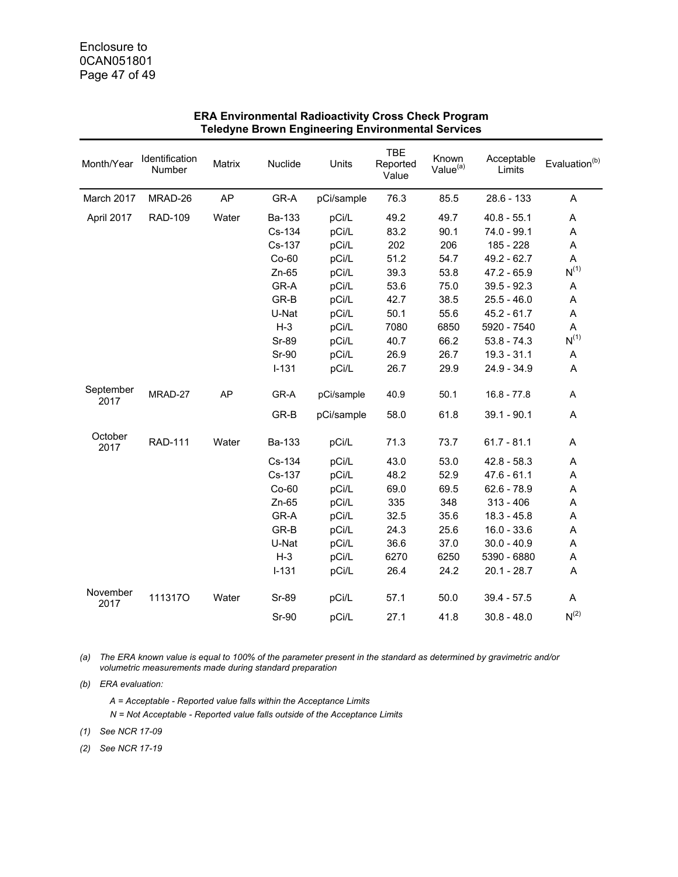| Month/Year        | Identification<br>Number | Matrix    | Nuclide   | Units      | <b>TBE</b><br>Reported<br>Value | Known<br>Value $(a)$ | Acceptable<br>Limits | Evaluation <sup>(b)</sup> |
|-------------------|--------------------------|-----------|-----------|------------|---------------------------------|----------------------|----------------------|---------------------------|
| March 2017        | MRAD-26                  | AP        | GR-A      | pCi/sample | 76.3                            | 85.5                 | $28.6 - 133$         | A                         |
| April 2017        | <b>RAD-109</b>           | Water     | Ba-133    | pCi/L      | 49.2                            | 49.7                 | $40.8 - 55.1$        | A                         |
|                   |                          |           | Cs-134    | pCi/L      | 83.2                            | 90.1                 | 74.0 - 99.1          | A                         |
|                   |                          |           | Cs-137    | pCi/L      | 202                             | 206                  | 185 - 228            | Α                         |
|                   |                          |           | $Co-60$   | pCi/L      | 51.2                            | 54.7                 | 49.2 - 62.7          | A                         |
|                   |                          |           | $Zn-65$   | pCi/L      | 39.3                            | 53.8                 | $47.2 - 65.9$        | $N^{(1)}$                 |
|                   |                          |           | GR-A      | pCi/L      | 53.6                            | 75.0                 | $39.5 - 92.3$        | A                         |
|                   |                          |           | GR-B      | pCi/L      | 42.7                            | 38.5                 | $25.5 - 46.0$        | Α                         |
|                   |                          |           | U-Nat     | pCi/L      | 50.1                            | 55.6                 | $45.2 - 61.7$        | A                         |
|                   |                          |           | $H-3$     | pCi/L      | 7080                            | 6850                 | 5920 - 7540          | A                         |
|                   |                          |           | Sr-89     | pCi/L      | 40.7                            | 66.2                 | $53.8 - 74.3$        | $N^{(1)}$                 |
|                   |                          |           | Sr-90     | pCi/L      | 26.9                            | 26.7                 | $19.3 - 31.1$        | A                         |
|                   |                          |           | $I - 131$ | pCi/L      | 26.7                            | 29.9                 | 24.9 - 34.9          | A                         |
| September<br>2017 | MRAD-27                  | <b>AP</b> | GR-A      | pCi/sample | 40.9                            | 50.1                 | $16.8 - 77.8$        | A                         |
|                   |                          |           | GR-B      | pCi/sample | 58.0                            | 61.8                 | $39.1 - 90.1$        | A                         |
| October<br>2017   | <b>RAD-111</b>           | Water     | Ba-133    | pCi/L      | 71.3                            | 73.7                 | $61.7 - 81.1$        | Α                         |
|                   |                          |           | Cs-134    | pCi/L      | 43.0                            | 53.0                 | $42.8 - 58.3$        | A                         |
|                   |                          |           | Cs-137    | pCi/L      | 48.2                            | 52.9                 | $47.6 - 61.1$        | Α                         |
|                   |                          |           | $Co-60$   | pCi/L      | 69.0                            | 69.5                 | $62.6 - 78.9$        | Α                         |
|                   |                          |           | $Zn-65$   | pCi/L      | 335                             | 348                  | $313 - 406$          | A                         |
|                   |                          |           | GR-A      | pCi/L      | 32.5                            | 35.6                 | $18.3 - 45.8$        | A                         |
|                   |                          |           | GR-B      | pCi/L      | 24.3                            | 25.6                 | $16.0 - 33.6$        | Α                         |
|                   |                          |           | U-Nat     | pCi/L      | 36.6                            | 37.0                 | $30.0 - 40.9$        | A                         |
|                   |                          |           | $H-3$     | pCi/L      | 6270                            | 6250                 | 5390 - 6880          | A                         |
|                   |                          |           | $I-131$   | pCi/L      | 26.4                            | 24.2                 | $20.1 - 28.7$        | Α                         |
| November<br>2017  | <b>1113170</b>           | Water     | Sr-89     | pCi/L      | 57.1                            | 50.0                 | $39.4 - 57.5$        | Α                         |
|                   |                          |           | Sr-90     | pCi/L      | 27.1                            | 41.8                 | $30.8 - 48.0$        | $\mathsf{N}^{(2)}$        |

*(a) The ERA known value is equal to 100% of the parameter present in the standard as determined by gravimetric and/or volumetric measurements made during standard preparation* 

*(b) ERA evaluation:* 

*A = Acceptable - Reported value falls within the Acceptance Limits* 

*N = Not Acceptable - Reported value falls outside of the Acceptance Limits* 

*(1) See NCR 17-09* 

*(2) See NCR 17-19*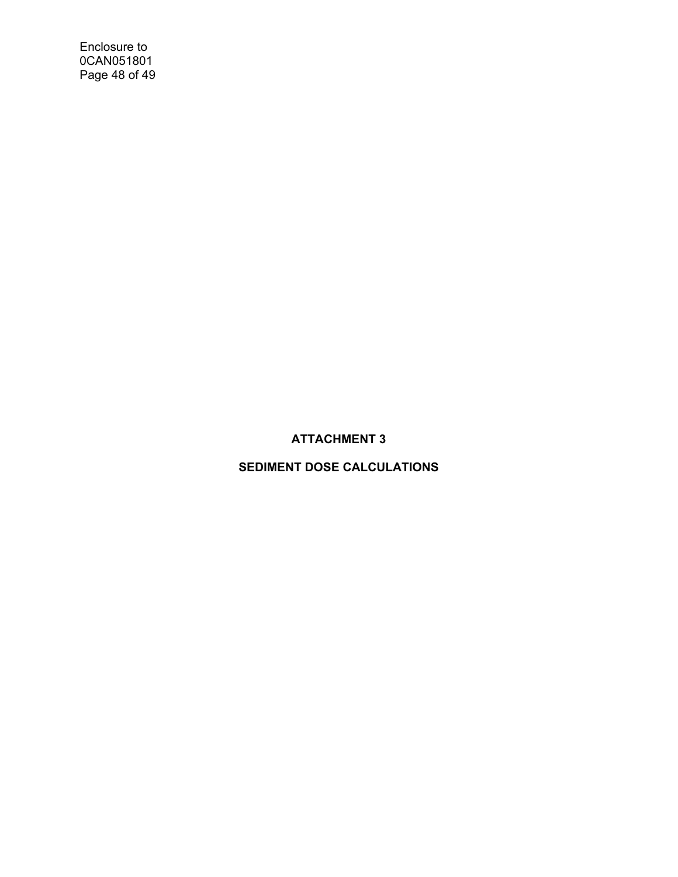Enclosure to 0CAN051801 Page 48 of 49

# **ATTACHMENT 3**

# **SEDIMENT DOSE CALCULATIONS**